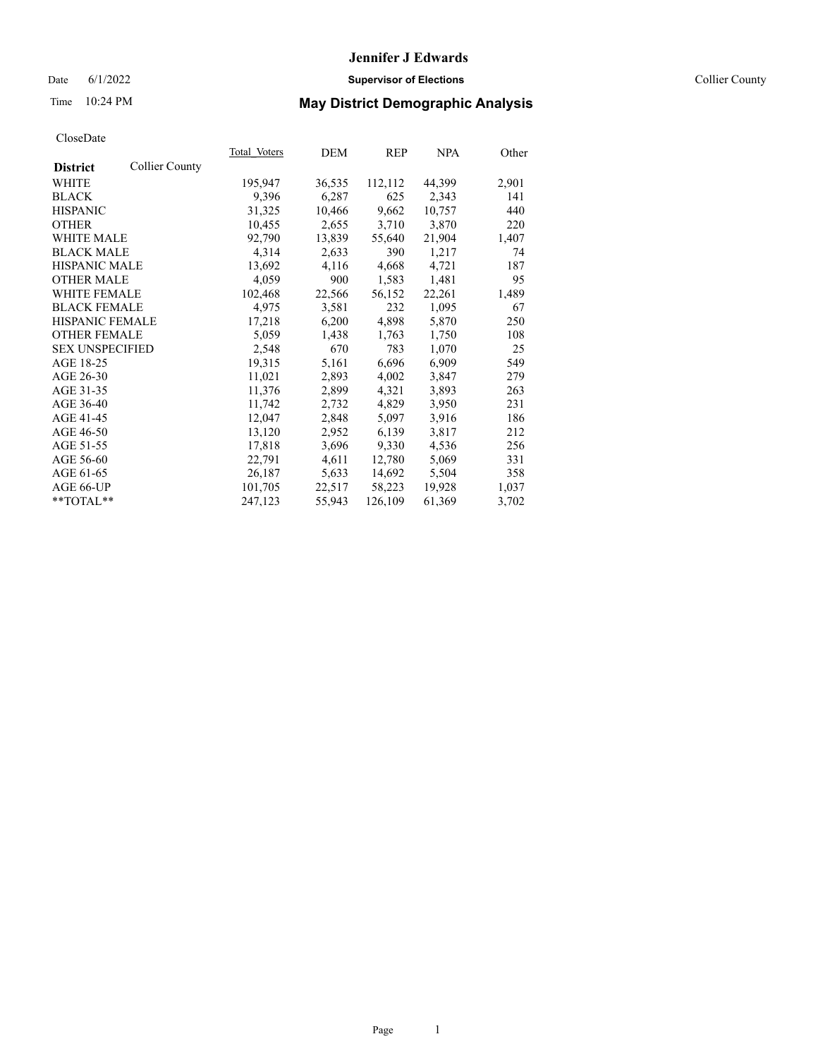## Date 6/1/2022 **Supervisor of Elections** Collier County

## Time 10:24 PM **May District Demographic Analysis**

|                        |                       | Total Voters | DEM    | REP     | NPA    | Other |
|------------------------|-----------------------|--------------|--------|---------|--------|-------|
| <b>District</b>        | <b>Collier County</b> |              |        |         |        |       |
| <b>WHITE</b>           |                       | 195,947      | 36,535 | 112,112 | 44,399 | 2,901 |
| <b>BLACK</b>           |                       | 9,396        | 6,287  | 625     | 2,343  | 141   |
| <b>HISPANIC</b>        |                       | 31,325       | 10,466 | 9,662   | 10,757 | 440   |
| <b>OTHER</b>           |                       | 10,455       | 2,655  | 3,710   | 3,870  | 220   |
| <b>WHITE MALE</b>      |                       | 92,790       | 13,839 | 55,640  | 21,904 | 1,407 |
| <b>BLACK MALE</b>      |                       | 4,314        | 2,633  | 390     | 1,217  | 74    |
| <b>HISPANIC MALE</b>   |                       | 13,692       | 4,116  | 4,668   | 4,721  | 187   |
| <b>OTHER MALE</b>      |                       | 4,059        | 900    | 1,583   | 1,481  | 95    |
| <b>WHITE FEMALE</b>    |                       | 102,468      | 22,566 | 56,152  | 22,261 | 1,489 |
| <b>BLACK FEMALE</b>    |                       | 4,975        | 3,581  | 232     | 1,095  | 67    |
| <b>HISPANIC FEMALE</b> |                       | 17,218       | 6,200  | 4,898   | 5,870  | 250   |
| <b>OTHER FEMALE</b>    |                       | 5,059        | 1,438  | 1,763   | 1,750  | 108   |
| <b>SEX UNSPECIFIED</b> |                       | 2,548        | 670    | 783     | 1,070  | 25    |
| AGE 18-25              |                       | 19,315       | 5,161  | 6,696   | 6,909  | 549   |
| AGE 26-30              |                       | 11,021       | 2,893  | 4,002   | 3,847  | 279   |
| AGE 31-35              |                       | 11,376       | 2,899  | 4,321   | 3,893  | 263   |
| AGE 36-40              |                       | 11,742       | 2,732  | 4,829   | 3,950  | 231   |
| AGE 41-45              |                       | 12,047       | 2,848  | 5,097   | 3,916  | 186   |
| AGE 46-50              |                       | 13,120       | 2,952  | 6,139   | 3,817  | 212   |
| AGE 51-55              |                       | 17,818       | 3,696  | 9,330   | 4,536  | 256   |
| AGE 56-60              |                       | 22,791       | 4,611  | 12,780  | 5,069  | 331   |
| AGE 61-65              |                       | 26,187       | 5,633  | 14,692  | 5,504  | 358   |
| AGE 66-UP              |                       | 101,705      | 22,517 | 58,223  | 19,928 | 1,037 |
| $*$ TOTAL $*$          |                       | 247,123      | 55,943 | 126,109 | 61,369 | 3,702 |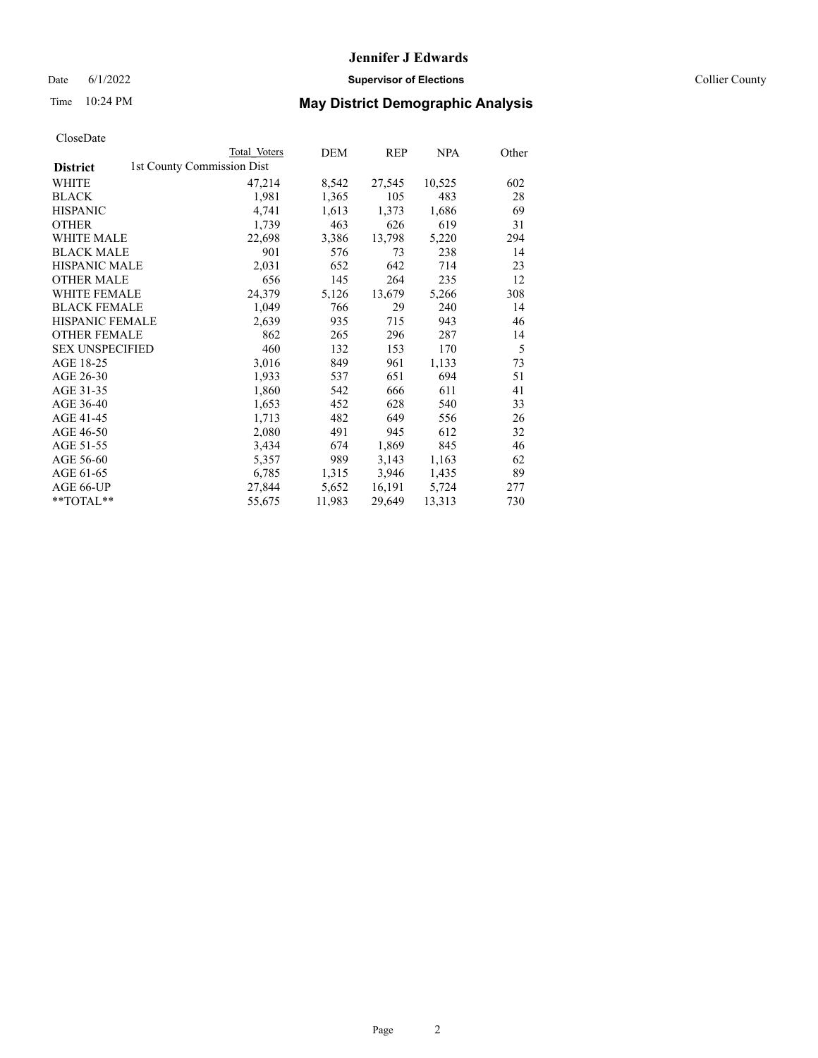Date 6/1/2022 **Supervisor of Elections** Collier County

|                        | Total Voters               | DEM    | <b>REP</b> | <b>NPA</b> | Other |
|------------------------|----------------------------|--------|------------|------------|-------|
| <b>District</b>        | 1st County Commission Dist |        |            |            |       |
| WHITE                  | 47,214                     | 8,542  | 27,545     | 10,525     | 602   |
| BLACK                  | 1,981                      | 1,365  | 105        | 483        | 28    |
| HISPANIC               | 4,741                      | 1,613  | 1,373      | 1,686      | 69    |
| OTHER                  | 1,739                      | 463    | 626        | 619        | 31    |
| WHITE MALE             | 22,698                     | 3,386  | 13,798     | 5,220      | 294   |
| BLACK MALE             | 901                        | 576    | 73         | 238        | 14    |
| HISPANIC MALE          | 2,031                      | 652    | 642        | 714        | 23    |
| OTHER MALE             | 656                        | 145    | 264        | 235        | 12    |
| WHITE FEMALE           | 24,379                     | 5,126  | 13,679     | 5,266      | 308   |
| BLACK FEMALE           | 1,049                      | 766    | 29         | 240        | 14    |
| HISPANIC FEMALE        | 2,639                      | 935    | 715        | 943        | 46    |
| OTHER FEMALE           | 862                        | 265    | 296        | 287        | 14    |
| <b>SEX UNSPECIFIED</b> | 460                        | 132    | 153        | 170        | 5     |
| AGE 18-25              | 3,016                      | 849    | 961        | 1,133      | 73    |
| AGE 26-30              | 1,933                      | 537    | 651        | 694        | 51    |
| AGE 31-35              | 1,860                      | 542    | 666        | 611        | 41    |
| AGE 36-40              | 1,653                      | 452    | 628        | 540        | 33    |
| AGE 41-45              | 1,713                      | 482    | 649        | 556        | 26    |
| AGE 46-50              | 2,080                      | 491    | 945        | 612        | 32    |
| AGE 51-55              | 3,434                      | 674    | 1,869      | 845        | 46    |
| AGE 56-60              | 5,357                      | 989    | 3,143      | 1,163      | 62    |
| AGE 61-65              | 6,785                      | 1,315  | 3,946      | 1,435      | 89    |
| AGE 66-UP              | 27,844                     | 5,652  | 16,191     | 5,724      | 277   |
| $*$ $TOTAL**$          | 55,675                     | 11,983 | 29,649     | 13,313     | 730   |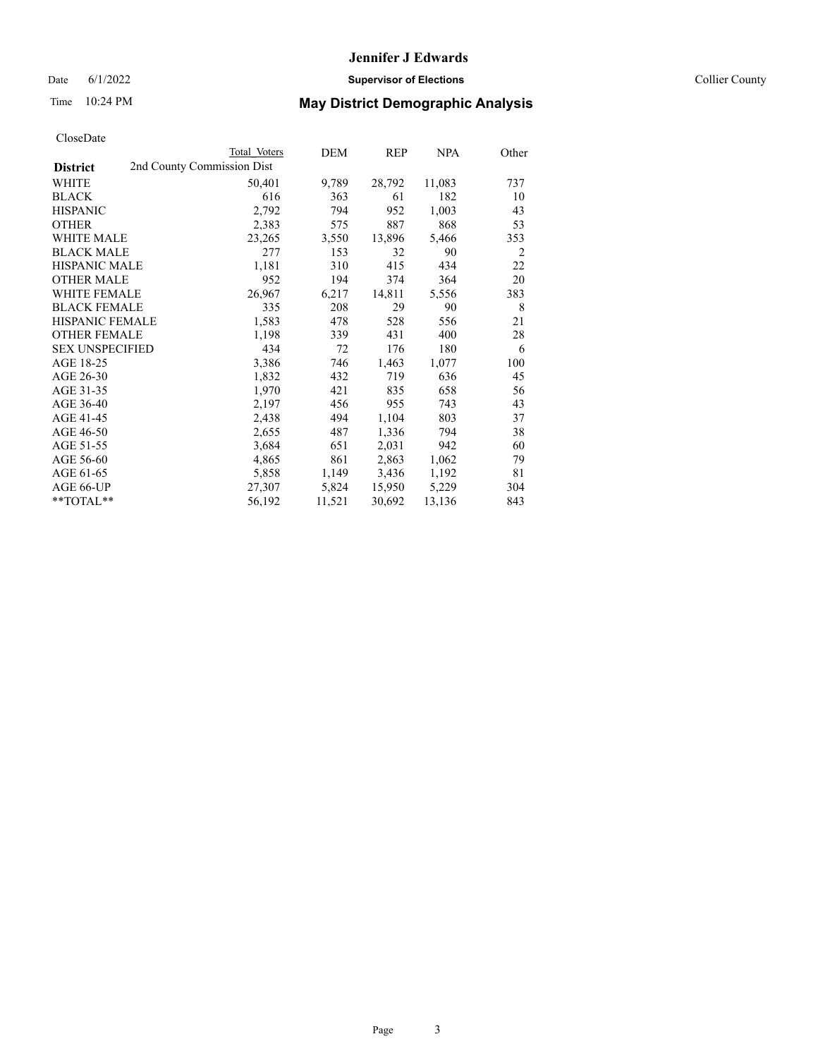Date 6/1/2022 **Supervisor of Elections** Collier County

| CloseDate |
|-----------|
|-----------|

|                                               | Total Voters | DEM    | <b>REP</b> | <b>NPA</b> | Other |
|-----------------------------------------------|--------------|--------|------------|------------|-------|
| 2nd County Commission Dist<br><b>District</b> |              |        |            |            |       |
| WHITE                                         | 50,401       | 9,789  | 28,792     | 11,083     | 737   |
| <b>BLACK</b>                                  | 616          | 363    | 61         | 182        | 10    |
| <b>HISPANIC</b>                               | 2,792        | 794    | 952        | 1,003      | 43    |
| <b>OTHER</b>                                  | 2,383        | 575    | 887        | 868        | 53    |
| <b>WHITE MALE</b>                             | 23,265       | 3,550  | 13,896     | 5,466      | 353   |
| <b>BLACK MALE</b>                             | 277          | 153    | 32         | 90         | 2     |
| <b>HISPANIC MALE</b>                          | 1,181        | 310    | 415        | 434        | 22    |
| <b>OTHER MALE</b>                             | 952          | 194    | 374        | 364        | 20    |
| WHITE FEMALE                                  | 26,967       | 6,217  | 14,811     | 5,556      | 383   |
| <b>BLACK FEMALE</b>                           | 335          | 208    | 29         | 90         | 8     |
| <b>HISPANIC FEMALE</b>                        | 1,583        | 478    | 528        | 556        | 21    |
| <b>OTHER FEMALE</b>                           | 1,198        | 339    | 431        | 400        | 28    |
| <b>SEX UNSPECIFIED</b>                        | 434          | 72     | 176        | 180        | 6     |
| AGE 18-25                                     | 3,386        | 746    | 1,463      | 1,077      | 100   |
| AGE 26-30                                     | 1,832        | 432    | 719        | 636        | 45    |
| AGE 31-35                                     | 1,970        | 421    | 835        | 658        | 56    |
| AGE 36-40                                     | 2,197        | 456    | 955        | 743        | 43    |
| AGE 41-45                                     | 2,438        | 494    | 1,104      | 803        | 37    |
| AGE 46-50                                     | 2,655        | 487    | 1,336      | 794        | 38    |
| AGE 51-55                                     | 3,684        | 651    | 2,031      | 942        | 60    |
| AGE 56-60                                     | 4,865        | 861    | 2,863      | 1,062      | 79    |
| AGE 61-65                                     | 5,858        | 1,149  | 3,436      | 1,192      | 81    |
| AGE 66-UP                                     | 27,307       | 5,824  | 15,950     | 5,229      | 304   |
| $*$ $TOTAL**$                                 | 56,192       | 11,521 | 30,692     | 13,136     | 843   |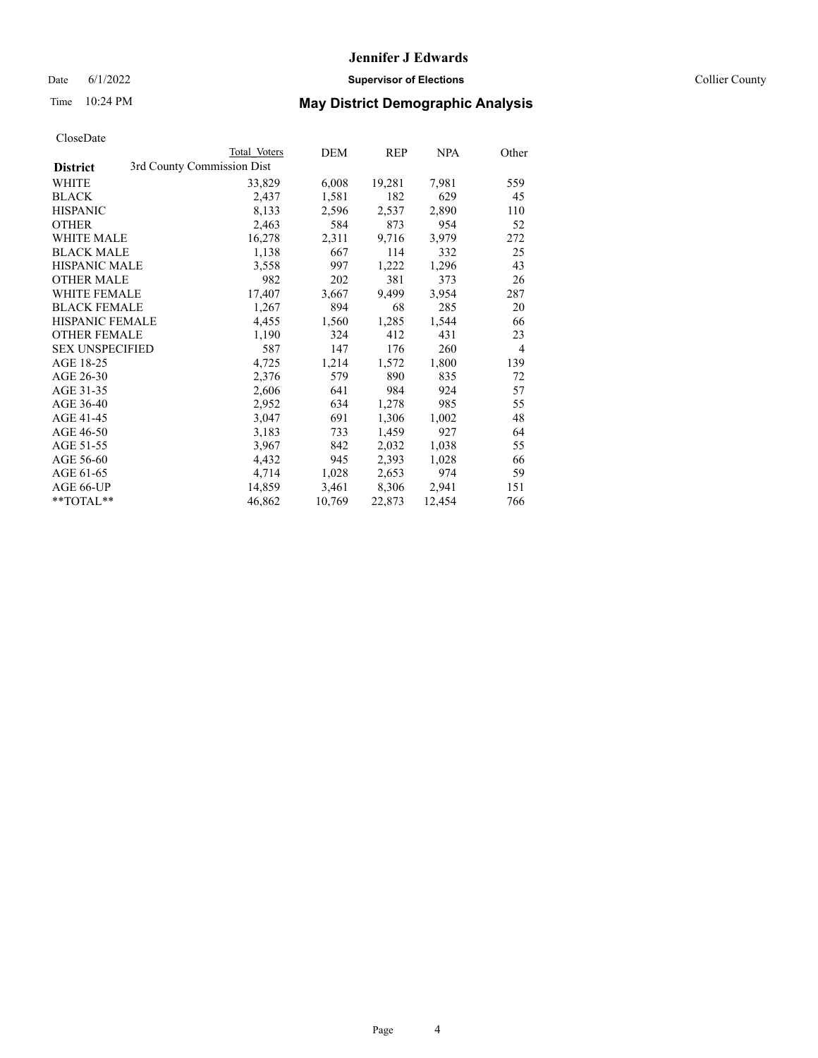## Date 6/1/2022 **Supervisor of Elections** Collier County

## Time 10:24 PM **May District Demographic Analysis**

|                                               | Total Voters | DEM    | REP    | NPA    | Other          |
|-----------------------------------------------|--------------|--------|--------|--------|----------------|
| 3rd County Commission Dist<br><b>District</b> |              |        |        |        |                |
| WHITE                                         | 33,829       | 6,008  | 19,281 | 7,981  | 559            |
| <b>BLACK</b>                                  | 2,437        | 1,581  | 182    | 629    | 45             |
| <b>HISPANIC</b>                               | 8,133        | 2,596  | 2,537  | 2,890  | 110            |
| <b>OTHER</b>                                  | 2,463        | 584    | 873    | 954    | 52             |
| WHITE MALE                                    | 16,278       | 2,311  | 9,716  | 3,979  | 272            |
| <b>BLACK MALE</b>                             | 1,138        | 667    | 114    | 332    | 25             |
| <b>HISPANIC MALE</b>                          | 3,558        | 997    | 1,222  | 1,296  | 43             |
| <b>OTHER MALE</b>                             | 982          | 202    | 381    | 373    | 26             |
| <b>WHITE FEMALE</b>                           | 17,407       | 3,667  | 9,499  | 3,954  | 287            |
| <b>BLACK FEMALE</b>                           | 1,267        | 894    | 68     | 285    | 20             |
| HISPANIC FEMALE                               | 4,455        | 1,560  | 1,285  | 1,544  | 66             |
| <b>OTHER FEMALE</b>                           | 1,190        | 324    | 412    | 431    | 23             |
| <b>SEX UNSPECIFIED</b>                        | 587          | 147    | 176    | 260    | $\overline{4}$ |
| AGE 18-25                                     | 4,725        | 1,214  | 1,572  | 1,800  | 139            |
| AGE 26-30                                     | 2,376        | 579    | 890    | 835    | 72             |
| AGE 31-35                                     | 2,606        | 641    | 984    | 924    | 57             |
| AGE 36-40                                     | 2,952        | 634    | 1,278  | 985    | 55             |
| AGE 41-45                                     | 3,047        | 691    | 1,306  | 1,002  | 48             |
| AGE 46-50                                     | 3,183        | 733    | 1,459  | 927    | 64             |
| AGE 51-55                                     | 3,967        | 842    | 2,032  | 1,038  | 55             |
| AGE 56-60                                     | 4,432        | 945    | 2,393  | 1,028  | 66             |
| AGE 61-65                                     | 4,714        | 1,028  | 2,653  | 974    | 59             |
| AGE 66-UP                                     | 14,859       | 3,461  | 8,306  | 2,941  | 151            |
| $*$ $TOTAL**$                                 | 46,862       | 10,769 | 22,873 | 12,454 | 766            |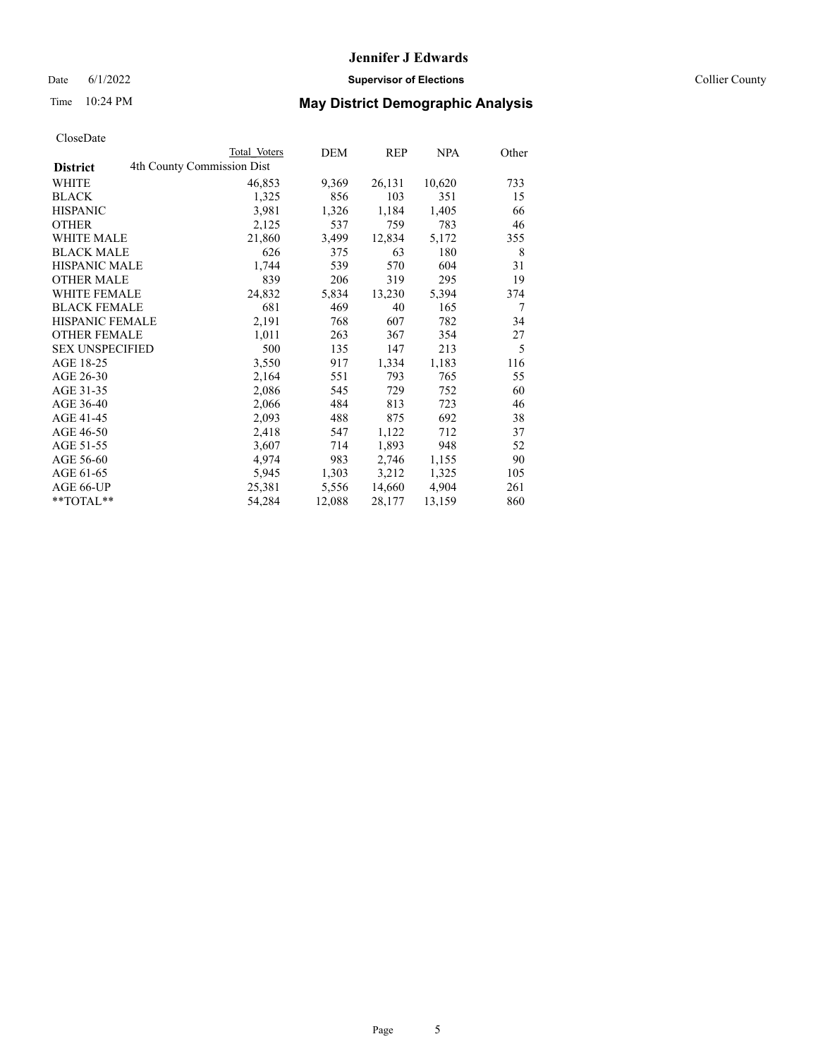Date 6/1/2022 **Supervisor of Elections** Collier County

| CloseDate |
|-----------|
|-----------|

|                        | Total Voters               | DEM    | REP    | <b>NPA</b> | Other |
|------------------------|----------------------------|--------|--------|------------|-------|
| <b>District</b>        | 4th County Commission Dist |        |        |            |       |
| WHITE                  | 46,853                     | 9,369  | 26,131 | 10,620     | 733   |
| <b>BLACK</b>           | 1,325                      | 856    | 103    | 351        | 15    |
| <b>HISPANIC</b>        | 3,981                      | 1,326  | 1,184  | 1,405      | 66    |
| <b>OTHER</b>           | 2,125                      | 537    | 759    | 783        | 46    |
| <b>WHITE MALE</b>      | 21,860                     | 3,499  | 12,834 | 5,172      | 355   |
| <b>BLACK MALE</b>      | 626                        | 375    | 63     | 180        | 8     |
| <b>HISPANIC MALE</b>   | 1,744                      | 539    | 570    | 604        | 31    |
| <b>OTHER MALE</b>      | 839                        | 206    | 319    | 295        | 19    |
| <b>WHITE FEMALE</b>    | 24,832                     | 5,834  | 13,230 | 5,394      | 374   |
| <b>BLACK FEMALE</b>    | 681                        | 469    | 40     | 165        | 7     |
| <b>HISPANIC FEMALE</b> | 2,191                      | 768    | 607    | 782        | 34    |
| <b>OTHER FEMALE</b>    | 1,011                      | 263    | 367    | 354        | 27    |
| <b>SEX UNSPECIFIED</b> | 500                        | 135    | 147    | 213        | 5     |
| AGE 18-25              | 3,550                      | 917    | 1,334  | 1,183      | 116   |
| AGE 26-30              | 2,164                      | 551    | 793    | 765        | 55    |
| AGE 31-35              | 2,086                      | 545    | 729    | 752        | 60    |
| AGE 36-40              | 2,066                      | 484    | 813    | 723        | 46    |
| AGE 41-45              | 2,093                      | 488    | 875    | 692        | 38    |
| AGE 46-50              | 2,418                      | 547    | 1,122  | 712        | 37    |
| AGE 51-55              | 3,607                      | 714    | 1,893  | 948        | 52    |
| AGE 56-60              | 4,974                      | 983    | 2,746  | 1,155      | 90    |
| AGE 61-65              | 5,945                      | 1,303  | 3,212  | 1,325      | 105   |
| AGE 66-UP              | 25,381                     | 5,556  | 14,660 | 4,904      | 261   |
| $*$ $TOTAL**$          | 54,284                     | 12,088 | 28,177 | 13,159     | 860   |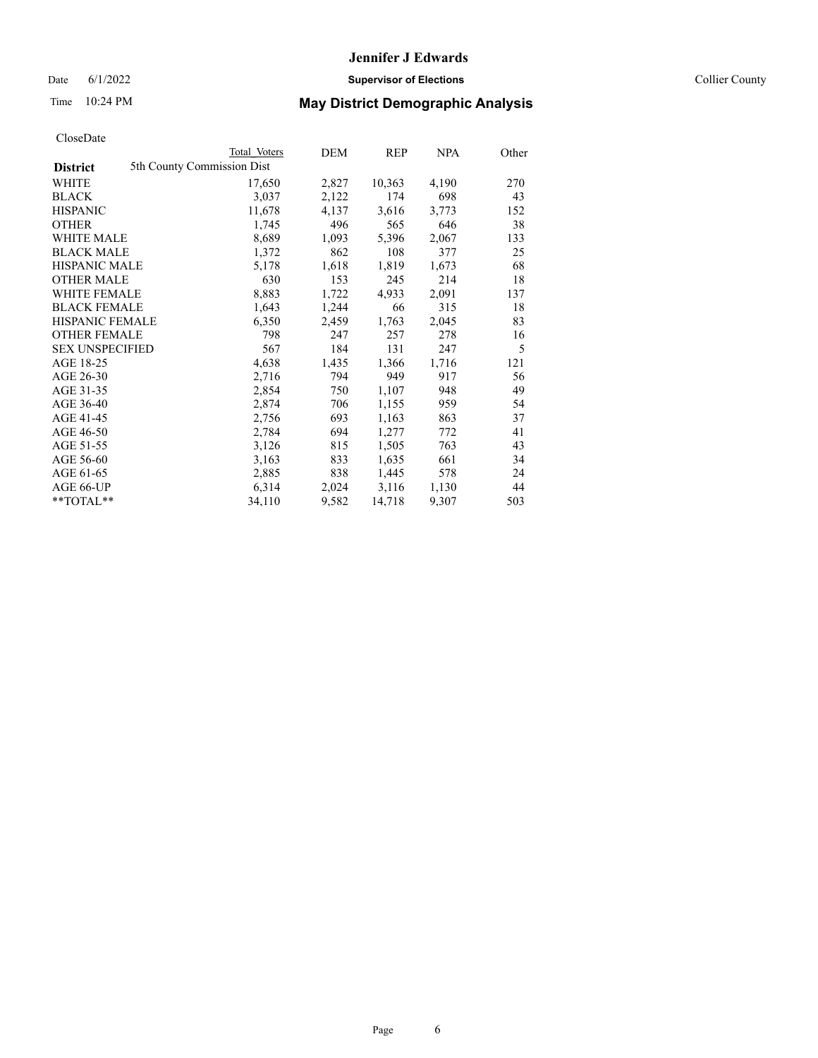# **Jennifer J Edwards** Date 6/1/2022 **Supervisor of Elections** Collier County

| CloseDate |
|-----------|
|-----------|

|                        | Total Voters               | DEM   | <b>REP</b> | <b>NPA</b> | Other |
|------------------------|----------------------------|-------|------------|------------|-------|
| <b>District</b>        | 5th County Commission Dist |       |            |            |       |
| WHITE                  | 17,650                     | 2,827 | 10,363     | 4,190      | 270   |
| BLACK                  | 3,037                      | 2,122 | 174        | 698        | 43    |
| HISPANIC               | 11,678                     | 4,137 | 3,616      | 3,773      | 152   |
| OTHER                  | 1,745                      | 496   | 565        | 646        | 38    |
| <b>WHITE MALE</b>      | 8,689                      | 1,093 | 5,396      | 2,067      | 133   |
| BLACK MALE             | 1,372                      | 862   | 108        | 377        | 25    |
| HISPANIC MALE          | 5,178                      | 1,618 | 1,819      | 1,673      | 68    |
| <b>OTHER MALE</b>      | 630                        | 153   | 245        | 214        | 18    |
| WHITE FEMALE           | 8,883                      | 1,722 | 4,933      | 2,091      | 137   |
| BLACK FEMALE           | 1,643                      | 1,244 | 66         | 315        | 18    |
| HISPANIC FEMALE        | 6,350                      | 2,459 | 1,763      | 2,045      | 83    |
| OTHER FEMALE           | 798                        | 247   | 257        | 278        | 16    |
| <b>SEX UNSPECIFIED</b> | 567                        | 184   | 131        | 247        | 5     |
| AGE 18-25              | 4,638                      | 1,435 | 1,366      | 1,716      | 121   |
| AGE 26-30              | 2,716                      | 794   | 949        | 917        | 56    |
| AGE 31-35              | 2,854                      | 750   | 1,107      | 948        | 49    |
| AGE 36-40              | 2,874                      | 706   | 1,155      | 959        | 54    |
| AGE 41-45              | 2,756                      | 693   | 1,163      | 863        | 37    |
| AGE 46-50              | 2,784                      | 694   | 1,277      | 772        | 41    |
| AGE 51-55              | 3,126                      | 815   | 1,505      | 763        | 43    |
| AGE 56-60              | 3,163                      | 833   | 1,635      | 661        | 34    |
| AGE 61-65              | 2,885                      | 838   | 1,445      | 578        | 24    |
| AGE 66-UP              | 6,314                      | 2,024 | 3,116      | 1,130      | 44    |
| $*$ $TOTAL**$          | 34,110                     | 9,582 | 14,718     | 9,307      | 503   |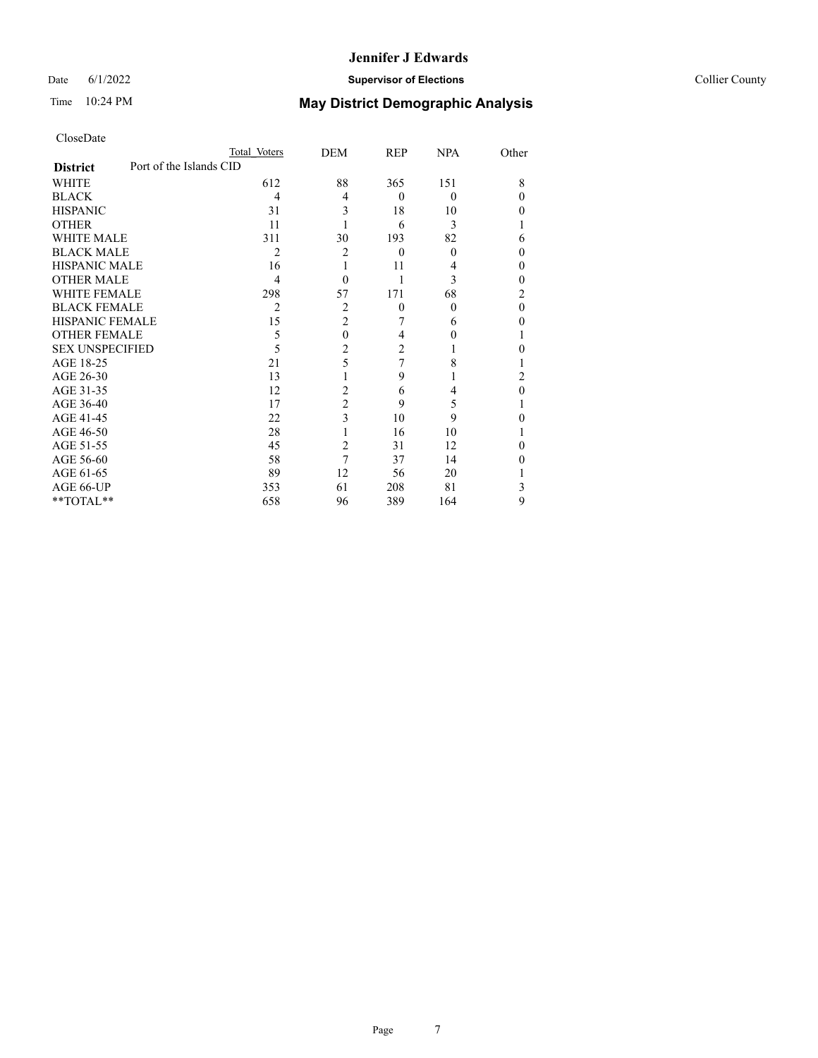## Date 6/1/2022 **Supervisor of Elections** Collier County

| CloseDate              |                         |                |                  |            |            |                  |
|------------------------|-------------------------|----------------|------------------|------------|------------|------------------|
|                        |                         | Total Voters   | DEM              | <b>REP</b> | <b>NPA</b> | Other            |
| <b>District</b>        | Port of the Islands CID |                |                  |            |            |                  |
| WHITE                  |                         | 612            | 88               | 365        | 151        | 8                |
| <b>BLACK</b>           |                         | 4              | 4                | $\Omega$   | $\theta$   | $\theta$         |
| <b>HISPANIC</b>        |                         | 31             | 3                | 18         | 10         | $\theta$         |
| <b>OTHER</b>           |                         | 11             | 1                | 6          | 3          | 1                |
| <b>WHITE MALE</b>      |                         | 311            | 30               | 193        | 82         | 6                |
| <b>BLACK MALE</b>      |                         | $\overline{c}$ | $\overline{c}$   | $\theta$   | $\theta$   | $\overline{0}$   |
| <b>HISPANIC MALE</b>   |                         | 16             | 1                | 11         | 4          | $\theta$         |
| OTHER MALE             |                         | 4              | $\theta$         |            | 3          | $\boldsymbol{0}$ |
| <b>WHITE FEMALE</b>    |                         | 298            | 57               | 171        | 68         | $\overline{c}$   |
| <b>BLACK FEMALE</b>    |                         | 2              | 2                | $\theta$   | 0          | $\mathbf{0}$     |
| HISPANIC FEMALE        |                         | 15             | $\overline{c}$   |            | 6          | $\mathbf{0}$     |
| <b>OTHER FEMALE</b>    |                         | 5              | $\boldsymbol{0}$ | 4          |            | 1                |
| <b>SEX UNSPECIFIED</b> |                         | 5              | $\overline{c}$   | 2          |            | $\theta$         |
| AGE 18-25              |                         | 21             | 5                | 7          | 8          | 1                |
| AGE 26-30              |                         | 13             |                  | 9          |            | $\overline{c}$   |
| AGE 31-35              |                         | 12             | $\overline{c}$   | 6          | 4          | $\boldsymbol{0}$ |
| AGE 36-40              |                         | 17             | $\overline{c}$   | 9          | 5          | 1                |
| AGE 41-45              |                         | 22             | 3                | 10         | 9          | $\theta$         |
| AGE 46-50              |                         | 28             | 1                | 16         | 10         | 1                |
| AGE 51-55              |                         | 45             | $\overline{c}$   | 31         | 12         | $\theta$         |
| AGE 56-60              |                         | 58             | 7                | 37         | 14         | $\theta$         |
| AGE 61-65              |                         | 89             | 12               | 56         | 20         | 1                |
| AGE 66-UP              |                         | 353            | 61               | 208        | 81         | 3                |
| **TOTAL**              |                         | 658            | 96               | 389        | 164        | 9                |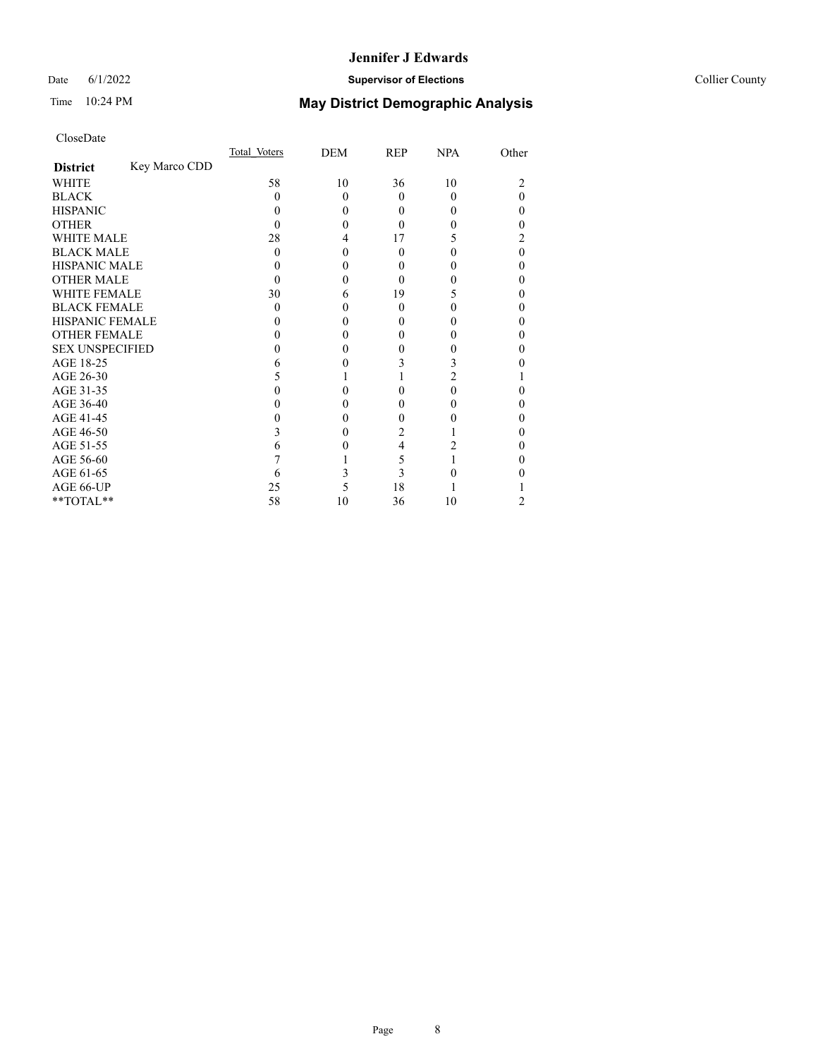## Date 6/1/2022 **Supervisor of Elections Supervisor of Elections** Collier County

# Time 10:24 PM **May District Demographic Analysis**

|                        |               | Total Voters | DEM      | <b>REP</b> | <b>NPA</b> | Other    |
|------------------------|---------------|--------------|----------|------------|------------|----------|
| <b>District</b>        | Key Marco CDD |              |          |            |            |          |
| <b>WHITE</b>           |               | 58           | 10       | 36         | 10         | 2        |
| <b>BLACK</b>           |               | 0            | $\Omega$ | 0          | 0          | $\Omega$ |
| <b>HISPANIC</b>        |               | $\theta$     | $\theta$ | 0          |            | 0        |
| <b>OTHER</b>           |               |              | 0        |            |            | 0        |
| WHITE MALE             |               | 28           | 4        | 17         |            | 2        |
| <b>BLACK MALE</b>      |               | 0            | 0        | $\Omega$   |            | 0        |
| <b>HISPANIC MALE</b>   |               |              | 0        |            |            | 0        |
| <b>OTHER MALE</b>      |               |              | 0        | 0          |            | 0        |
| <b>WHITE FEMALE</b>    |               | 30           | 6        | 19         | 5          | 0        |
| <b>BLACK FEMALE</b>    |               | $\Omega$     | 0        | 0          | 0          | 0        |
| <b>HISPANIC FEMALE</b> |               |              | 0        |            |            | 0        |
| <b>OTHER FEMALE</b>    |               |              | 0        | 0          |            | 0        |
| <b>SEX UNSPECIFIED</b> |               |              | 0        |            |            | 0        |
| AGE 18-25              |               |              | 0        | 3          | 3          | 0        |
| AGE 26-30              |               |              |          |            | 2          |          |
| AGE 31-35              |               |              |          |            | 0          | 0        |
| AGE 36-40              |               |              | 0        | 0          |            | 0        |
| AGE 41-45              |               |              | 0        |            |            | 0        |
| AGE 46-50              |               | 3            | 0        | 2          |            | 0        |
| AGE 51-55              |               | 6            |          | 4          |            | 0        |
| AGE 56-60              |               |              |          | 5          |            | 0        |
| AGE 61-65              |               | 6            | 3        | 3          |            | 0        |
| AGE 66-UP              |               | 25           | 5        | 18         |            |          |
| **TOTAL**              |               | 58           | 10       | 36         | 10         | 2        |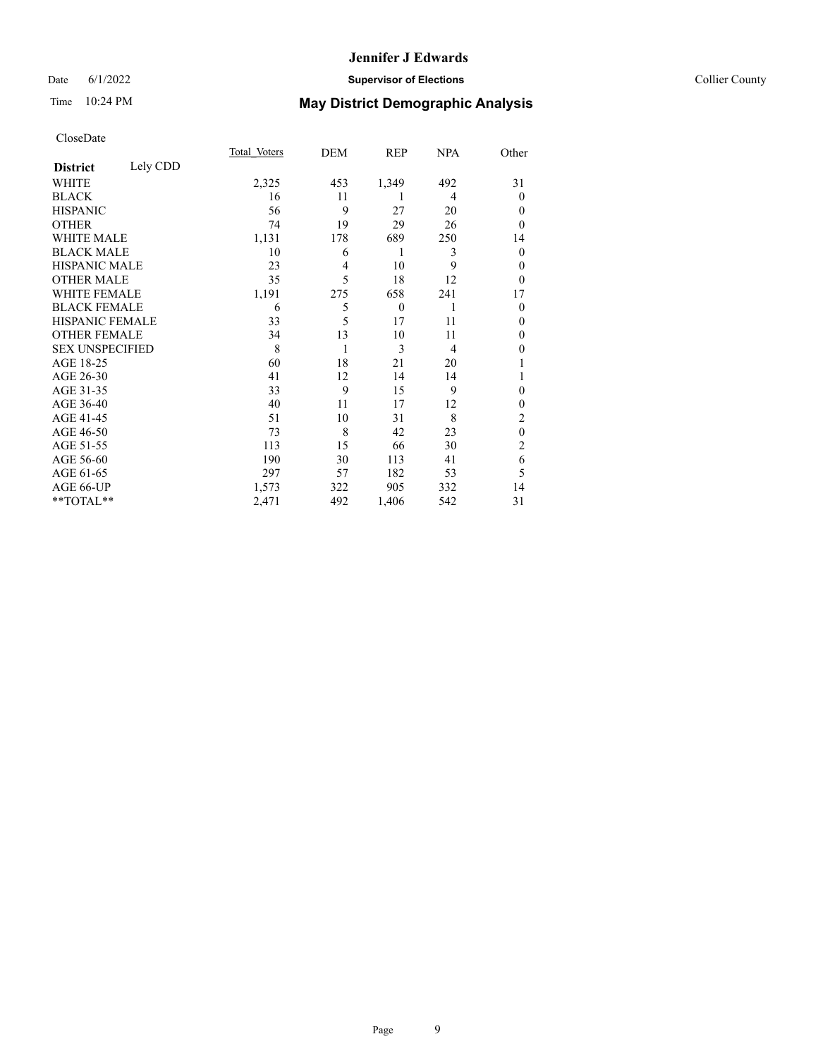## Date 6/1/2022 **Supervisor of Elections** Collier County

## Time 10:24 PM **May District Demographic Analysis**

|                        |          | Total Voters | DEM            | REP      | <b>NPA</b>     | Other          |
|------------------------|----------|--------------|----------------|----------|----------------|----------------|
| <b>District</b>        | Lely CDD |              |                |          |                |                |
| WHITE                  |          | 2,325        | 453            | 1,349    | 492            | 31             |
| <b>BLACK</b>           |          | 16           | 11             | 1        | 4              | $\overline{0}$ |
| <b>HISPANIC</b>        |          | 56           | 9              | 27       | 20             | $\Omega$       |
| <b>OTHER</b>           |          | 74           | 19             | 29       | 26             | $\Omega$       |
| <b>WHITE MALE</b>      |          | 1,131        | 178            | 689      | 250            | 14             |
| <b>BLACK MALE</b>      |          | 10           | 6              | 1        | 3              | $\theta$       |
| HISPANIC MALE          |          | 23           | $\overline{4}$ | 10       | 9              | $\Omega$       |
| <b>OTHER MALE</b>      |          | 35           | 5              | 18       | 12             | $\theta$       |
| <b>WHITE FEMALE</b>    |          | 1,191        | 275            | 658      | 241            | 17             |
| <b>BLACK FEMALE</b>    |          | 6            | 5              | $\theta$ | 1              | $\Omega$       |
| <b>HISPANIC FEMALE</b> |          | 33           | 5              | 17       | 11             | $\theta$       |
| <b>OTHER FEMALE</b>    |          | 34           | 13             | 10       | 11             | $\theta$       |
| <b>SEX UNSPECIFIED</b> |          | 8            | 1              | 3        | $\overline{4}$ | $\mathbf{0}$   |
| AGE 18-25              |          | 60           | 18             | 21       | 20             | 1              |
| AGE 26-30              |          | 41           | 12             | 14       | 14             |                |
| AGE 31-35              |          | 33           | 9              | 15       | 9              | $\theta$       |
| AGE 36-40              |          | 40           | 11             | 17       | 12             | $\theta$       |
| AGE 41-45              |          | 51           | 10             | 31       | 8              | $\overline{2}$ |
| AGE 46-50              |          | 73           | 8              | 42       | 23             | $\theta$       |
| AGE 51-55              |          | 113          | 15             | 66       | 30             | 2              |
| AGE 56-60              |          | 190          | 30             | 113      | 41             | 6              |
| AGE 61-65              |          | 297          | 57             | 182      | 53             | 5              |
| AGE 66-UP              |          | 1,573        | 322            | 905      | 332            | 14             |
| **TOTAL**              |          | 2,471        | 492            | 1,406    | 542            | 31             |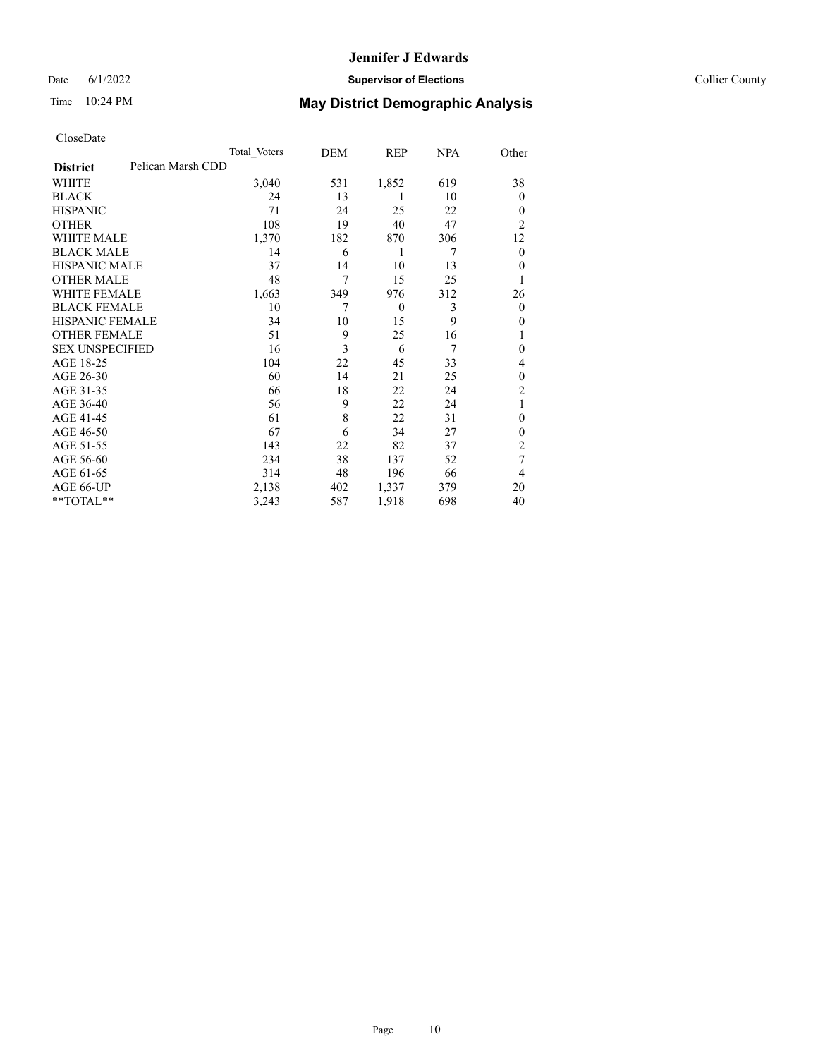## Date 6/1/2022 **Supervisor of Elections** Collier County

| CloseDate |
|-----------|
|-----------|

|                        |                   | Total Voters | DEM | REP      | <b>NPA</b> | Other          |
|------------------------|-------------------|--------------|-----|----------|------------|----------------|
| <b>District</b>        | Pelican Marsh CDD |              |     |          |            |                |
| WHITE                  |                   | 3,040        | 531 | 1,852    | 619        | 38             |
| <b>BLACK</b>           |                   | 24           | 13  | 1        | 10         | $\Omega$       |
| <b>HISPANIC</b>        |                   | 71           | 24  | 25       | 22         | $\theta$       |
| <b>OTHER</b>           |                   | 108          | 19  | 40       | 47         | $\overline{2}$ |
| <b>WHITE MALE</b>      |                   | 1,370        | 182 | 870      | 306        | 12             |
| <b>BLACK MALE</b>      |                   | 14           | 6   | 1        | 7          | $\overline{0}$ |
| <b>HISPANIC MALE</b>   |                   | 37           | 14  | 10       | 13         | $\theta$       |
| <b>OTHER MALE</b>      |                   | 48           | 7   | 15       | 25         | 1              |
| <b>WHITE FEMALE</b>    |                   | 1,663        | 349 | 976      | 312        | 26             |
| <b>BLACK FEMALE</b>    |                   | 10           | 7   | $\theta$ | 3          | $\overline{0}$ |
| <b>HISPANIC FEMALE</b> |                   | 34           | 10  | 15       | 9          | $\theta$       |
| <b>OTHER FEMALE</b>    |                   | 51           | 9   | 25       | 16         |                |
| <b>SEX UNSPECIFIED</b> |                   | 16           | 3   | 6        | 7          | $\mathbf{0}$   |
| AGE 18-25              |                   | 104          | 22  | 45       | 33         | 4              |
| AGE 26-30              |                   | 60           | 14  | 21       | 25         | $\mathbf{0}$   |
| AGE 31-35              |                   | 66           | 18  | 22       | 24         | $\overline{c}$ |
| AGE 36-40              |                   | 56           | 9   | 22       | 24         |                |
| AGE 41-45              |                   | 61           | 8   | 22       | 31         | 0              |
| AGE 46-50              |                   | 67           | 6   | 34       | 27         | $\theta$       |
| AGE 51-55              |                   | 143          | 22  | 82       | 37         | 2              |
| AGE 56-60              |                   | 234          | 38  | 137      | 52         | 7              |
| AGE 61-65              |                   | 314          | 48  | 196      | 66         | 4              |
| AGE 66-UP              |                   | 2,138        | 402 | 1,337    | 379        | 20             |
| **TOTAL**              |                   | 3,243        | 587 | 1,918    | 698        | 40             |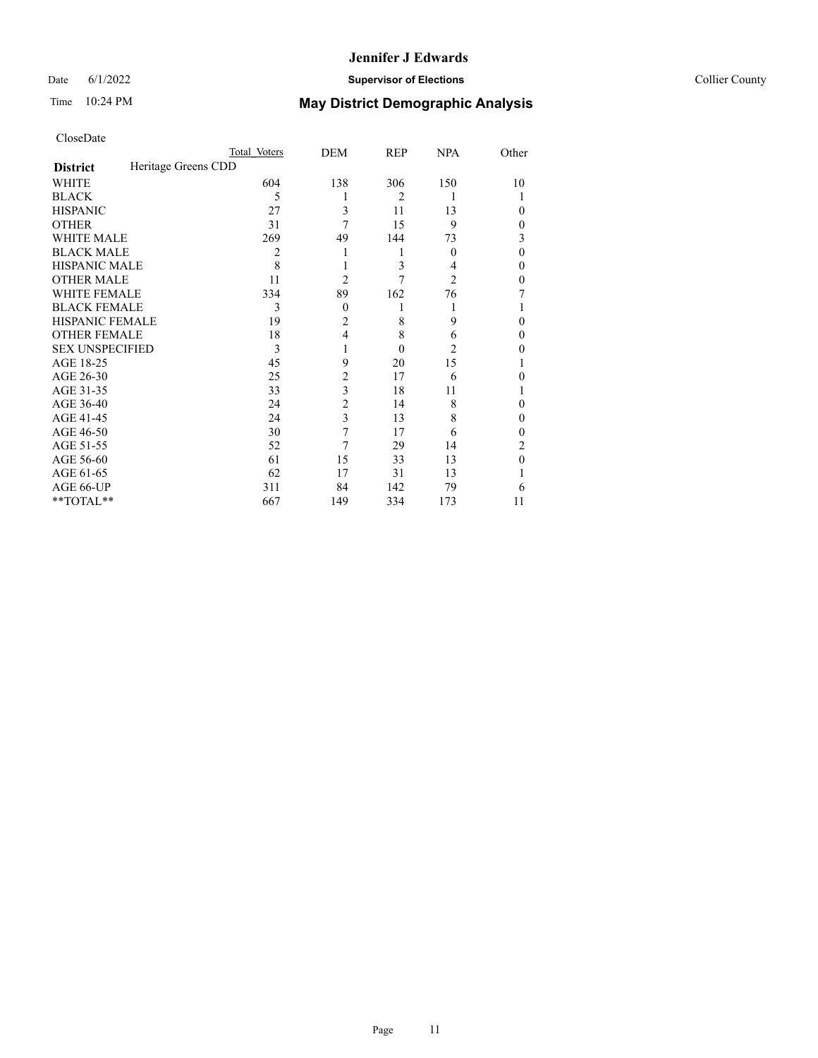## Date 6/1/2022 **Supervisor of Elections** Collier County

| CloseDate |
|-----------|
|-----------|

|                                        | Total Voters | DEM            | <b>REP</b> | <b>NPA</b>       | Other    |
|----------------------------------------|--------------|----------------|------------|------------------|----------|
| Heritage Greens CDD<br><b>District</b> |              |                |            |                  |          |
| WHITE                                  | 604          | 138            | 306        | 150              | 10       |
| <b>BLACK</b>                           | 5            |                | 2          | 1                |          |
| <b>HISPANIC</b>                        | 27           | 3              | 11         | 13               | $\theta$ |
| <b>OTHER</b>                           | 31           | 7              | 15         | 9                | $\theta$ |
| <b>WHITE MALE</b>                      | 269          | 49             | 144        | 73               | 3        |
| <b>BLACK MALE</b>                      | 2            |                | 1          | $\boldsymbol{0}$ | $\theta$ |
| <b>HISPANIC MALE</b>                   | 8            |                | 3          | 4                | 0        |
| <b>OTHER MALE</b>                      | 11           | $\overline{2}$ | 7          | 2                | 0        |
| <b>WHITE FEMALE</b>                    | 334          | 89             | 162        | 76               |          |
| <b>BLACK FEMALE</b>                    | 3            | $\mathbf{0}$   | 1          | 1                |          |
| HISPANIC FEMALE                        | 19           | $\overline{c}$ | 8          | 9                | $\theta$ |
| <b>OTHER FEMALE</b>                    | 18           | 4              | 8          | 6                | $\theta$ |
| <b>SEX UNSPECIFIED</b>                 | 3            | 1              | $\theta$   | 2                | $\theta$ |
| AGE 18-25                              | 45           | 9              | 20         | 15               |          |
| AGE 26-30                              | 25           | 2              | 17         | 6                | 0        |
| AGE 31-35                              | 33           | 3              | 18         | 11               |          |
| AGE 36-40                              | 24           | $\overline{c}$ | 14         | 8                | $\theta$ |
| AGE 41-45                              | 24           | 3              | 13         | 8                | $\theta$ |
| AGE 46-50                              | 30           | 7              | 17         | 6                | 0        |
| AGE 51-55                              | 52           | 7              | 29         | 14               | 2        |
| AGE 56-60                              | 61           | 15             | 33         | 13               | $\theta$ |
| AGE 61-65                              | 62           | 17             | 31         | 13               |          |
| AGE 66-UP                              | 311          | 84             | 142        | 79               | 6        |
| **TOTAL**                              | 667          | 149            | 334        | 173              | 11       |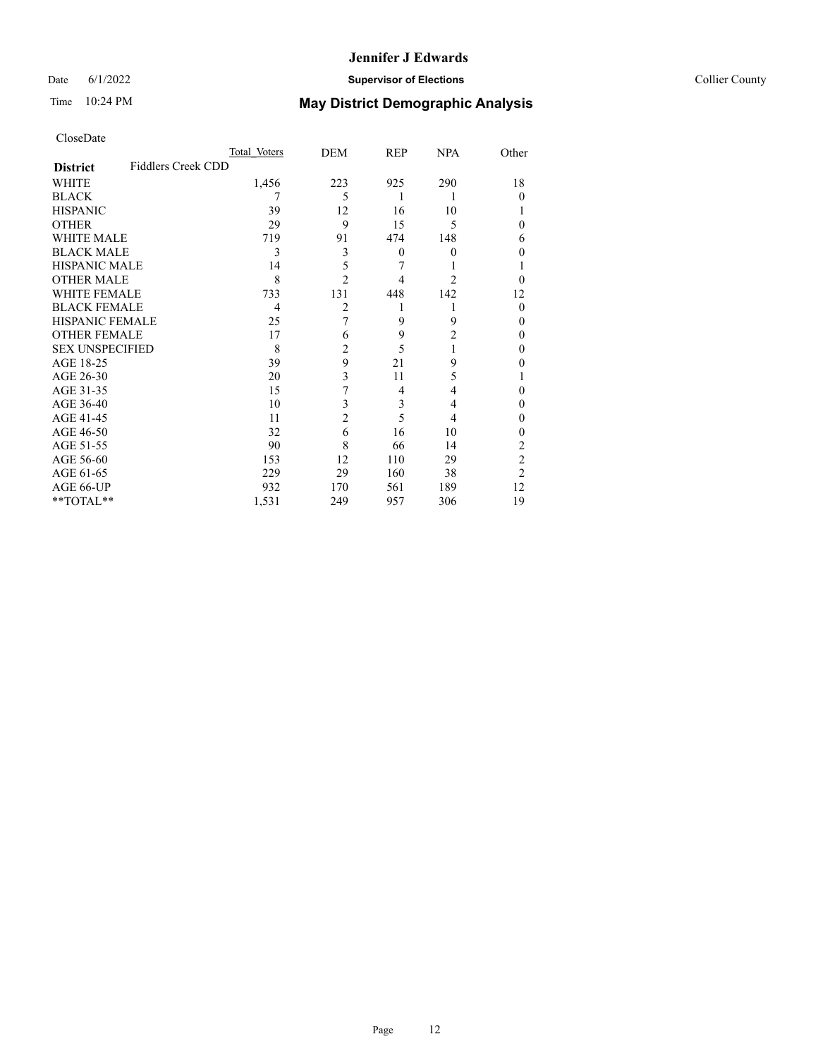## Date 6/1/2022 **Supervisor of Elections** Collier County

| CloseDate |
|-----------|
|-----------|

|                        | Total Voters              | DEM            | <b>REP</b>     | <b>NPA</b>     | Other          |
|------------------------|---------------------------|----------------|----------------|----------------|----------------|
| <b>District</b>        | <b>Fiddlers Creek CDD</b> |                |                |                |                |
| WHITE                  | 1,456                     | 223            | 925            | 290            | 18             |
| <b>BLACK</b>           |                           | 5              | 1              | 1              | $\theta$       |
| <b>HISPANIC</b>        | 39                        | 12             | 16             | 10             |                |
| <b>OTHER</b>           | 29                        | 9              | 15             | 5              | 0              |
| <b>WHITE MALE</b>      | 719                       | 91             | 474            | 148            | 6              |
| <b>BLACK MALE</b>      | 3                         | 3              | $\mathbf{0}$   | 0              |                |
| HISPANIC MALE          | 14                        | 5              | 7              |                |                |
| <b>OTHER MALE</b>      | 8                         | 2              | 4              | $\mathfrak{D}$ | 0              |
| <b>WHITE FEMALE</b>    | 733                       | 131            | 448            | 142            | 12             |
| <b>BLACK FEMALE</b>    | 4                         | 2              |                |                | $\Omega$       |
| <b>HISPANIC FEMALE</b> | 25                        | 7              | 9              | 9              | 0              |
| <b>OTHER FEMALE</b>    | 17                        | 6              | 9              | $\overline{2}$ | 0              |
| <b>SEX UNSPECIFIED</b> | 8                         | 2              | 5              | 1              | 0              |
| AGE 18-25              | 39                        | 9              | 21             | 9              | 0              |
| AGE 26-30              | 20                        | 3              | 11             | 5              |                |
| AGE 31-35              | 15                        | 7              | $\overline{4}$ | 4              | 0              |
| AGE 36-40              | 10                        | 3              | 3              | 4              | 0              |
| AGE 41-45              | 11                        | $\overline{c}$ | 5              | 4              | 0              |
| AGE 46-50              | 32                        | 6              | 16             | 10             | 0              |
| AGE 51-55              | 90                        | 8              | 66             | 14             | 2              |
| AGE 56-60              | 153                       | 12             | 110            | 29             | $\mathfrak{2}$ |
| AGE 61-65              | 229                       | 29             | 160            | 38             | $\overline{2}$ |
| AGE 66-UP              | 932                       | 170            | 561            | 189            | 12             |
| **TOTAL**              | 1,531                     | 249            | 957            | 306            | 19             |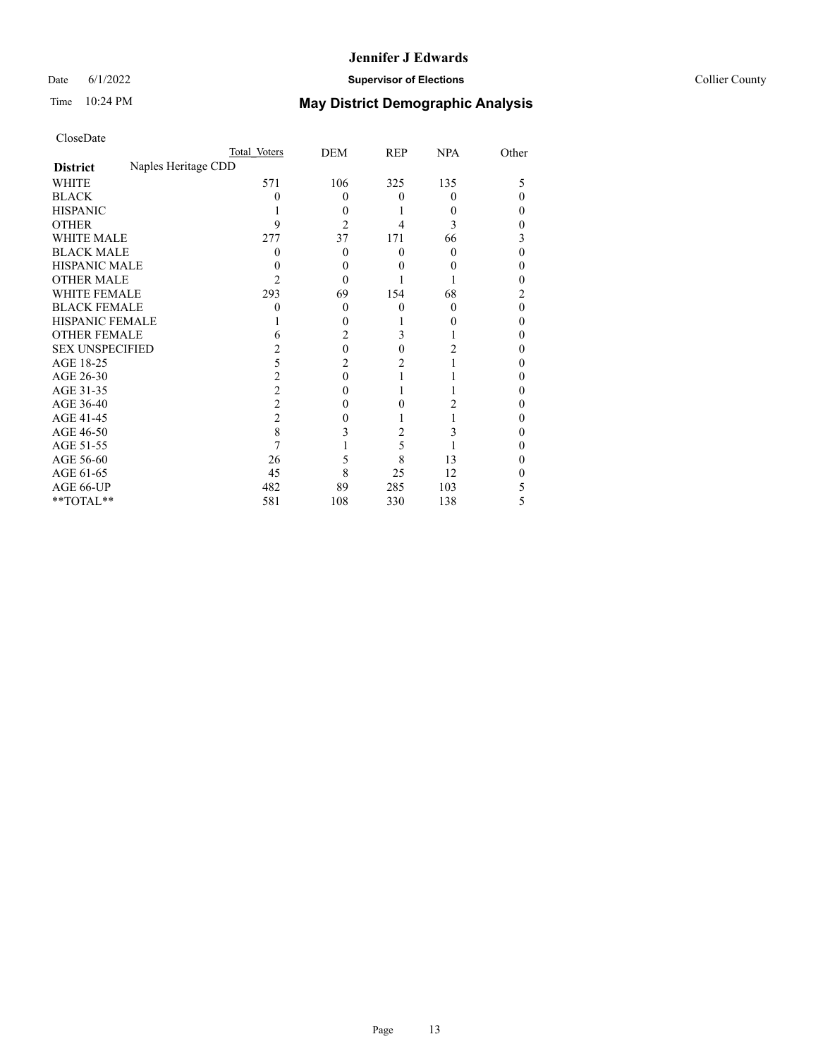## Date 6/1/2022 **Supervisor of Elections** Collier County

| CloseDate |
|-----------|
|-----------|

|                        |                     | Total Voters | DEM          | <b>REP</b> | <b>NPA</b> | Other |
|------------------------|---------------------|--------------|--------------|------------|------------|-------|
| <b>District</b>        | Naples Heritage CDD |              |              |            |            |       |
| WHITE                  |                     | 571          | 106          | 325        | 135        | 5     |
| <b>BLACK</b>           |                     |              | $\mathbf{0}$ | 0          | 0          | 0     |
| <b>HISPANIC</b>        |                     |              | 0            |            | $\theta$   | 0     |
| <b>OTHER</b>           |                     | q            | 2            |            | 3          |       |
| <b>WHITE MALE</b>      |                     | 277          | 37           | 171        | 66         | 3     |
| <b>BLACK MALE</b>      |                     |              | $\theta$     | 0          | 0          | 0     |
| <b>HISPANIC MALE</b>   |                     |              | 0            |            |            |       |
| <b>OTHER MALE</b>      |                     | 2            | 0            |            |            | 0     |
| <b>WHITE FEMALE</b>    |                     | 293          | 69           | 154        | 68         |       |
| <b>BLACK FEMALE</b>    |                     |              | 0            | 0          | $\theta$   | 0     |
| <b>HISPANIC FEMALE</b> |                     |              |              |            |            | 0     |
| <b>OTHER FEMALE</b>    |                     | 6            | 2            | 3          |            | 0     |
| <b>SEX UNSPECIFIED</b> |                     |              | 0            | 0          |            |       |
| AGE 18-25              |                     | 5            | 2            | 2          |            |       |
| AGE 26-30              |                     | 2            | 0            |            |            | 0     |
| AGE 31-35              |                     | 2            |              |            |            |       |
| AGE 36-40              |                     | 2            | 0            | 0          |            | 0     |
| AGE 41-45              |                     | 2            |              |            |            |       |
| AGE 46-50              |                     | 8            | 3            | 2          | 3          | 0     |
| AGE 51-55              |                     |              |              | 5          |            |       |
| AGE 56-60              |                     | 26           | 5            | 8          | 13         |       |
| AGE 61-65              |                     | 45           | 8            | 25         | 12         |       |
| AGE 66-UP              |                     | 482          | 89           | 285        | 103        | 5     |
| **TOTAL**              |                     | 581          | 108          | 330        | 138        | 5     |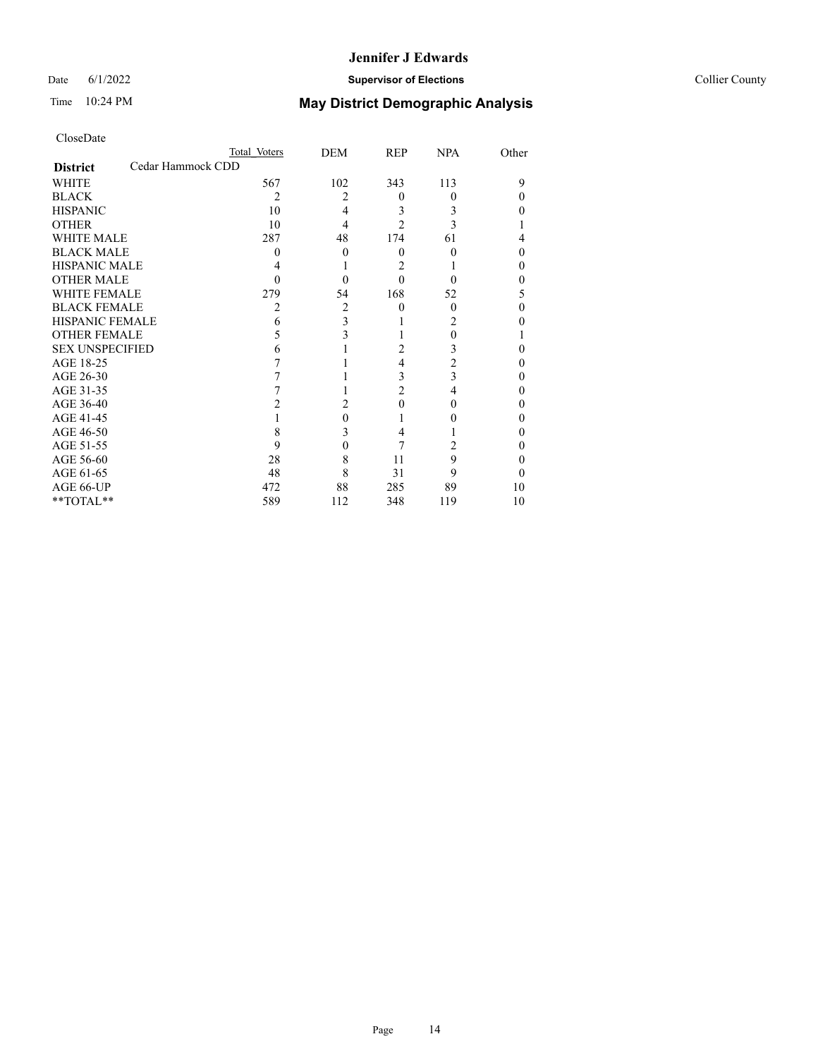## Date 6/1/2022 **Supervisor of Elections** Collier County

| CloseDate |
|-----------|
|-----------|

|                        |                   | Total Voters   | DEM | <b>REP</b>     | <b>NPA</b>     | Other |
|------------------------|-------------------|----------------|-----|----------------|----------------|-------|
| <b>District</b>        | Cedar Hammock CDD |                |     |                |                |       |
| WHITE                  |                   | 567            | 102 | 343            | 113            | 9     |
| <b>BLACK</b>           |                   | $\overline{2}$ | 2   | 0              | 0              |       |
| <b>HISPANIC</b>        |                   | 10             | 4   | 3              | 3              |       |
| <b>OTHER</b>           |                   | 10             | 4   | $\mathfrak{D}$ | 3              |       |
| <b>WHITE MALE</b>      |                   | 287            | 48  | 174            | 61             | 4     |
| <b>BLACK MALE</b>      |                   |                | 0   | 0              |                |       |
| <b>HISPANIC MALE</b>   |                   |                |     | 2              |                |       |
| <b>OTHER MALE</b>      |                   |                | 0   | 0              |                |       |
| <b>WHITE FEMALE</b>    |                   | 279            | 54  | 168            | 52             |       |
| <b>BLACK FEMALE</b>    |                   | 2              | 2   | 0              | $\theta$       | 0     |
| <b>HISPANIC FEMALE</b> |                   | 6              | 3   |                | 2              |       |
| <b>OTHER FEMALE</b>    |                   | 5              | 3   |                | 0              |       |
| <b>SEX UNSPECIFIED</b> |                   | 6              |     | 2              | 3              |       |
| AGE 18-25              |                   |                |     | 4              | $\overline{2}$ |       |
| AGE 26-30              |                   |                |     | 3              | 3              | 0     |
| AGE 31-35              |                   |                |     | $\overline{c}$ | 4              |       |
| AGE 36-40              |                   | 2              | 2   | 0              | 0              |       |
| AGE 41-45              |                   |                | 0   |                |                |       |
| AGE 46-50              |                   | 8              | 3   | 4              |                | 0     |
| AGE 51-55              |                   | 9              | 0   | 7              | 2              |       |
| AGE 56-60              |                   | 28             | 8   | 11             | 9              | 0     |
| AGE 61-65              |                   | 48             | 8   | 31             | 9              |       |
| AGE 66-UP              |                   | 472            | 88  | 285            | 89             | 10    |
| **TOTAL**              |                   | 589            | 112 | 348            | 119            | 10    |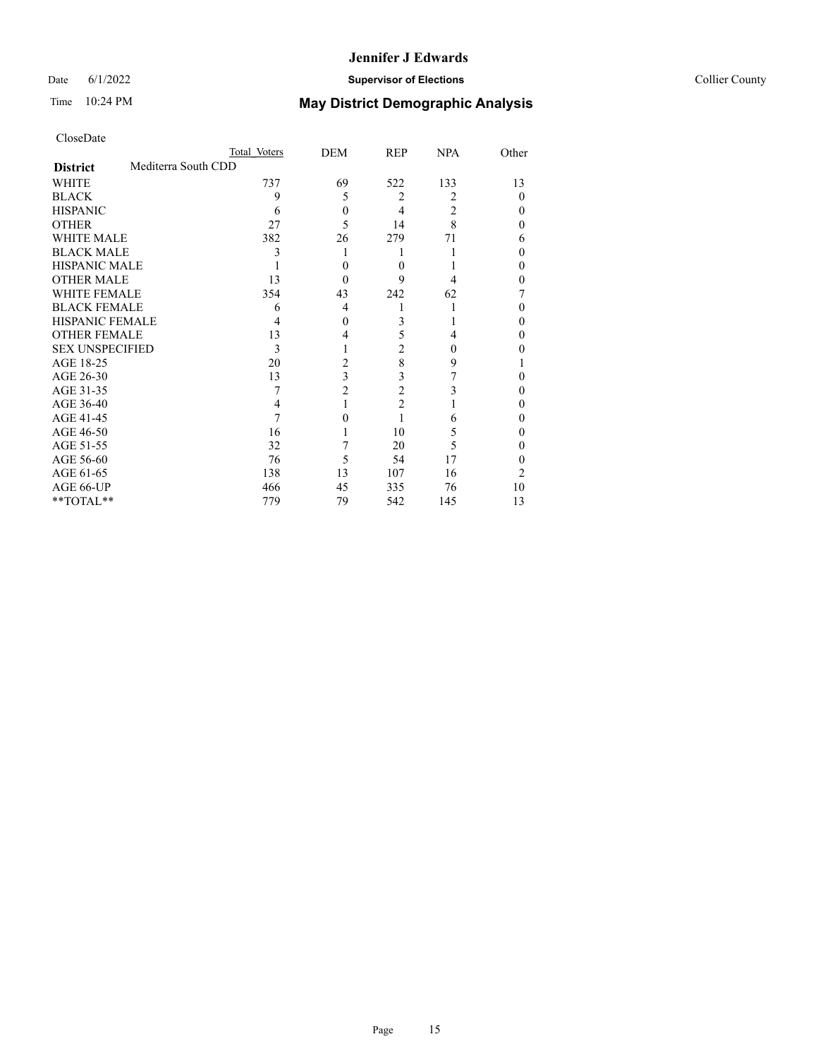## Date 6/1/2022 **Supervisor of Elections** Collier County

| CloseDate |
|-----------|
|-----------|

|                        |                     | Total Voters | DEM            | REP            | <b>NPA</b> | Other  |
|------------------------|---------------------|--------------|----------------|----------------|------------|--------|
| <b>District</b>        | Mediterra South CDD |              |                |                |            |        |
| WHITE                  |                     | 737          | 69             | 522            | 133        | 13     |
| <b>BLACK</b>           |                     | 9            | 5              | $\overline{2}$ | 2          | 0      |
| <b>HISPANIC</b>        |                     | 6            | 0              | $\overline{4}$ | 2          | $_{0}$ |
| <b>OTHER</b>           |                     | 27           | 5              | 14             | 8          | 0      |
| <b>WHITE MALE</b>      |                     | 382          | 26             | 279            | 71         | 6      |
| <b>BLACK MALE</b>      |                     | 3            |                |                |            | 0      |
| <b>HISPANIC MALE</b>   |                     |              | 0              | 0              |            | 0      |
| <b>OTHER MALE</b>      |                     | 13           | $\theta$       | 9              | 4          | 0      |
| <b>WHITE FEMALE</b>    |                     | 354          | 43             | 242            | 62         |        |
| <b>BLACK FEMALE</b>    |                     | 6            | 4              |                |            | 0      |
| <b>HISPANIC FEMALE</b> |                     |              | 0              | 3              |            | 0      |
| <b>OTHER FEMALE</b>    |                     | 13           | 4              | 5              | 4          | 0      |
| <b>SEX UNSPECIFIED</b> |                     | 3            |                | 2              | 0          |        |
| AGE 18-25              |                     | 20           | 2              | 8              | 9          |        |
| AGE 26-30              |                     | 13           | 3              | 3              |            | 0      |
| AGE 31-35              |                     |              | $\overline{c}$ | $\overline{c}$ | 3          | 0      |
| AGE 36-40              |                     | 4            |                | $\overline{2}$ |            | 0      |
| AGE 41-45              |                     |              | 0              |                | 6          |        |
| AGE 46-50              |                     | 16           |                | 10             | 5          | $_{0}$ |
| AGE 51-55              |                     | 32           | 7              | 20             | 5          | 0      |
| AGE 56-60              |                     | 76           | 5              | 54             | 17         | 0      |
| AGE 61-65              |                     | 138          | 13             | 107            | 16         | 2      |
| AGE 66-UP              |                     | 466          | 45             | 335            | 76         | 10     |
| **TOTAL**              |                     | 779          | 79             | 542            | 145        | 13     |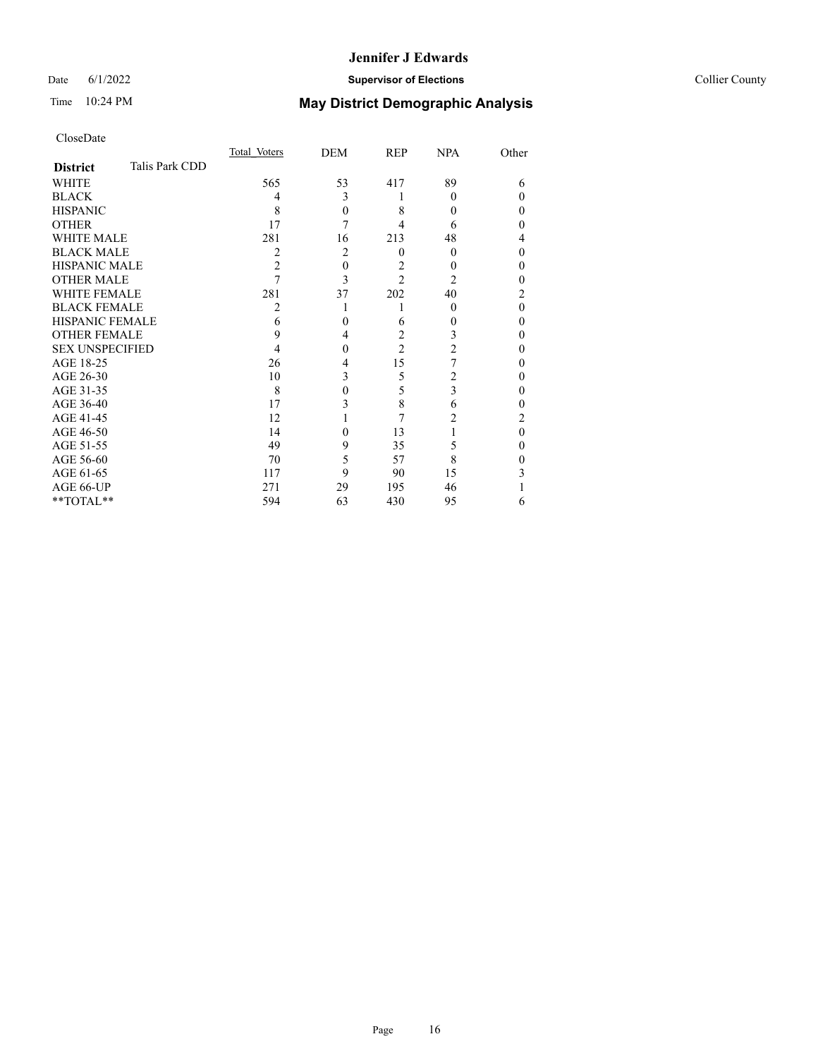## Date 6/1/2022 **Supervisor of Elections Supervisor of Elections** Collier County

# Time 10:24 PM **May District Demographic Analysis**

|                        |                | Total Voters | DEM            | REP            | <b>NPA</b>     | Other    |
|------------------------|----------------|--------------|----------------|----------------|----------------|----------|
| <b>District</b>        | Talis Park CDD |              |                |                |                |          |
| WHITE                  |                | 565          | 53             | 417            | 89             | 6        |
| <b>BLACK</b>           |                | 4            | 3              |                | 0              | $\theta$ |
| <b>HISPANIC</b>        |                | 8            | $\theta$       | 8              | 0              | $\theta$ |
| <b>OTHER</b>           |                | 17           | 7              | 4              | 6              | $\theta$ |
| WHITE MALE             |                | 281          | 16             | 213            | 48             | 4        |
| <b>BLACK MALE</b>      |                | 2            | $\overline{2}$ | $\theta$       | $\theta$       | $\theta$ |
| <b>HISPANIC MALE</b>   |                | 2            | $\theta$       | 2              | 0              | $\theta$ |
| <b>OTHER MALE</b>      |                | 7            | 3              | $\overline{c}$ | $\overline{c}$ | $\theta$ |
| WHITE FEMALE           |                | 281          | 37             | 202            | 40             | 2        |
| <b>BLACK FEMALE</b>    |                | 2            |                |                | $\Omega$       | $\theta$ |
| <b>HISPANIC FEMALE</b> |                | 6            | $\theta$       | 6              | 0              | $\theta$ |
| <b>OTHER FEMALE</b>    |                | 9            | 4              | 2              | 3              | $\theta$ |
| <b>SEX UNSPECIFIED</b> |                | 4            | $\theta$       | $\overline{c}$ | $\overline{2}$ | $\theta$ |
| AGE 18-25              |                | 26           | 4              | 15             | 7              | $\theta$ |
| AGE 26-30              |                | 10           | 3              | 5              | $\overline{2}$ | $\theta$ |
| AGE 31-35              |                | 8            | 0              | 5              | 3              | 0        |
| AGE 36-40              |                | 17           | 3              | 8              | 6              | $\theta$ |
| AGE 41-45              |                | 12           |                | 7              | 2              | 2        |
| AGE 46-50              |                | 14           | $\theta$       | 13             |                | $\theta$ |
| AGE 51-55              |                | 49           | 9              | 35             | 5              | $\Omega$ |
| AGE 56-60              |                | 70           | 5              | 57             | 8              | $\Omega$ |
| AGE 61-65              |                | 117          | 9              | 90             | 15             | 3        |
| AGE 66-UP              |                | 271          | 29             | 195            | 46             |          |
| **TOTAL**              |                | 594          | 63             | 430            | 95             | 6        |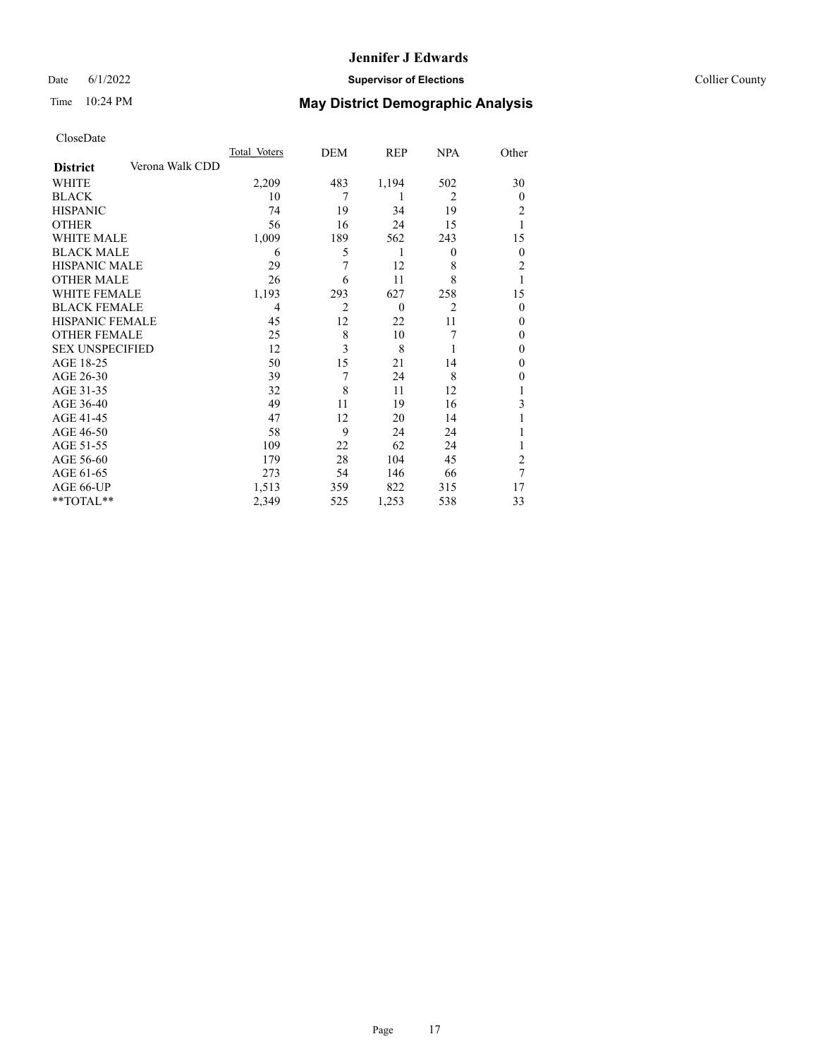## Date 6/1/2022 **Supervisor of Elections Supervisor of Elections** Collier County

# Time 10:24 PM **May District Demographic Analysis**

|                        |                 | Total Voters | DEM            | REP      | <b>NPA</b>     | Other          |
|------------------------|-----------------|--------------|----------------|----------|----------------|----------------|
| <b>District</b>        | Verona Walk CDD |              |                |          |                |                |
| WHITE                  |                 | 2,209        | 483            | 1,194    | 502            | 30             |
| <b>BLACK</b>           |                 | 10           | 7              | 1        | $\overline{2}$ | $\Omega$       |
| <b>HISPANIC</b>        |                 | 74           | 19             | 34       | 19             | 2              |
| <b>OTHER</b>           |                 | 56           | 16             | 24       | 15             |                |
| WHITE MALE             |                 | 1,009        | 189            | 562      | 243            | 15             |
| <b>BLACK MALE</b>      |                 | 6            | 5              | 1        | $\theta$       | $\overline{0}$ |
| <b>HISPANIC MALE</b>   |                 | 29           | 7              | 12       | 8              | $\overline{2}$ |
| <b>OTHER MALE</b>      |                 | 26           | 6              | 11       | 8              | 1              |
| WHITE FEMALE           |                 | 1,193        | 293            | 627      | 258            | 15             |
| <b>BLACK FEMALE</b>    |                 | 4            | $\overline{2}$ | $\theta$ | $\overline{2}$ | $\Omega$       |
| <b>HISPANIC FEMALE</b> |                 | 45           | 12             | 22       | 11             | $\Omega$       |
| <b>OTHER FEMALE</b>    |                 | 25           | 8              | 10       | 7              | $\Omega$       |
| <b>SEX UNSPECIFIED</b> |                 | 12           | 3              | 8        |                | $\Omega$       |
| AGE 18-25              |                 | 50           | 15             | 21       | 14             | $\theta$       |
| AGE 26-30              |                 | 39           | 7              | 24       | 8              | 0              |
| AGE 31-35              |                 | 32           | 8              | 11       | 12             |                |
| AGE 36-40              |                 | 49           | 11             | 19       | 16             | 3              |
| AGE 41-45              |                 | 47           | 12             | 20       | 14             |                |
| AGE 46-50              |                 | 58           | 9              | 24       | 24             |                |
| AGE 51-55              |                 | 109          | 22             | 62       | 24             |                |
| AGE 56-60              |                 | 179          | 28             | 104      | 45             | $\overline{c}$ |
| AGE 61-65              |                 | 273          | 54             | 146      | 66             | 7              |
| AGE 66-UP              |                 | 1,513        | 359            | 822      | 315            | 17             |
| **TOTAL**              |                 | 2,349        | 525            | 1,253    | 538            | 33             |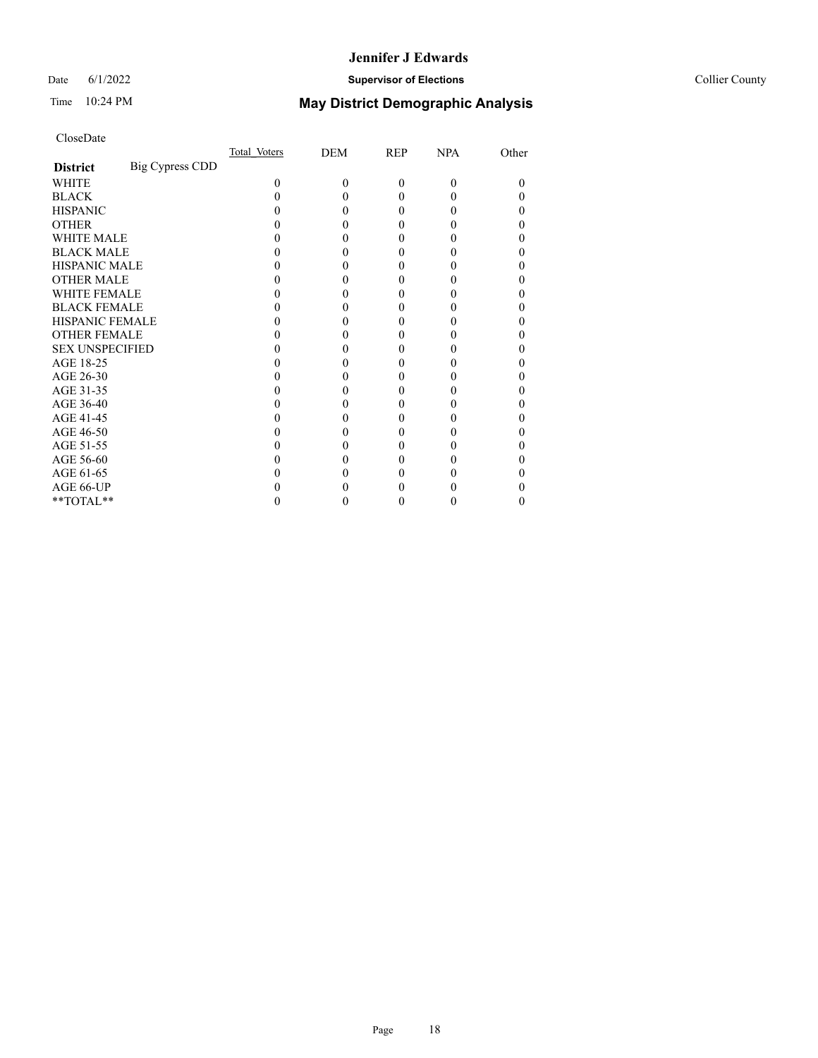## Date 6/1/2022 **Supervisor of Elections Supervisor of Elections** Collier County

# Time 10:24 PM **May District Demographic Analysis**

|                        |                        | Total Voters | DEM      | REP      | <b>NPA</b> | Other |
|------------------------|------------------------|--------------|----------|----------|------------|-------|
| <b>District</b>        | <b>Big Cypress CDD</b> |              |          |          |            |       |
| WHITE                  |                        | $\theta$     | $\theta$ | $\theta$ | $\Omega$   | 0     |
| <b>BLACK</b>           |                        |              | 0        | $\theta$ |            |       |
| <b>HISPANIC</b>        |                        |              | 0        | $\theta$ |            |       |
| <b>OTHER</b>           |                        |              |          | 0        |            |       |
| WHITE MALE             |                        |              |          | 0        |            |       |
| <b>BLACK MALE</b>      |                        |              |          | 0        |            |       |
| <b>HISPANIC MALE</b>   |                        |              |          | 0        |            |       |
| <b>OTHER MALE</b>      |                        |              |          | 0        |            | 0     |
| <b>WHITE FEMALE</b>    |                        |              |          | 0        |            |       |
| <b>BLACK FEMALE</b>    |                        |              | 0        | $\theta$ |            | 0     |
| <b>HISPANIC FEMALE</b> |                        |              |          |          |            |       |
| <b>OTHER FEMALE</b>    |                        |              |          | 0        |            |       |
| <b>SEX UNSPECIFIED</b> |                        |              |          | 0        |            |       |
| AGE 18-25              |                        |              |          | 0        |            |       |
| AGE 26-30              |                        |              |          | 0        |            |       |
| AGE 31-35              |                        |              |          | 0        |            |       |
| AGE 36-40              |                        |              | 0        | $\theta$ |            | 0     |
| AGE 41-45              |                        |              |          | 0        |            |       |
| AGE 46-50              |                        |              | 0        | 0        |            |       |
| AGE 51-55              |                        |              |          |          |            |       |
| AGE 56-60              |                        |              |          | 0        |            |       |
| AGE 61-65              |                        |              |          | 0        |            |       |
| AGE 66-UP              |                        |              |          |          |            |       |
| **TOTAL**              |                        |              | 0        | 0        | 0          | 0     |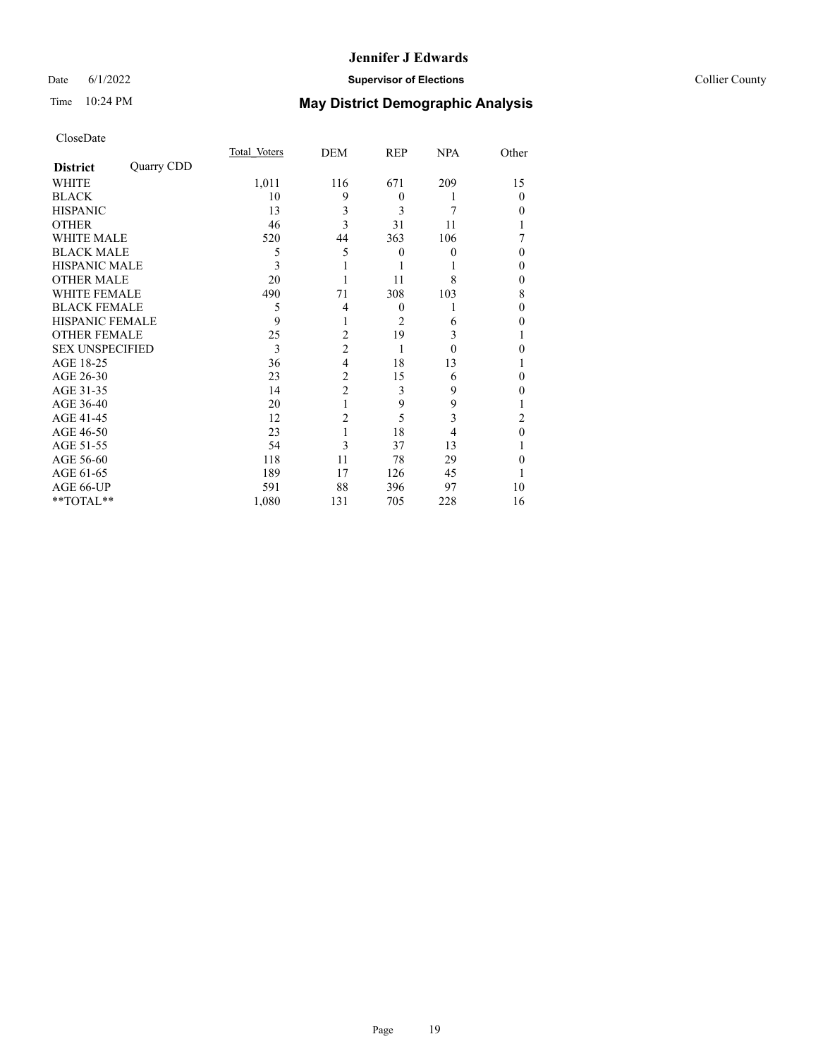## Date 6/1/2022 **Supervisor of Elections Supervisor of Elections** Collier County

# Time 10:24 PM **May District Demographic Analysis**

|                        |            | Total Voters | DEM            | REP      | <b>NPA</b> | Other    |
|------------------------|------------|--------------|----------------|----------|------------|----------|
| <b>District</b>        | Quarry CDD |              |                |          |            |          |
| WHITE                  |            | 1,011        | 116            | 671      | 209        | 15       |
| <b>BLACK</b>           |            | 10           | 9              | $\theta$ |            | $\Omega$ |
| <b>HISPANIC</b>        |            | 13           | 3              | 3        | 7          | 0        |
| <b>OTHER</b>           |            | 46           | 3              | 31       | 11         |          |
| WHITE MALE             |            | 520          | 44             | 363      | 106        |          |
| <b>BLACK MALE</b>      |            | 5            | 5              | $\theta$ | 0          | $\theta$ |
| <b>HISPANIC MALE</b>   |            | 3            |                |          |            | 0        |
| <b>OTHER MALE</b>      |            | 20           |                | 11       | 8          | 0        |
| WHITE FEMALE           |            | 490          | 71             | 308      | 103        | 8        |
| <b>BLACK FEMALE</b>    |            | 5            | 4              | $\theta$ |            | 0        |
| <b>HISPANIC FEMALE</b> |            | 9            | 1              | 2        | 6          | 0        |
| <b>OTHER FEMALE</b>    |            | 25           | 2              | 19       | 3          |          |
| <b>SEX UNSPECIFIED</b> |            | 3            | $\overline{c}$ | 1        | 0          | 0        |
| AGE 18-25              |            | 36           | $\overline{4}$ | 18       | 13         |          |
| AGE 26-30              |            | 23           | $\overline{2}$ | 15       | 6          | 0        |
| AGE 31-35              |            | 14           | $\overline{2}$ | 3        | 9          | 0        |
| AGE 36-40              |            | 20           | 1              | 9        | 9          |          |
| AGE 41-45              |            | 12           | $\overline{c}$ | 5        | 3          | 2        |
| AGE 46-50              |            | 23           | 1              | 18       | 4          | $\Omega$ |
| AGE 51-55              |            | 54           | 3              | 37       | 13         |          |
| AGE 56-60              |            | 118          | 11             | 78       | 29         | 0        |
| AGE 61-65              |            | 189          | 17             | 126      | 45         |          |
| AGE 66-UP              |            | 591          | 88             | 396      | 97         | 10       |
| **TOTAL**              |            | 1,080        | 131            | 705      | 228        | 16       |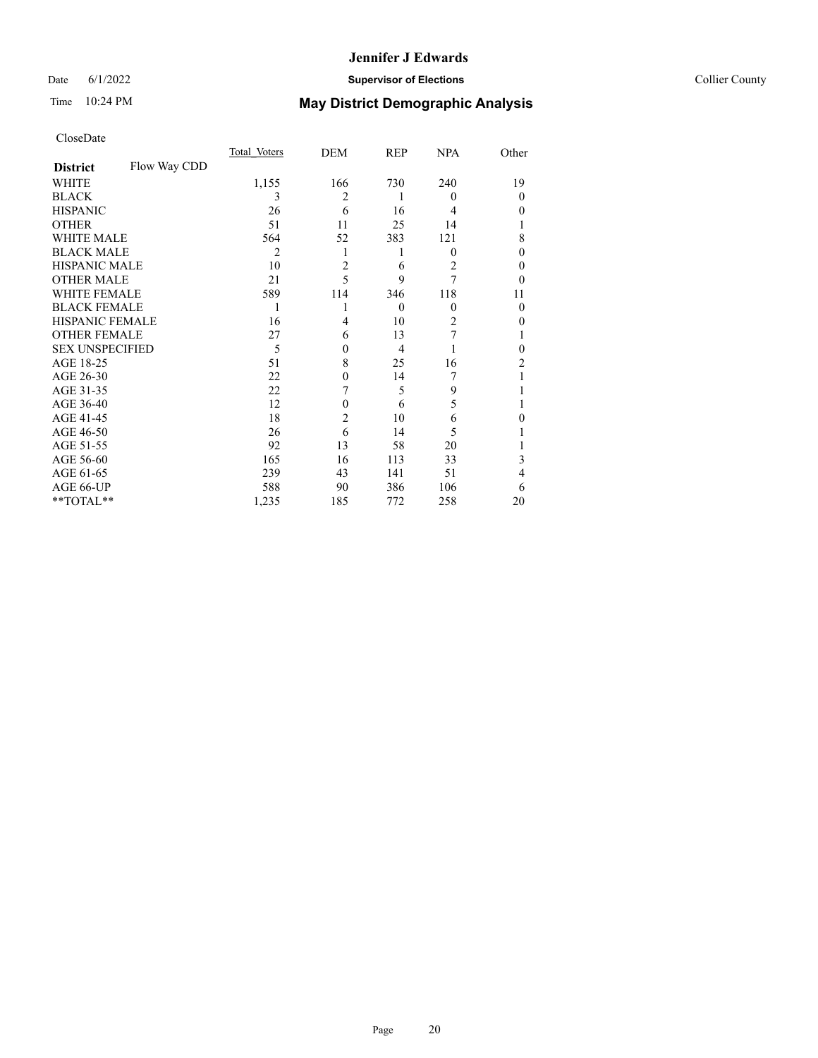## Date 6/1/2022 **Supervisor of Elections** Collier County

# Time 10:24 PM **May District Demographic Analysis**

|                        |              | Total Voters   | DEM            | REP          | <b>NPA</b> | Other          |
|------------------------|--------------|----------------|----------------|--------------|------------|----------------|
| <b>District</b>        | Flow Way CDD |                |                |              |            |                |
| WHITE                  |              | 1,155          | 166            | 730          | 240        | 19             |
| <b>BLACK</b>           |              | 3              | 2              | 1            | $\theta$   | $\theta$       |
| <b>HISPANIC</b>        |              | 26             | 6              | 16           | 4          | $\theta$       |
| <b>OTHER</b>           |              | 51             | 11             | 25           | 14         |                |
| <b>WHITE MALE</b>      |              | 564            | 52             | 383          | 121        | 8              |
| <b>BLACK MALE</b>      |              | $\overline{2}$ | 1              |              | 0          | $\theta$       |
| <b>HISPANIC MALE</b>   |              | 10             | $\overline{2}$ | 6            | 2          | $\theta$       |
| <b>OTHER MALE</b>      |              | 21             | 5              | 9            | 7          | 0              |
| WHITE FEMALE           |              | 589            | 114            | 346          | 118        | 11             |
| <b>BLACK FEMALE</b>    |              | 1              | 1              | $\mathbf{0}$ | $\theta$   | $\theta$       |
| <b>HISPANIC FEMALE</b> |              | 16             | 4              | 10           | 2          | 0              |
| <b>OTHER FEMALE</b>    |              | 27             | 6              | 13           | 7          |                |
| <b>SEX UNSPECIFIED</b> |              | 5              | $\theta$       | 4            |            | 0              |
| AGE 18-25              |              | 51             | 8              | 25           | 16         | $\mathfrak{D}$ |
| AGE 26-30              |              | 22             | $\mathbf{0}$   | 14           | 7          |                |
| AGE 31-35              |              | 22             | 7              | 5            | 9          |                |
| AGE 36-40              |              | 12             | $\theta$       | 6            | 5          |                |
| AGE 41-45              |              | 18             | $\overline{2}$ | 10           | 6          | 0              |
| AGE 46-50              |              | 26             | 6              | 14           | 5          |                |
| AGE 51-55              |              | 92             | 13             | 58           | 20         |                |
| AGE 56-60              |              | 165            | 16             | 113          | 33         | 3              |
| AGE 61-65              |              | 239            | 43             | 141          | 51         | 4              |
| AGE 66-UP              |              | 588            | 90             | 386          | 106        | 6              |
| **TOTAL**              |              | 1,235          | 185            | 772          | 258        | 20             |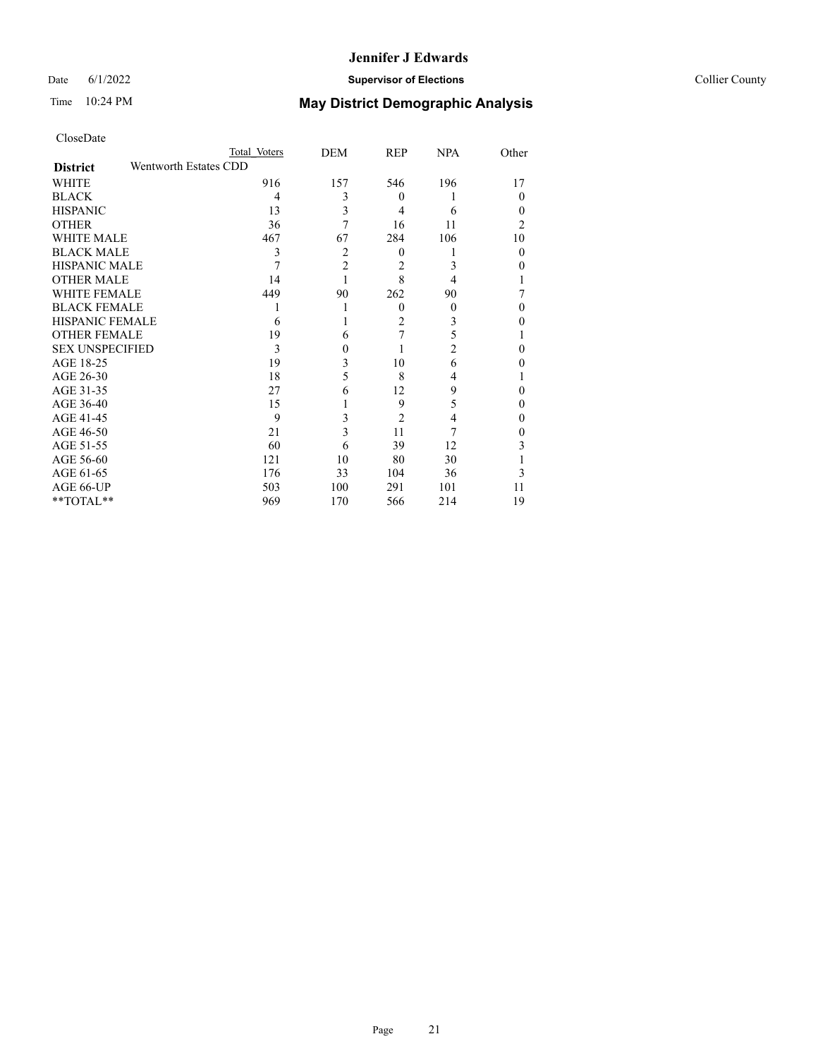## Date 6/1/2022 **Supervisor of Elections** Collier County

| CloseDate              |                       |                         |                |                |                  |
|------------------------|-----------------------|-------------------------|----------------|----------------|------------------|
|                        | Total Voters          | DEM                     | <b>REP</b>     | <b>NPA</b>     | Other            |
| <b>District</b>        | Wentworth Estates CDD |                         |                |                |                  |
| <b>WHITE</b>           | 916                   | 157                     | 546            | 196            | 17               |
| <b>BLACK</b>           | 4                     | 3                       | $\theta$       |                | $\Omega$         |
| <b>HISPANIC</b>        | 13                    | 3                       | $\overline{4}$ | 6              | $\theta$         |
| <b>OTHER</b>           | 36                    | 7                       | 16             | 11             | $\overline{2}$   |
| <b>WHITE MALE</b>      | 467                   | 67                      | 284            | 106            | 10               |
| <b>BLACK MALE</b>      | 3                     | $\overline{2}$          | $\theta$       |                | $\theta$         |
| <b>HISPANIC MALE</b>   | 7                     | $\overline{2}$          | $\overline{2}$ | 3              | $\theta$         |
| <b>OTHER MALE</b>      | 14                    | 1                       | 8              | 4              | 1                |
| <b>WHITE FEMALE</b>    | 449                   | 90                      | 262            | 90             | 7                |
| <b>BLACK FEMALE</b>    |                       | 1                       | $\Omega$       | $\theta$       | $\Omega$         |
| <b>HISPANIC FEMALE</b> | 6                     | 1                       | 2              | 3              | $\theta$         |
| <b>OTHER FEMALE</b>    | 19                    | 6                       | 7              | 5              | 1                |
| <b>SEX UNSPECIFIED</b> | 3                     | $\mathbf{0}$            |                | $\overline{2}$ | $\theta$         |
| AGE 18-25              | 19                    | 3                       | 10             | 6              | $\theta$         |
| AGE 26-30              | 18                    | 5                       | 8              | 4              | 1                |
| AGE 31-35              | 27                    | 6                       | 12             | 9              | $\theta$         |
| AGE 36-40              | 15                    |                         | 9              | 5              | $\theta$         |
| AGE 41-45              | 9                     | 3                       | $\overline{2}$ | 4              | $\theta$         |
| AGE 46-50              | 21                    | $\overline{\mathbf{3}}$ | 11             | 7              | $\boldsymbol{0}$ |
| AGE 51-55              | 60                    | 6                       | 39             | 12             | 3                |
| AGE 56-60              | 121                   | 10                      | 80             | 30             | 1                |
| AGE 61-65              | 176                   | 33                      | 104            | 36             | 3                |
| AGE 66-UP              | 503                   | 100                     | 291            | 101            | 11               |
| **TOTAL**              | 969                   | 170                     | 566            | 214            | 19               |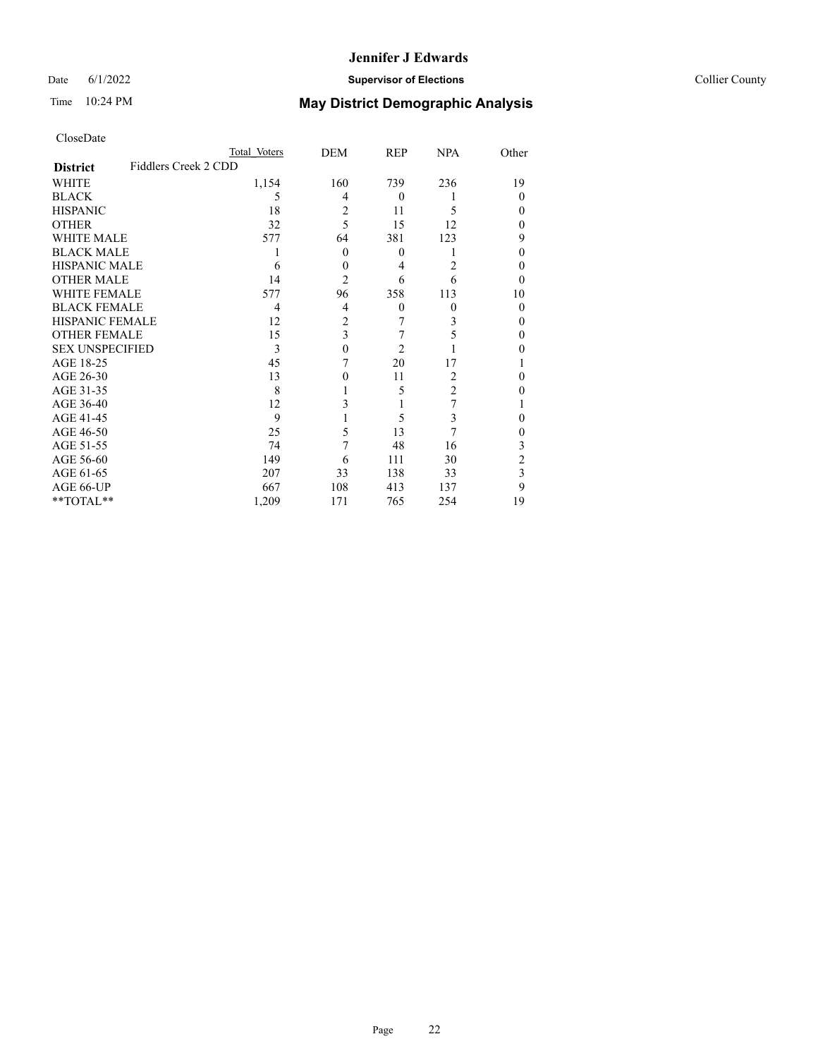## Date 6/1/2022 **Supervisor of Elections** Collier County

| CloseDate |
|-----------|
|-----------|

|                        |                      | Total Voters | DEM            | REP            | <b>NPA</b>     | Other    |
|------------------------|----------------------|--------------|----------------|----------------|----------------|----------|
| <b>District</b>        | Fiddlers Creek 2 CDD |              |                |                |                |          |
| WHITE                  |                      | 1,154        | 160            | 739            | 236            | 19       |
| <b>BLACK</b>           |                      | 5            | 4              | $\mathbf{0}$   |                | $\theta$ |
| <b>HISPANIC</b>        |                      | 18           | 2              | 11             | 5              | $_{0}$   |
| <b>OTHER</b>           |                      | 32           | 5              | 15             | 12             | 0        |
| <b>WHITE MALE</b>      |                      | 577          | 64             | 381            | 123            | 9        |
| <b>BLACK MALE</b>      |                      |              | $\theta$       | $\mathbf{0}$   |                | 0        |
| <b>HISPANIC MALE</b>   |                      | 6            | $\theta$       | 4              | 2              | 0        |
| OTHER MALE             |                      | 14           | $\overline{2}$ | 6              | 6              | 0        |
| <b>WHITE FEMALE</b>    |                      | 577          | 96             | 358            | 113            | 10       |
| <b>BLACK FEMALE</b>    |                      | 4            | 4              | $\mathbf{0}$   | $\theta$       | $\theta$ |
| <b>HISPANIC FEMALE</b> |                      | 12           | 2              | 7              | 3              | 0        |
| <b>OTHER FEMALE</b>    |                      | 15           | 3              | 7              | 5              | 0        |
| <b>SEX UNSPECIFIED</b> |                      | 3            | 0              | $\overline{2}$ |                | 0        |
| AGE 18-25              |                      | 45           |                | 20             | 17             |          |
| AGE 26-30              |                      | 13           | 0              | 11             | $\overline{2}$ | 0        |
| AGE 31-35              |                      | 8            |                | 5              | 2              |          |
| AGE 36-40              |                      | 12           | 3              |                | 7              |          |
| AGE 41-45              |                      | 9            |                | 5              | 3              | 0        |
| AGE 46-50              |                      | 25           | 5              | 13             | 7              | 0        |
| AGE 51-55              |                      | 74           | 7              | 48             | 16             | 3        |
| AGE 56-60              |                      | 149          | 6              | 111            | 30             | 2        |
| AGE 61-65              |                      | 207          | 33             | 138            | 33             | 3        |
| AGE 66-UP              |                      | 667          | 108            | 413            | 137            | 9        |
| **TOTAL**              |                      | 1,209        | 171            | 765            | 254            | 19       |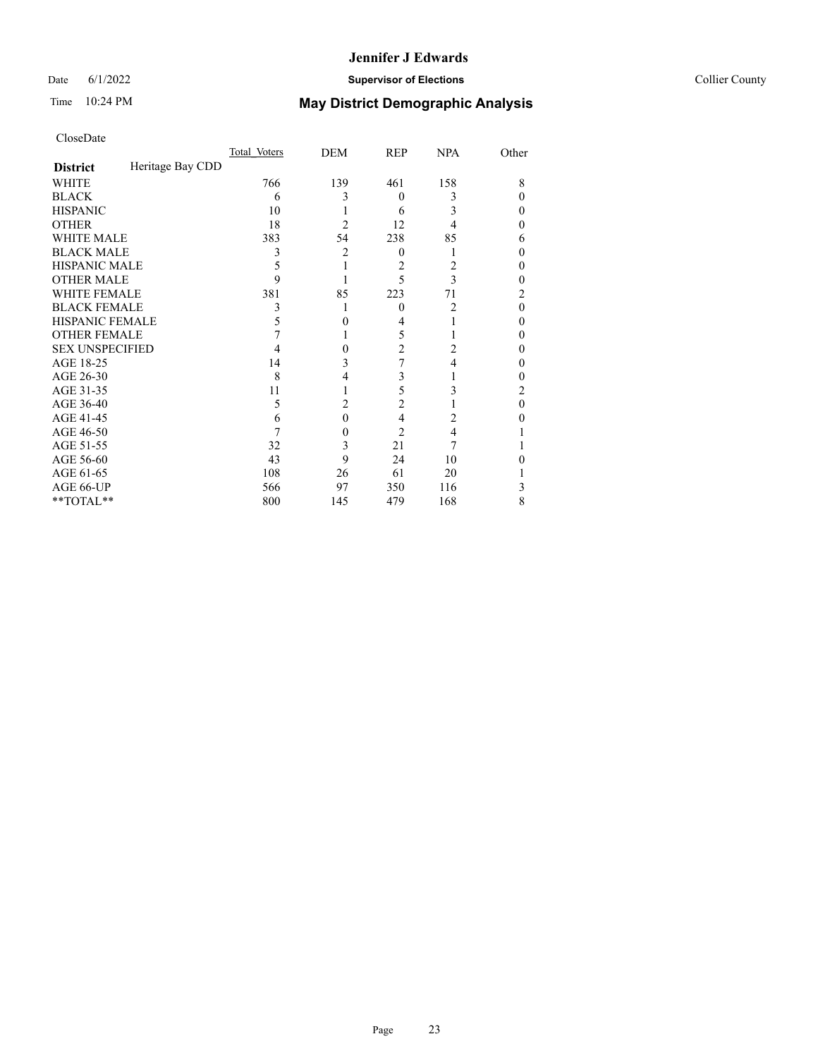## Date 6/1/2022 **Supervisor of Elections** Collier County

## Time 10:24 PM **May District Demographic Analysis**

|                        |                  | Total Voters | DEM            | REP    | <b>NPA</b> | Other |
|------------------------|------------------|--------------|----------------|--------|------------|-------|
| <b>District</b>        | Heritage Bay CDD |              |                |        |            |       |
| WHITE                  |                  | 766          | 139            | 461    | 158        | 8     |
| <b>BLACK</b>           |                  | 6            | 3              | 0      | 3          | 0     |
| <b>HISPANIC</b>        |                  | 10           |                | 6      | 3          | 0     |
| <b>OTHER</b>           |                  | 18           | $\overline{2}$ | 12     | 4          | 0     |
| WHITE MALE             |                  | 383          | 54             | 238    | 85         | 6     |
| <b>BLACK MALE</b>      |                  | 3            | $\overline{2}$ | $_{0}$ |            | 0     |
| <b>HISPANIC MALE</b>   |                  | 5            |                | 2      | 2          | 0     |
| <b>OTHER MALE</b>      |                  | 9            |                | 5      | 3          | 0     |
| <b>WHITE FEMALE</b>    |                  | 381          | 85             | 223    | 71         | 2     |
| <b>BLACK FEMALE</b>    |                  | 3            |                | 0      | 2          | 0     |
| <b>HISPANIC FEMALE</b> |                  | 5            | 0              | 4      |            | 0     |
| <b>OTHER FEMALE</b>    |                  |              |                | 5      |            | 0     |
| <b>SEX UNSPECIFIED</b> |                  | 4            | $\theta$       | 2      | 2          | 0     |
| AGE 18-25              |                  | 14           | 3              | 7      | 4          | 0     |
| AGE 26-30              |                  | 8            | 4              | 3      |            | 0     |
| AGE 31-35              |                  | 11           |                | 5      | 3          | 2     |
| AGE 36-40              |                  | 5            | $\overline{c}$ | 2      |            | 0     |
| AGE 41-45              |                  | 6            | $\theta$       | 4      | 2          | 0     |
| AGE 46-50              |                  |              | $\theta$       | 2      | 4          |       |
| AGE 51-55              |                  | 32           | 3              | 21     |            |       |
| AGE 56-60              |                  | 43           | 9              | 24     | 10         |       |
| AGE 61-65              |                  | 108          | 26             | 61     | 20         |       |
| AGE 66-UP              |                  | 566          | 97             | 350    | 116        | 3     |
| **TOTAL**              |                  | 800          | 145            | 479    | 168        | 8     |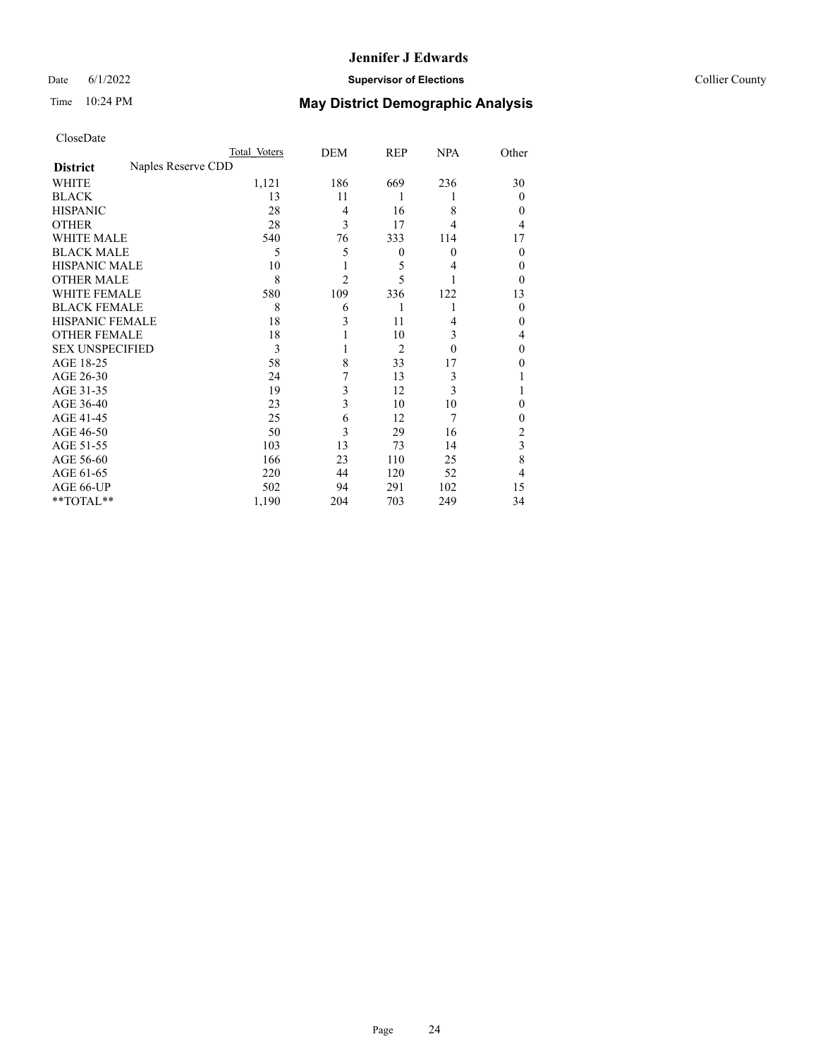## Date 6/1/2022 **Supervisor of Elections** Collier County

|                        |                    | Total Voters | <b>DEM</b> | <b>REP</b>       | <b>NPA</b> | Other    |
|------------------------|--------------------|--------------|------------|------------------|------------|----------|
| <b>District</b>        | Naples Reserve CDD |              |            |                  |            |          |
| WHITE                  |                    | 1,121        | 186        | 669              | 236        | 30       |
| <b>BLACK</b>           |                    | 13           | 11         | 1                |            | 0        |
| <b>HISPANIC</b>        |                    | 28           | 4          | 16               | 8          | 0        |
| <b>OTHER</b>           |                    | 28           | 3          | 17               | 4          | 4        |
| WHITE MALE             |                    | 540          | 76         | 333              | 114        | 17       |
| <b>BLACK MALE</b>      |                    | 5            | 5          | $\boldsymbol{0}$ | $\theta$   | $\theta$ |
| <b>HISPANIC MALE</b>   |                    | 10           |            | 5                | 4          | 0        |
| <b>OTHER MALE</b>      |                    | 8            | 2          | 5                |            | 0        |
| <b>WHITE FEMALE</b>    |                    | 580          | 109        | 336              | 122        | 13       |
| <b>BLACK FEMALE</b>    |                    | 8            | 6          | 1                | 1          | $\theta$ |
| <b>HISPANIC FEMALE</b> |                    | 18           | 3          | 11               | 4          | 0        |
| <b>OTHER FEMALE</b>    |                    | 18           |            | 10               | 3          | 4        |
| <b>SEX UNSPECIFIED</b> |                    | 3            |            | $\overline{2}$   | $\theta$   | 0        |
| AGE 18-25              |                    | 58           | 8          | 33               | 17         | 0        |
| AGE 26-30              |                    | 24           | 7          | 13               | 3          |          |
| AGE 31-35              |                    | 19           | 3          | 12               | 3          |          |
| AGE 36-40              |                    | 23           | 3          | 10               | 10         | 0        |
| AGE 41-45              |                    | 25           | 6          | 12               | 7          | 0        |
| AGE 46-50              |                    | 50           | 3          | 29               | 16         | 2        |
| AGE 51-55              |                    | 103          | 13         | 73               | 14         | 3        |
| AGE 56-60              |                    | 166          | 23         | 110              | 25         | 8        |
| AGE 61-65              |                    | 220          | 44         | 120              | 52         | 4        |
| AGE 66-UP              |                    | 502          | 94         | 291              | 102        | 15       |
| $*$ TOTAL $**$         |                    | 1,190        | 204        | 703              | 249        | 34       |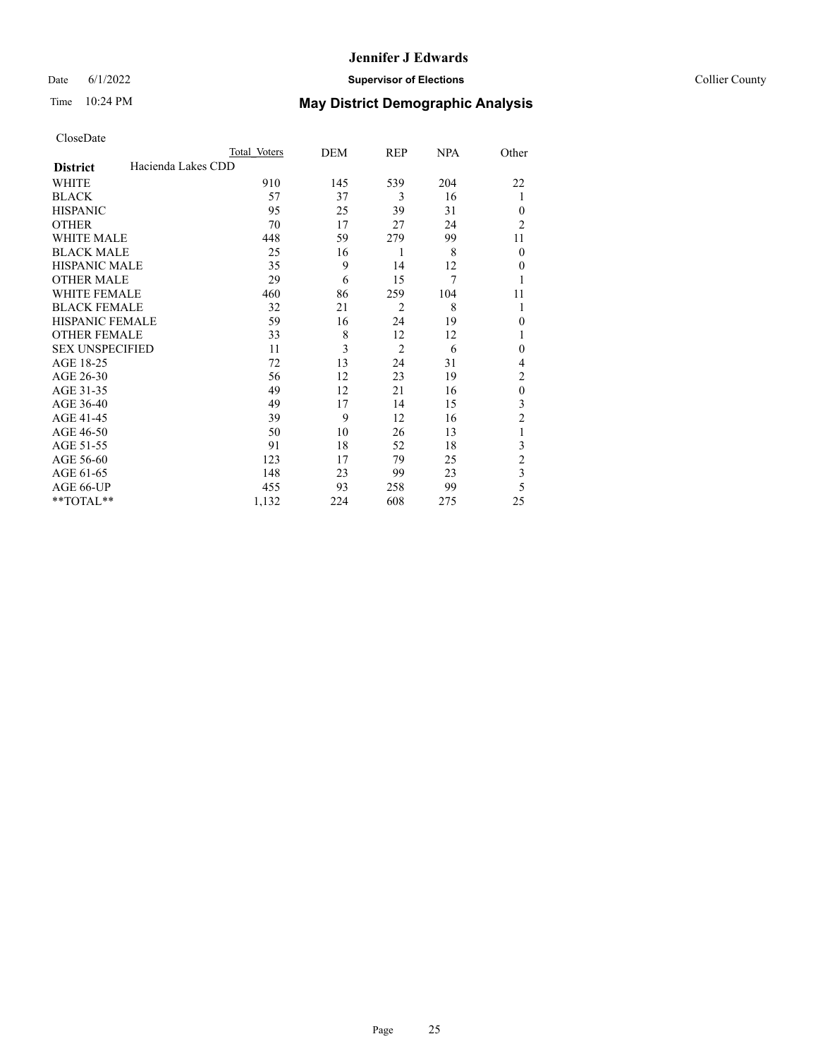## Date 6/1/2022 **Supervisor of Elections** Collier County

| CloseDate |
|-----------|
|-----------|

|                        |                    | Total Voters | DEM | REP            | <b>NPA</b> | Other                   |
|------------------------|--------------------|--------------|-----|----------------|------------|-------------------------|
| <b>District</b>        | Hacienda Lakes CDD |              |     |                |            |                         |
| WHITE                  |                    | 910          | 145 | 539            | 204        | 22                      |
| <b>BLACK</b>           |                    | 57           | 37  | 3              | 16         | 1                       |
| <b>HISPANIC</b>        |                    | 95           | 25  | 39             | 31         | $\Omega$                |
| <b>OTHER</b>           |                    | 70           | 17  | 27             | 24         | $\overline{2}$          |
| WHITE MALE             |                    | 448          | 59  | 279            | 99         | 11                      |
| <b>BLACK MALE</b>      |                    | 25           | 16  | 1              | 8          | $\theta$                |
| <b>HISPANIC MALE</b>   |                    | 35           | 9   | 14             | 12         | $\mathbf{0}$            |
| <b>OTHER MALE</b>      |                    | 29           | 6   | 15             | 7          |                         |
| <b>WHITE FEMALE</b>    |                    | 460          | 86  | 259            | 104        | 11                      |
| <b>BLACK FEMALE</b>    |                    | 32           | 21  | $\overline{2}$ | 8          | 1                       |
| <b>HISPANIC FEMALE</b> |                    | 59           | 16  | 24             | 19         | $\theta$                |
| <b>OTHER FEMALE</b>    |                    | 33           | 8   | 12             | 12         |                         |
| <b>SEX UNSPECIFIED</b> |                    | 11           | 3   | $\overline{2}$ | 6          | $\theta$                |
| AGE 18-25              |                    | 72           | 13  | 24             | 31         | 4                       |
| AGE 26-30              |                    | 56           | 12  | 23             | 19         | $\overline{c}$          |
| AGE 31-35              |                    | 49           | 12  | 21             | 16         | $\mathbf{0}$            |
| AGE 36-40              |                    | 49           | 17  | 14             | 15         | 3                       |
| AGE 41-45              |                    | 39           | 9   | 12             | 16         | $\overline{c}$          |
| AGE 46-50              |                    | 50           | 10  | 26             | 13         | 1                       |
| AGE 51-55              |                    | 91           | 18  | 52             | 18         | 3                       |
| AGE 56-60              |                    | 123          | 17  | 79             | 25         | $\overline{c}$          |
| AGE 61-65              |                    | 148          | 23  | 99             | 23         | $\overline{\mathbf{3}}$ |
| AGE 66-UP              |                    | 455          | 93  | 258            | 99         | 5                       |
| **TOTAL**              |                    | 1,132        | 224 | 608            | 275        | 25                      |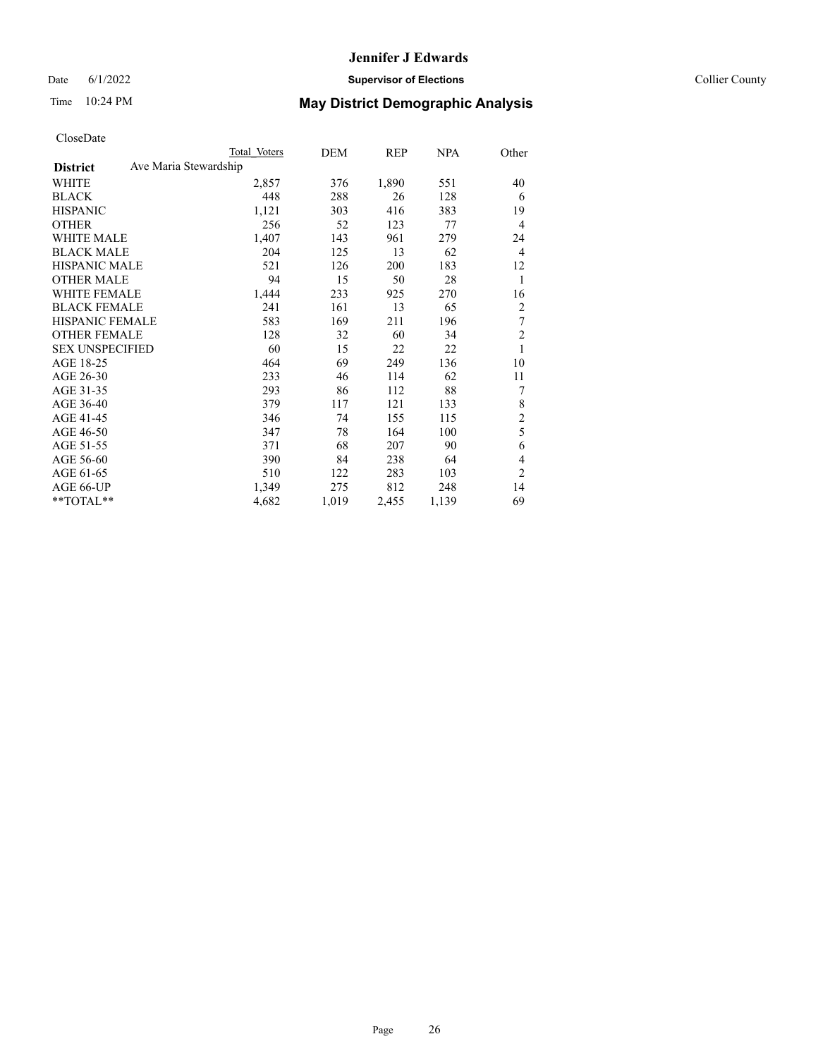Date 6/1/2022 **Supervisor of Elections** Collier County

## Time 10:24 PM **May District Demographic Analysis**

|                                          | Total Voters | DEM   | REP   | NPA   | Other          |
|------------------------------------------|--------------|-------|-------|-------|----------------|
| Ave Maria Stewardship<br><b>District</b> |              |       |       |       |                |
| WHITE                                    | 2,857        | 376   | 1,890 | 551   | 40             |
| <b>BLACK</b>                             | 448          | 288   | 26    | 128   | 6              |
| <b>HISPANIC</b>                          | 1,121        | 303   | 416   | 383   | 19             |
| <b>OTHER</b>                             | 256          | 52    | 123   | 77    | 4              |
| WHITE MALE                               | 1,407        | 143   | 961   | 279   | 24             |
| <b>BLACK MALE</b>                        | 204          | 125   | 13    | 62    | $\overline{4}$ |
| <b>HISPANIC MALE</b>                     | 521          | 126   | 200   | 183   | 12             |
| <b>OTHER MALE</b>                        | 94           | 15    | 50    | 28    | 1              |
| WHITE FEMALE                             | 1,444        | 233   | 925   | 270   | 16             |
| <b>BLACK FEMALE</b>                      | 241          | 161   | 13    | 65    | $\overline{c}$ |
| <b>HISPANIC FEMALE</b>                   | 583          | 169   | 211   | 196   | 7              |
| <b>OTHER FEMALE</b>                      | 128          | 32    | 60    | 34    | $\overline{c}$ |
| <b>SEX UNSPECIFIED</b>                   | 60           | 15    | 22    | 22    | 1              |
| AGE 18-25                                | 464          | 69    | 249   | 136   | 10             |
| AGE 26-30                                | 233          | 46    | 114   | 62    | 11             |
| AGE 31-35                                | 293          | 86    | 112   | 88    | 7              |
| AGE 36-40                                | 379          | 117   | 121   | 133   | 8              |
| AGE 41-45                                | 346          | 74    | 155   | 115   | $\overline{c}$ |
| AGE 46-50                                | 347          | 78    | 164   | 100   | 5              |
| AGE 51-55                                | 371          | 68    | 207   | 90    | 6              |
| AGE 56-60                                | 390          | 84    | 238   | 64    | 4              |
| AGE 61-65                                | 510          | 122   | 283   | 103   | $\overline{2}$ |
| AGE 66-UP                                | 1,349        | 275   | 812   | 248   | 14             |
| **TOTAL**                                | 4,682        | 1,019 | 2,455 | 1,139 | 69             |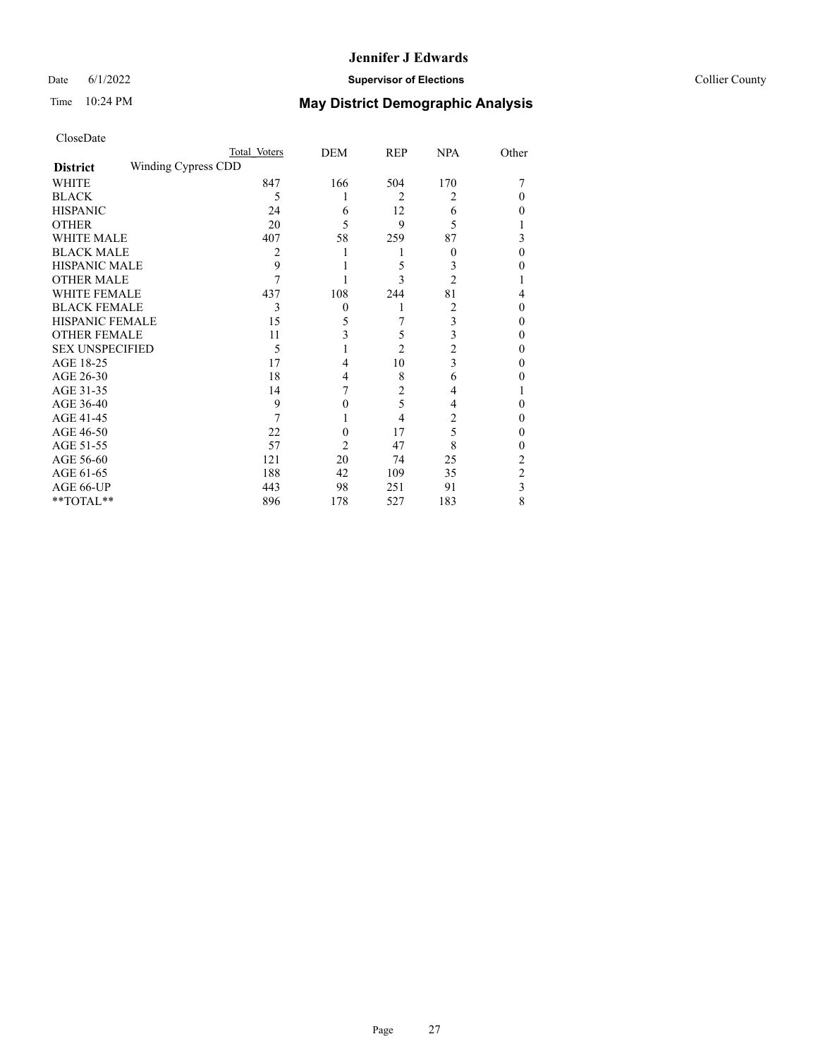## Date 6/1/2022 **Supervisor of Elections Supervisor of Elections** Collier County

| CloseDate |
|-----------|
|-----------|

|                        |                     | Total Voters | <b>DEM</b> | <b>REP</b>     | <b>NPA</b> | Other          |
|------------------------|---------------------|--------------|------------|----------------|------------|----------------|
| <b>District</b>        | Winding Cypress CDD |              |            |                |            |                |
| WHITE                  |                     | 847          | 166        | 504            | 170        |                |
| <b>BLACK</b>           |                     | 5            |            | 2              | 2          | 0              |
| <b>HISPANIC</b>        |                     | 24           | 6          | 12             | 6          | 0              |
| <b>OTHER</b>           |                     | 20           | 5          | 9              | 5          |                |
| WHITE MALE             |                     | 407          | 58         | 259            | 87         | 3              |
| <b>BLACK MALE</b>      |                     | 2            |            |                | $\theta$   | 0              |
| <b>HISPANIC MALE</b>   |                     | 9            |            | 5              | 3          | 0              |
| <b>OTHER MALE</b>      |                     | 7            |            | 3              | 2          |                |
| <b>WHITE FEMALE</b>    |                     | 437          | 108        | 244            | 81         | 4              |
| <b>BLACK FEMALE</b>    |                     | 3            | $\theta$   | 1              | 2          | 0              |
| HISPANIC FEMALE        |                     | 15           | 5          |                | 3          | 0              |
| <b>OTHER FEMALE</b>    |                     | 11           | 3          | 5              | 3          | 0              |
| <b>SEX UNSPECIFIED</b> |                     | 5            |            | $\overline{2}$ | 2          | 0              |
| AGE 18-25              |                     | 17           | 4          | 10             | 3          | 0              |
| AGE 26-30              |                     | 18           | 4          | 8              | 6          | 0              |
| AGE 31-35              |                     | 14           |            | $\overline{2}$ | 4          |                |
| AGE 36-40              |                     | 9            | 0          | 5              | 4          | 0              |
| AGE 41-45              |                     |              |            | 4              | 2          | 0              |
| AGE 46-50              |                     | 22           | 0          | 17             | 5          | 0              |
| AGE 51-55              |                     | 57           | 2          | 47             | 8          | 0              |
| AGE 56-60              |                     | 121          | 20         | 74             | 25         | 2              |
| AGE 61-65              |                     | 188          | 42         | 109            | 35         | $\overline{2}$ |
| AGE 66-UP              |                     | 443          | 98         | 251            | 91         | 3              |
| **TOTAL**              |                     | 896          | 178        | 527            | 183        | 8              |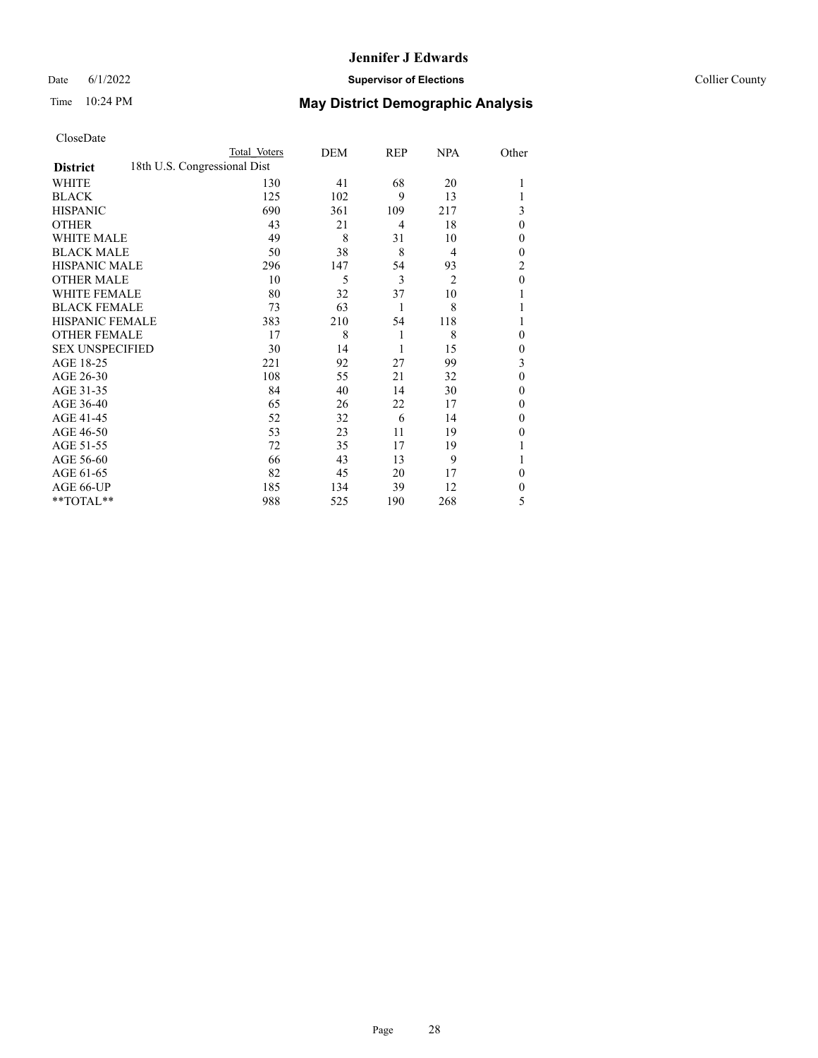## Date 6/1/2022 **Supervisor of Elections** Collier County

| CloseDate |
|-----------|
|-----------|

|                        | Total Voters                 | DEM | REP            | <b>NPA</b>     | Other        |
|------------------------|------------------------------|-----|----------------|----------------|--------------|
| <b>District</b>        | 18th U.S. Congressional Dist |     |                |                |              |
| WHITE                  | 130                          | 41  | 68             | 20             |              |
| <b>BLACK</b>           | 125                          | 102 | 9              | 13             |              |
| <b>HISPANIC</b>        | 690                          | 361 | 109            | 217            | 3            |
| <b>OTHER</b>           | 43                           | 21  | $\overline{4}$ | 18             | $\theta$     |
| WHITE MALE             | 49                           | 8   | 31             | 10             | 0            |
| <b>BLACK MALE</b>      | 50                           | 38  | 8              | 4              | $\theta$     |
| <b>HISPANIC MALE</b>   | 296                          | 147 | 54             | 93             | 2            |
| <b>OTHER MALE</b>      | 10                           | 5   | 3              | $\overline{2}$ | $\mathbf{0}$ |
| <b>WHITE FEMALE</b>    | 80                           | 32  | 37             | 10             |              |
| <b>BLACK FEMALE</b>    | 73                           | 63  | 1              | 8              |              |
| <b>HISPANIC FEMALE</b> | 383                          | 210 | 54             | 118            |              |
| <b>OTHER FEMALE</b>    | 17                           | 8   | 1              | 8              | 0            |
| <b>SEX UNSPECIFIED</b> | 30                           | 14  | 1              | 15             | $\mathbf{0}$ |
| AGE 18-25              | 221                          | 92  | 27             | 99             | 3            |
| AGE 26-30              | 108                          | 55  | 21             | 32             | $\mathbf{0}$ |
| AGE 31-35              | 84                           | 40  | 14             | 30             | 0            |
| AGE 36-40              | 65                           | 26  | 22             | 17             | 0            |
| AGE 41-45              | 52                           | 32  | 6              | 14             | 0            |
| AGE 46-50              | 53                           | 23  | 11             | 19             | 0            |
| AGE 51-55              | 72                           | 35  | 17             | 19             |              |
| AGE 56-60              | 66                           | 43  | 13             | 9              |              |
| AGE 61-65              | 82                           | 45  | 20             | 17             | $\theta$     |
| AGE 66-UP              | 185                          | 134 | 39             | 12             | 0            |
| $*$ TOTAL $**$         | 988                          | 525 | 190            | 268            | 5            |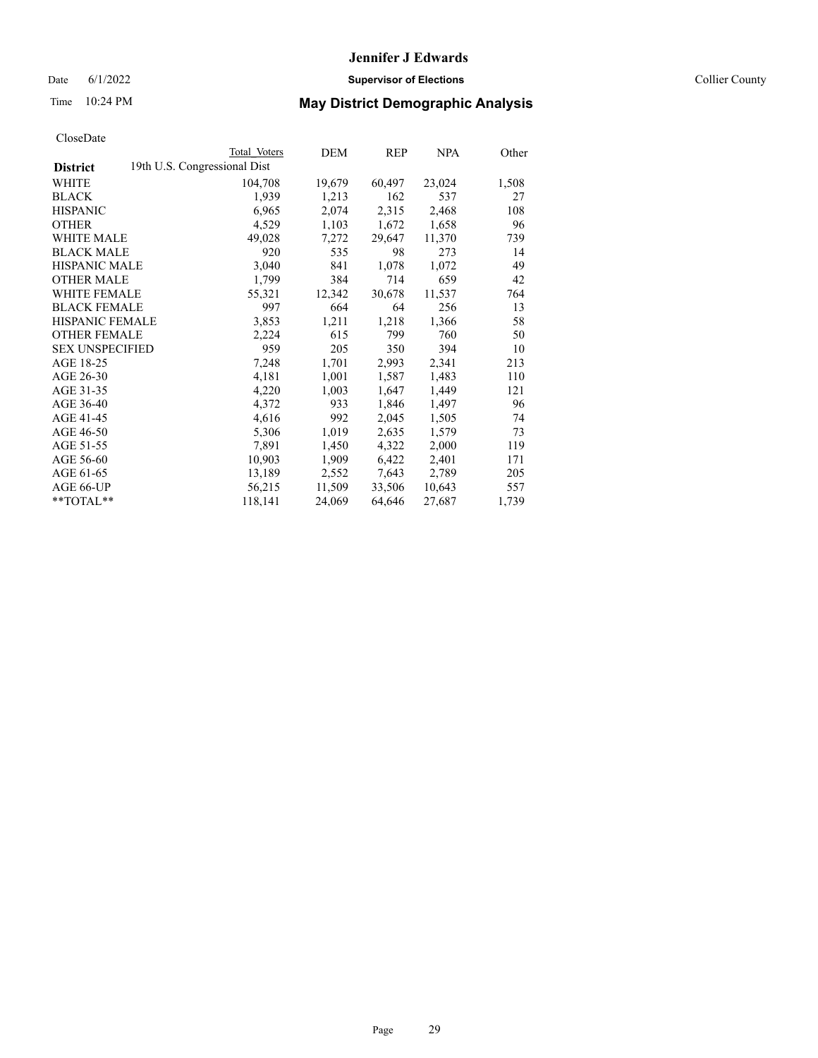Date 6/1/2022 **Supervisor of Elections** Collier County

## Time 10:24 PM **May District Demographic Analysis**

|                        | Total Voters                 | DEM    | <b>REP</b> | <u>NPA</u> | Other |
|------------------------|------------------------------|--------|------------|------------|-------|
| <b>District</b>        | 19th U.S. Congressional Dist |        |            |            |       |
| WHITE                  | 104,708                      | 19,679 | 60,497     | 23,024     | 1,508 |
| <b>BLACK</b>           | 1,939                        | 1,213  | 162        | 537        | 27    |
| <b>HISPANIC</b>        | 6,965                        | 2,074  | 2,315      | 2,468      | 108   |
| <b>OTHER</b>           | 4,529                        | 1,103  | 1,672      | 1,658      | 96    |
| WHITE MALE             | 49,028                       | 7,272  | 29,647     | 11,370     | 739   |
| <b>BLACK MALE</b>      | 920                          | 535    | 98         | 273        | 14    |
| <b>HISPANIC MALE</b>   | 3,040                        | 841    | 1,078      | 1,072      | 49    |
| <b>OTHER MALE</b>      | 1,799                        | 384    | 714        | 659        | 42    |
| <b>WHITE FEMALE</b>    | 55,321                       | 12,342 | 30,678     | 11,537     | 764   |
| <b>BLACK FEMALE</b>    | 997                          | 664    | 64         | 256        | 13    |
| HISPANIC FEMALE        | 3,853                        | 1,211  | 1,218      | 1,366      | 58    |
| <b>OTHER FEMALE</b>    | 2,224                        | 615    | 799        | 760        | 50    |
| <b>SEX UNSPECIFIED</b> | 959                          | 205    | 350        | 394        | 10    |
| AGE 18-25              | 7,248                        | 1,701  | 2,993      | 2,341      | 213   |
| AGE 26-30              | 4,181                        | 1,001  | 1,587      | 1,483      | 110   |
| AGE 31-35              | 4,220                        | 1,003  | 1,647      | 1,449      | 121   |
| AGE 36-40              | 4,372                        | 933    | 1,846      | 1,497      | 96    |
| AGE 41-45              | 4,616                        | 992    | 2,045      | 1,505      | 74    |
| AGE 46-50              | 5,306                        | 1,019  | 2,635      | 1,579      | 73    |
| AGE 51-55              | 7,891                        | 1,450  | 4,322      | 2,000      | 119   |
| AGE 56-60              | 10,903                       | 1,909  | 6,422      | 2,401      | 171   |
| AGE 61-65              | 13,189                       | 2,552  | 7,643      | 2,789      | 205   |
| AGE 66-UP              | 56,215                       | 11,509 | 33,506     | 10,643     | 557   |
| $*$ $TOTAL**$          | 118,141                      | 24,069 | 64,646     | 27,687     | 1,739 |
|                        |                              |        |            |            |       |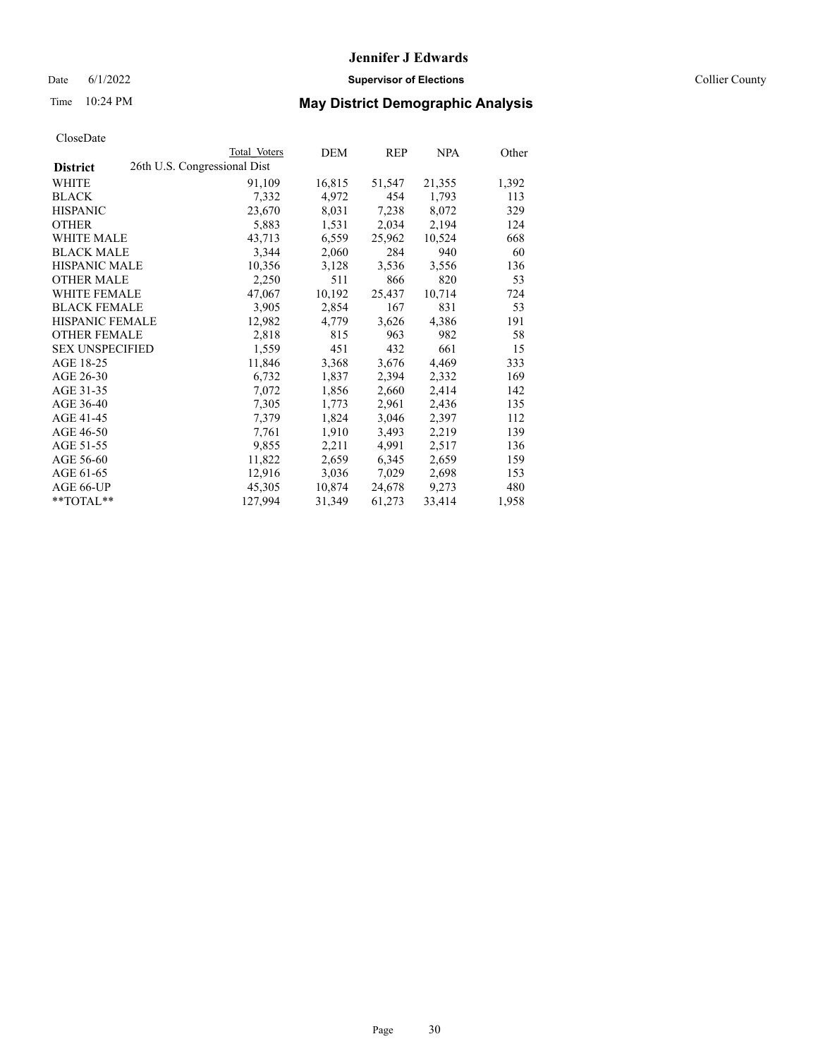## Date 6/1/2022 **Supervisor of Elections** Collier County

## Time 10:24 PM **May District Demographic Analysis**

|                        | <b>Total Voters</b>          | DEM    | REP    | <u>NPA</u> | Other |
|------------------------|------------------------------|--------|--------|------------|-------|
| <b>District</b>        | 26th U.S. Congressional Dist |        |        |            |       |
| WHITE                  | 91,109                       | 16,815 | 51,547 | 21,355     | 1,392 |
| <b>BLACK</b>           | 7,332                        | 4,972  | 454    | 1,793      | 113   |
| <b>HISPANIC</b>        | 23,670                       | 8,031  | 7,238  | 8,072      | 329   |
| <b>OTHER</b>           | 5,883                        | 1,531  | 2,034  | 2,194      | 124   |
| WHITE MALE             | 43,713                       | 6,559  | 25,962 | 10,524     | 668   |
| <b>BLACK MALE</b>      | 3,344                        | 2,060  | 284    | 940        | 60    |
| <b>HISPANIC MALE</b>   | 10,356                       | 3,128  | 3,536  | 3,556      | 136   |
| <b>OTHER MALE</b>      | 2,250                        | 511    | 866    | 820        | 53    |
| <b>WHITE FEMALE</b>    | 47,067                       | 10,192 | 25,437 | 10,714     | 724   |
| <b>BLACK FEMALE</b>    | 3,905                        | 2,854  | 167    | 831        | 53    |
| HISPANIC FEMALE        | 12,982                       | 4,779  | 3,626  | 4,386      | 191   |
| <b>OTHER FEMALE</b>    | 2,818                        | 815    | 963    | 982        | 58    |
| <b>SEX UNSPECIFIED</b> | 1,559                        | 451    | 432    | 661        | 15    |
| AGE 18-25              | 11,846                       | 3,368  | 3,676  | 4,469      | 333   |
| AGE 26-30              | 6,732                        | 1,837  | 2,394  | 2,332      | 169   |
| AGE 31-35              | 7,072                        | 1,856  | 2,660  | 2,414      | 142   |
| AGE 36-40              | 7,305                        | 1,773  | 2,961  | 2,436      | 135   |
| AGE 41-45              | 7,379                        | 1,824  | 3,046  | 2,397      | 112   |
| AGE 46-50              | 7,761                        | 1,910  | 3,493  | 2,219      | 139   |
| AGE 51-55              | 9,855                        | 2,211  | 4,991  | 2,517      | 136   |
| AGE 56-60              | 11,822                       | 2,659  | 6,345  | 2,659      | 159   |
| AGE 61-65              | 12,916                       | 3,036  | 7,029  | 2,698      | 153   |
| AGE 66-UP              | 45,305                       | 10,874 | 24,678 | 9,273      | 480   |
| $*$ $TOTAL**$          | 127,994                      | 31,349 | 61,273 | 33,414     | 1,958 |
|                        |                              |        |        |            |       |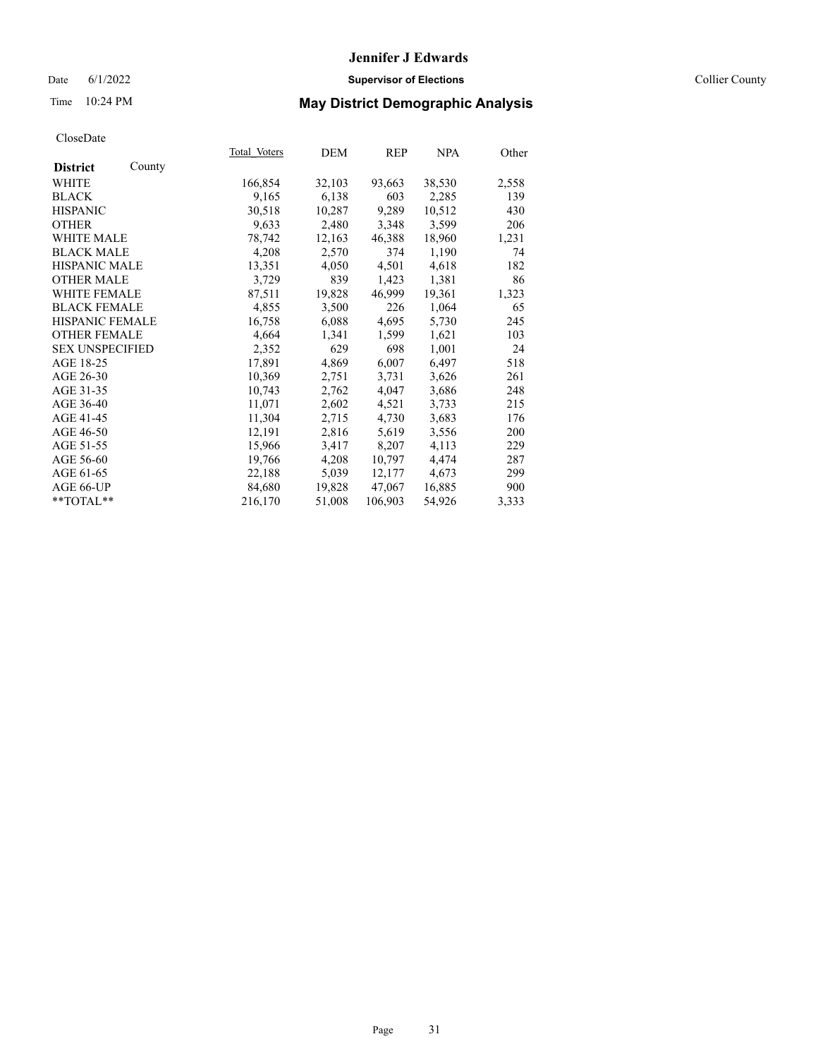## Date 6/1/2022 **Supervisor of Elections Supervisor of Elections** Collier County

# Time 10:24 PM **May District Demographic Analysis**

|                           | Total Voters | DEM    | REP     | NPA    | Other |
|---------------------------|--------------|--------|---------|--------|-------|
| County<br><b>District</b> |              |        |         |        |       |
| WHITE                     | 166,854      | 32,103 | 93,663  | 38,530 | 2,558 |
| <b>BLACK</b>              | 9,165        | 6,138  | 603     | 2,285  | 139   |
| <b>HISPANIC</b>           | 30,518       | 10,287 | 9,289   | 10,512 | 430   |
| <b>OTHER</b>              | 9,633        | 2,480  | 3,348   | 3,599  | 206   |
| WHITE MALE                | 78,742       | 12,163 | 46,388  | 18,960 | 1,231 |
| <b>BLACK MALE</b>         | 4,208        | 2,570  | 374     | 1,190  | 74    |
| <b>HISPANIC MALE</b>      | 13,351       | 4,050  | 4,501   | 4,618  | 182   |
| <b>OTHER MALE</b>         | 3,729        | 839    | 1,423   | 1,381  | 86    |
| <b>WHITE FEMALE</b>       | 87,511       | 19,828 | 46,999  | 19,361 | 1,323 |
| <b>BLACK FEMALE</b>       | 4,855        | 3,500  | 226     | 1,064  | 65    |
| <b>HISPANIC FEMALE</b>    | 16,758       | 6,088  | 4,695   | 5,730  | 245   |
| <b>OTHER FEMALE</b>       | 4,664        | 1,341  | 1,599   | 1,621  | 103   |
| <b>SEX UNSPECIFIED</b>    | 2,352        | 629    | 698     | 1,001  | 24    |
| AGE 18-25                 | 17,891       | 4,869  | 6,007   | 6,497  | 518   |
| AGE 26-30                 | 10,369       | 2,751  | 3,731   | 3,626  | 261   |
| AGE 31-35                 | 10,743       | 2,762  | 4,047   | 3,686  | 248   |
| AGE 36-40                 | 11,071       | 2,602  | 4,521   | 3,733  | 215   |
| AGE 41-45                 | 11,304       | 2,715  | 4,730   | 3,683  | 176   |
| AGE 46-50                 | 12,191       | 2,816  | 5,619   | 3,556  | 200   |
| AGE 51-55                 | 15,966       | 3,417  | 8,207   | 4,113  | 229   |
| AGE 56-60                 | 19,766       | 4,208  | 10,797  | 4,474  | 287   |
| AGE 61-65                 | 22,188       | 5,039  | 12,177  | 4,673  | 299   |
| AGE 66-UP                 | 84,680       | 19,828 | 47,067  | 16,885 | 900   |
| $*$ $TOTAL**$             | 216,170      | 51,008 | 106,903 | 54,926 | 3,333 |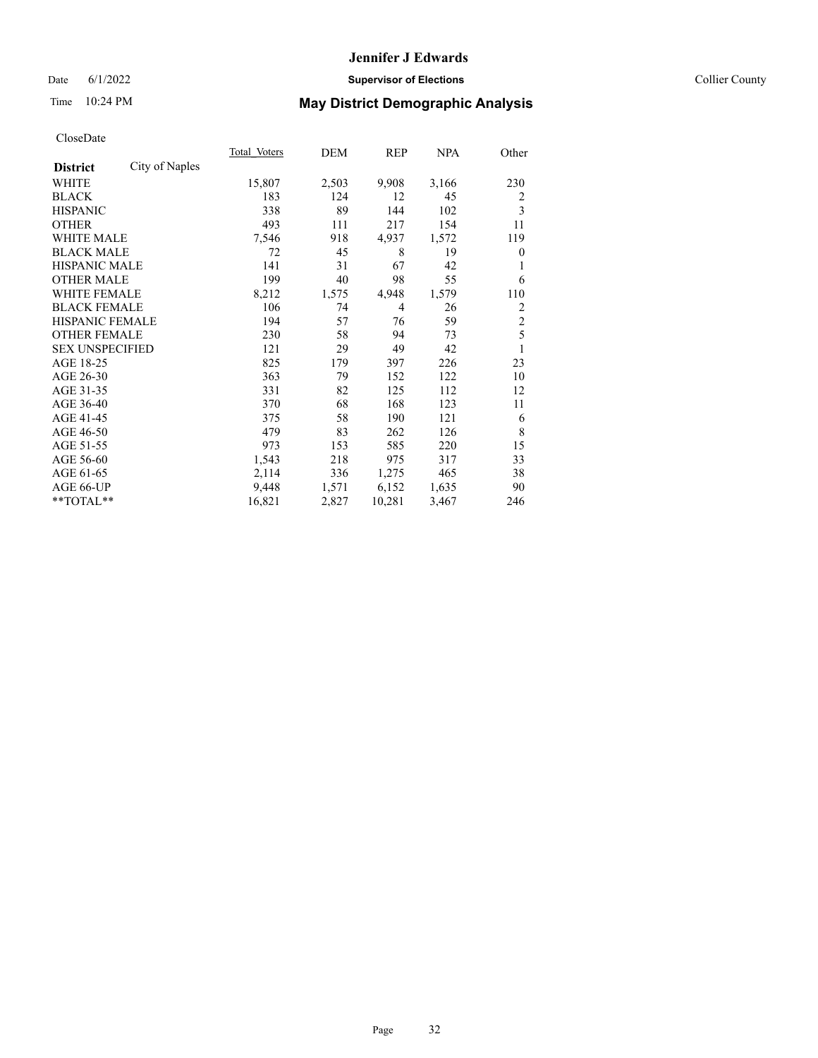## Date 6/1/2022 **Supervisor of Elections** Collier County

## Time 10:24 PM **May District Demographic Analysis**

|                        |                | Total Voters | DEM   | REP            | <u>NPA</u> | Other          |
|------------------------|----------------|--------------|-------|----------------|------------|----------------|
| <b>District</b>        | City of Naples |              |       |                |            |                |
| WHITE                  |                | 15,807       | 2,503 | 9,908          | 3,166      | 230            |
| <b>BLACK</b>           |                | 183          | 124   | 12             | 45         | 2              |
| <b>HISPANIC</b>        |                | 338          | 89    | 144            | 102        | 3              |
| <b>OTHER</b>           |                | 493          | 111   | 217            | 154        | 11             |
| <b>WHITE MALE</b>      |                | 7,546        | 918   | 4,937          | 1,572      | 119            |
| <b>BLACK MALE</b>      |                | 72           | 45    | 8              | 19         | $\theta$       |
| <b>HISPANIC MALE</b>   |                | 141          | 31    | 67             | 42         | 1              |
| <b>OTHER MALE</b>      |                | 199          | 40    | 98             | 55         | 6              |
| WHITE FEMALE           |                | 8,212        | 1,575 | 4,948          | 1,579      | 110            |
| <b>BLACK FEMALE</b>    |                | 106          | 74    | $\overline{4}$ | 26         | 2              |
| <b>HISPANIC FEMALE</b> |                | 194          | 57    | 76             | 59         | $\overline{c}$ |
| <b>OTHER FEMALE</b>    |                | 230          | 58    | 94             | 73         | 5              |
| <b>SEX UNSPECIFIED</b> |                | 121          | 29    | 49             | 42         | 1              |
| AGE 18-25              |                | 825          | 179   | 397            | 226        | 23             |
| AGE 26-30              |                | 363          | 79    | 152            | 122        | 10             |
| AGE 31-35              |                | 331          | 82    | 125            | 112        | 12             |
| AGE 36-40              |                | 370          | 68    | 168            | 123        | 11             |
| AGE 41-45              |                | 375          | 58    | 190            | 121        | 6              |
| AGE 46-50              |                | 479          | 83    | 262            | 126        | 8              |
| AGE 51-55              |                | 973          | 153   | 585            | 220        | 15             |
| AGE 56-60              |                | 1,543        | 218   | 975            | 317        | 33             |
| AGE 61-65              |                | 2,114        | 336   | 1,275          | 465        | 38             |
| AGE 66-UP              |                | 9,448        | 1,571 | 6,152          | 1,635      | 90             |
| $*$ $*$ TOTAL $*$ $*$  |                | 16,821       | 2,827 | 10,281         | 3,467      | 246            |
|                        |                |              |       |                |            |                |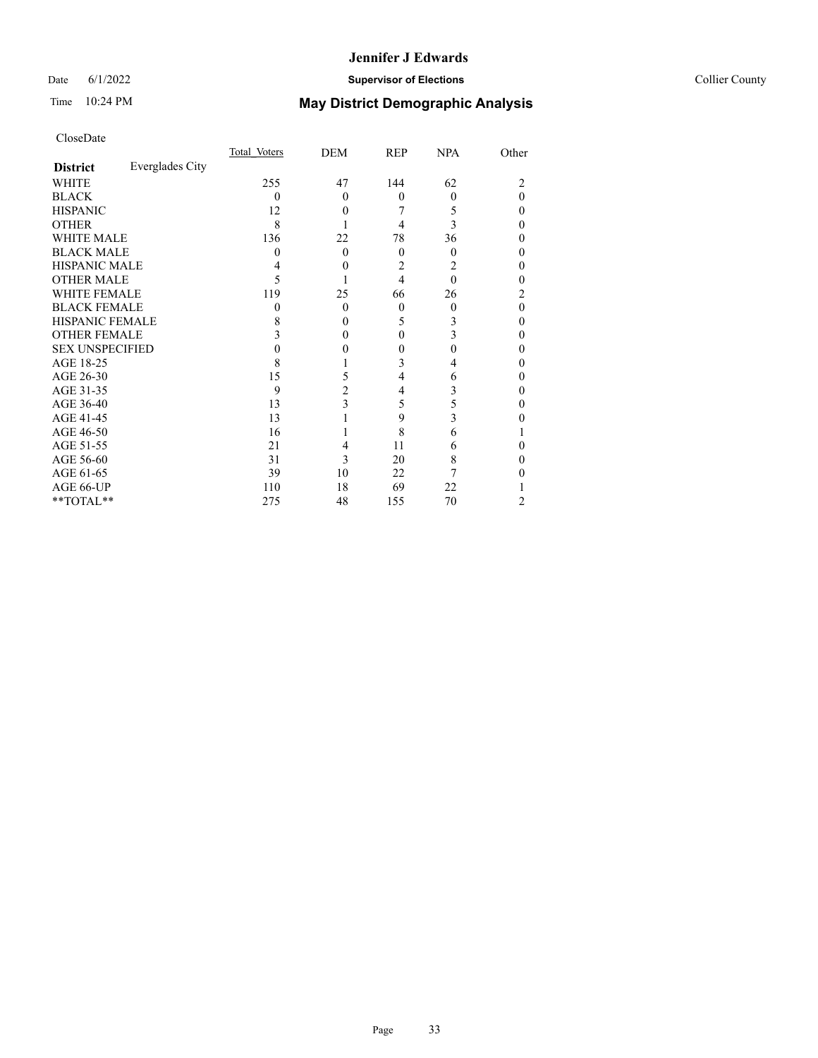## Date 6/1/2022 **Supervisor of Elections Supervisor of Elections** Collier County

# Time 10:24 PM **May District Demographic Analysis**

|                        |                 | Total Voters | DEM            | <b>REP</b> | <b>NPA</b> | Other    |
|------------------------|-----------------|--------------|----------------|------------|------------|----------|
| <b>District</b>        | Everglades City |              |                |            |            |          |
| WHITE                  |                 | 255          | 47             | 144        | 62         | 2        |
| <b>BLACK</b>           |                 | $\theta$     | $\theta$       | $\theta$   | $\theta$   | $\Omega$ |
| <b>HISPANIC</b>        |                 | 12           | $\theta$       |            | 5          | $\Omega$ |
| <b>OTHER</b>           |                 | 8            |                | 4          | 3          | $\Omega$ |
| WHITE MALE             |                 | 136          | 22             | 78         | 36         | $\Omega$ |
| <b>BLACK MALE</b>      |                 | 0            | $\Omega$       | $\Omega$   | $\theta$   | $\theta$ |
| <b>HISPANIC MALE</b>   |                 |              | $\theta$       | 2          | 2          | 0        |
| <b>OTHER MALE</b>      |                 | 5            |                | 4          | $\theta$   | 0        |
| <b>WHITE FEMALE</b>    |                 | 119          | 25             | 66         | 26         | 2        |
| <b>BLACK FEMALE</b>    |                 | $\theta$     | $\theta$       | $\theta$   | $\theta$   | $\theta$ |
| <b>HISPANIC FEMALE</b> |                 | 8            | $\theta$       | 5          | 3          | $\theta$ |
| <b>OTHER FEMALE</b>    |                 | 3            | $\theta$       | $\Omega$   | 3          | $\Omega$ |
| <b>SEX UNSPECIFIED</b> |                 | 0            | 0              | 0          | 0          | $\Omega$ |
| AGE 18-25              |                 | 8            |                | 3          | 4          | $\theta$ |
| AGE 26-30              |                 | 15           | 5              | 4          | 6          | $\theta$ |
| AGE 31-35              |                 | 9            | $\overline{c}$ | 4          | 3          | 0        |
| AGE 36-40              |                 | 13           | 3              | 5          | 5          | $\theta$ |
| AGE 41-45              |                 | 13           |                | 9          | 3          | 0        |
| AGE 46-50              |                 | 16           |                | 8          | 6          |          |
| AGE 51-55              |                 | 21           | 4              | 11         | 6          | 0        |
| AGE 56-60              |                 | 31           | 3              | 20         | 8          | 0        |
| AGE 61-65              |                 | 39           | 10             | 22         |            | 0        |
| AGE 66-UP              |                 | 110          | 18             | 69         | 22         |          |
| **TOTAL**              |                 | 275          | 48             | 155        | 70         | 2        |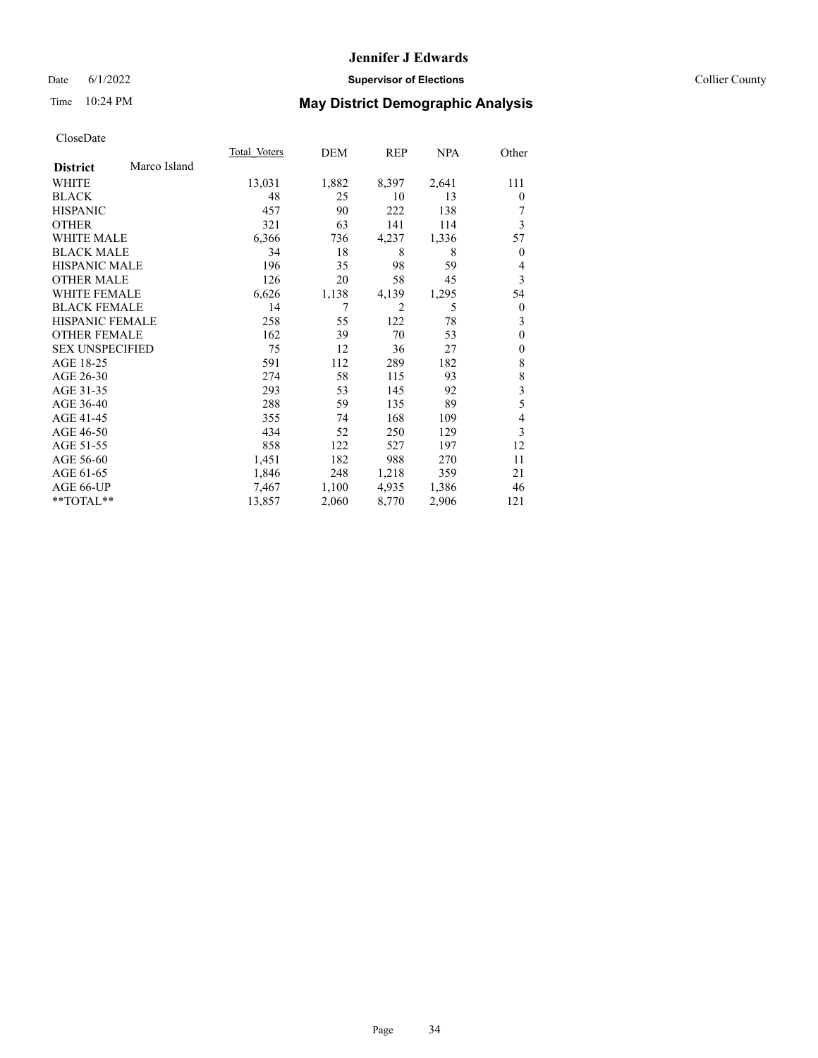## Date 6/1/2022 **Supervisor of Elections** Collier County

# Time 10:24 PM **May District Demographic Analysis**

|                        |              | Total Voters | DEM   | REP   | <b>NPA</b> | Other          |
|------------------------|--------------|--------------|-------|-------|------------|----------------|
| <b>District</b>        | Marco Island |              |       |       |            |                |
| WHITE                  |              | 13,031       | 1,882 | 8,397 | 2,641      | 111            |
| <b>BLACK</b>           |              | 48           | 25    | 10    | 13         | $\theta$       |
| <b>HISPANIC</b>        |              | 457          | 90    | 222   | 138        |                |
| <b>OTHER</b>           |              | 321          | 63    | 141   | 114        | 3              |
| WHITE MALE             |              | 6,366        | 736   | 4,237 | 1,336      | 57             |
| <b>BLACK MALE</b>      |              | 34           | 18    | 8     | 8          | $\theta$       |
| <b>HISPANIC MALE</b>   |              | 196          | 35    | 98    | 59         | 4              |
| <b>OTHER MALE</b>      |              | 126          | 20    | 58    | 45         | 3              |
| <b>WHITE FEMALE</b>    |              | 6,626        | 1,138 | 4,139 | 1,295      | 54             |
| <b>BLACK FEMALE</b>    |              | 14           | 7     | 2     | 5          | $\theta$       |
| <b>HISPANIC FEMALE</b> |              | 258          | 55    | 122   | 78         | 3              |
| <b>OTHER FEMALE</b>    |              | 162          | 39    | 70    | 53         | $\mathbf{0}$   |
| <b>SEX UNSPECIFIED</b> |              | 75           | 12    | 36    | 27         | $\theta$       |
| AGE 18-25              |              | 591          | 112   | 289   | 182        | 8              |
| AGE 26-30              |              | 274          | 58    | 115   | 93         | 8              |
| AGE 31-35              |              | 293          | 53    | 145   | 92         | 3              |
| AGE 36-40              |              | 288          | 59    | 135   | 89         | 5              |
| AGE 41-45              |              | 355          | 74    | 168   | 109        | $\overline{4}$ |
| AGE 46-50              |              | 434          | 52    | 250   | 129        | 3              |
| AGE 51-55              |              | 858          | 122   | 527   | 197        | 12             |
| AGE 56-60              |              | 1,451        | 182   | 988   | 270        | 11             |
| AGE 61-65              |              | 1,846        | 248   | 1,218 | 359        | 21             |
| AGE 66-UP              |              | 7,467        | 1,100 | 4,935 | 1,386      | 46             |
| $*$ $TOTAL**$          |              | 13,857       | 2,060 | 8,770 | 2,906      | 121            |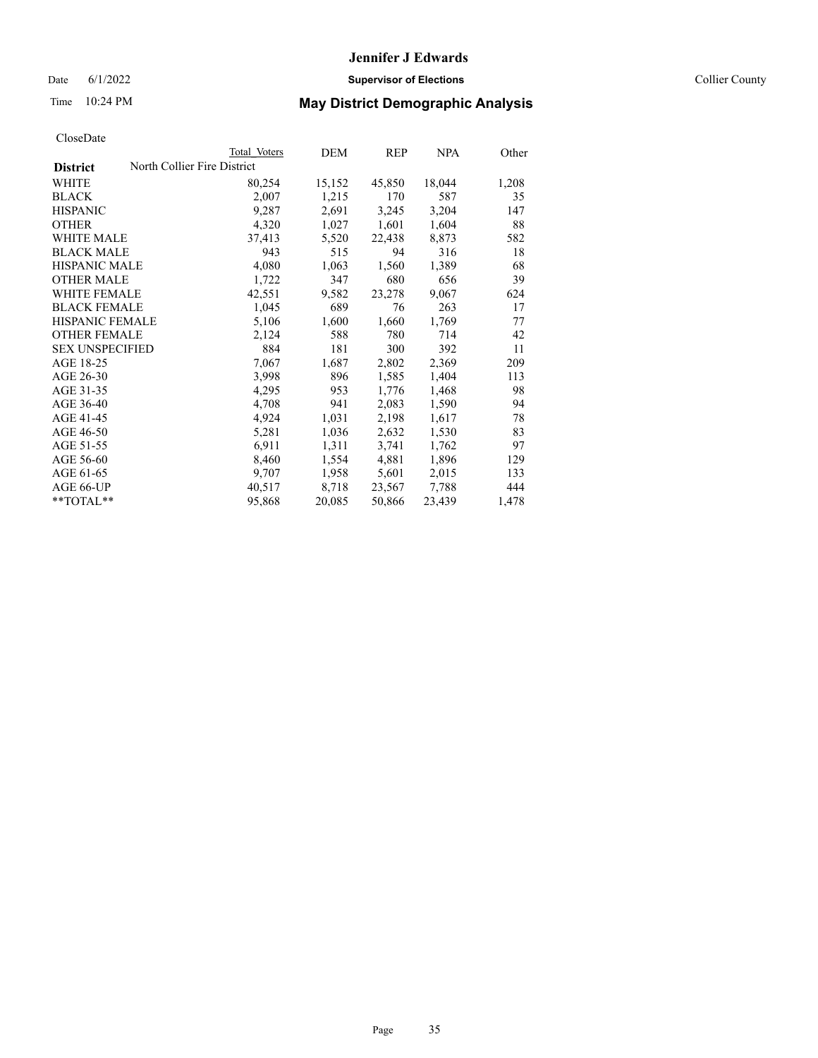Date 6/1/2022 **Supervisor of Elections** Collier County

| CloseDate |
|-----------|
|-----------|

|                                                | Total Voters | DEM    | <b>REP</b> | <b>NPA</b> | Other |
|------------------------------------------------|--------------|--------|------------|------------|-------|
| North Collier Fire District<br><b>District</b> |              |        |            |            |       |
| WHITE                                          | 80,254       | 15,152 | 45,850     | 18,044     | 1,208 |
| BLACK                                          | 2,007        | 1,215  | 170        | 587        | 35    |
| HISPANIC                                       | 9,287        | 2,691  | 3,245      | 3,204      | 147   |
| OTHER                                          | 4,320        | 1,027  | 1,601      | 1,604      | 88    |
| WHITE MALE                                     | 37,413       | 5,520  | 22,438     | 8,873      | 582   |
| BLACK MALE                                     | 943          | 515    | 94         | 316        | 18    |
| HISPANIC MALE                                  | 4,080        | 1,063  | 1,560      | 1,389      | 68    |
| OTHER MALE                                     | 1,722        | 347    | 680        | 656        | 39    |
| WHITE FEMALE                                   | 42,551       | 9,582  | 23,278     | 9,067      | 624   |
| BLACK FEMALE                                   | 1,045        | 689    | 76         | 263        | 17    |
| HISPANIC FEMALE                                | 5,106        | 1,600  | 1,660      | 1,769      | 77    |
| OTHER FEMALE                                   | 2,124        | 588    | 780        | 714        | 42    |
| <b>SEX UNSPECIFIED</b>                         | 884          | 181    | 300        | 392        | 11    |
| AGE 18-25                                      | 7,067        | 1,687  | 2,802      | 2,369      | 209   |
| AGE 26-30                                      | 3,998        | 896    | 1,585      | 1,404      | 113   |
| AGE 31-35                                      | 4,295        | 953    | 1,776      | 1,468      | 98    |
| AGE 36-40                                      | 4,708        | 941    | 2,083      | 1,590      | 94    |
| AGE 41-45                                      | 4,924        | 1,031  | 2,198      | 1,617      | 78    |
| AGE 46-50                                      | 5,281        | 1,036  | 2,632      | 1,530      | 83    |
| AGE 51-55                                      | 6,911        | 1,311  | 3,741      | 1,762      | 97    |
| AGE 56-60                                      | 8,460        | 1,554  | 4,881      | 1,896      | 129   |
| AGE 61-65                                      | 9,707        | 1,958  | 5,601      | 2,015      | 133   |
| AGE 66-UP                                      | 40,517       | 8,718  | 23,567     | 7,788      | 444   |
| $*$ $TOTAL**$                                  | 95,868       | 20,085 | 50,866     | 23,439     | 1,478 |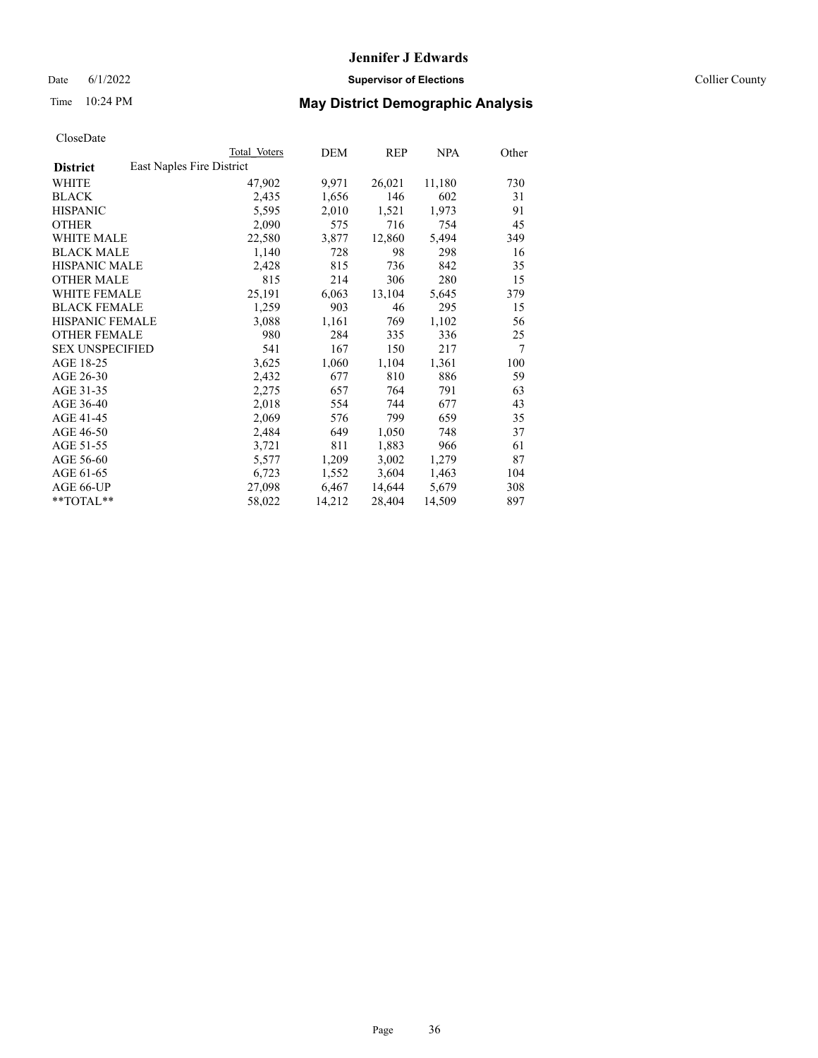Date 6/1/2022 **Supervisor of Elections** Collier County

| CloseDate |
|-----------|
|-----------|

|                                              | Total Voters | DEM    | <b>REP</b> | <b>NPA</b> | Other |
|----------------------------------------------|--------------|--------|------------|------------|-------|
| East Naples Fire District<br><b>District</b> |              |        |            |            |       |
| WHITE                                        | 47,902       | 9,971  | 26,021     | 11,180     | 730   |
| BLACK                                        | 2,435        | 1,656  | 146        | 602        | 31    |
| HISPANIC                                     | 5,595        | 2,010  | 1,521      | 1,973      | 91    |
| OTHER                                        | 2,090        | 575    | 716        | 754        | 45    |
| WHITE MALE                                   | 22,580       | 3,877  | 12,860     | 5,494      | 349   |
| BLACK MALE                                   | 1,140        | 728    | 98         | 298        | 16    |
| HISPANIC MALE                                | 2,428        | 815    | 736        | 842        | 35    |
| OTHER MALE                                   | 815          | 214    | 306        | 280        | 15    |
| WHITE FEMALE                                 | 25,191       | 6,063  | 13,104     | 5,645      | 379   |
| BLACK FEMALE                                 | 1,259        | 903    | 46         | 295        | 15    |
| HISPANIC FEMALE                              | 3,088        | 1,161  | 769        | 1,102      | 56    |
| <b>OTHER FEMALE</b>                          | 980          | 284    | 335        | 336        | 25    |
| SEX UNSPECIFIED                              | 541          | 167    | 150        | 217        | 7     |
| AGE 18-25                                    | 3,625        | 1,060  | 1,104      | 1,361      | 100   |
| AGE 26-30                                    | 2,432        | 677    | 810        | 886        | 59    |
| AGE 31-35                                    | 2,275        | 657    | 764        | 791        | 63    |
| AGE 36-40                                    | 2,018        | 554    | 744        | 677        | 43    |
| AGE 41-45                                    | 2,069        | 576    | 799        | 659        | 35    |
| AGE 46-50                                    | 2,484        | 649    | 1,050      | 748        | 37    |
| AGE 51-55                                    | 3,721        | 811    | 1,883      | 966        | 61    |
| AGE 56-60                                    | 5,577        | 1,209  | 3,002      | 1,279      | 87    |
| AGE 61-65                                    | 6,723        | 1,552  | 3,604      | 1,463      | 104   |
| AGE 66-UP                                    | 27,098       | 6,467  | 14,644     | 5,679      | 308   |
| $*$ $TOTAL**$                                | 58,022       | 14,212 | 28,404     | 14,509     | 897   |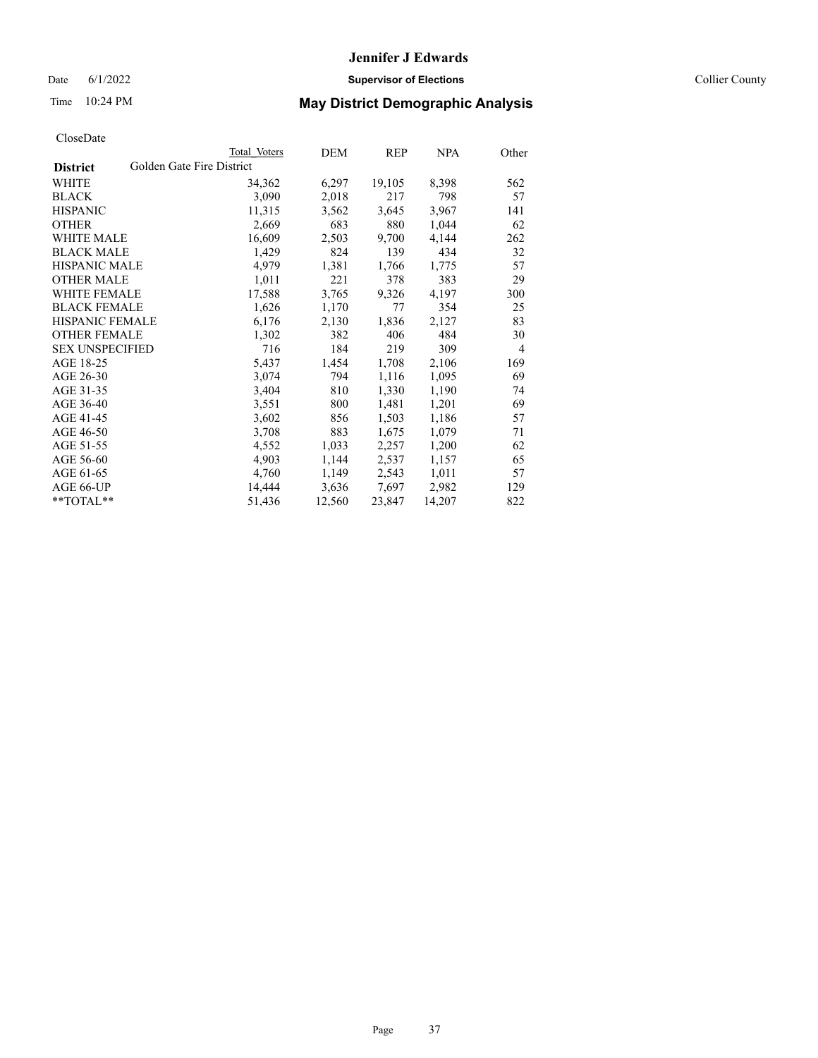Date 6/1/2022 **Supervisor of Elections** Collier County

| CloseDate |
|-----------|
|-----------|

|                        | Total Voters              | DEM    | <b>REP</b> | <b>NPA</b> | Other |
|------------------------|---------------------------|--------|------------|------------|-------|
| <b>District</b>        | Golden Gate Fire District |        |            |            |       |
| WHITE                  | 34,362                    | 6,297  | 19,105     | 8,398      | 562   |
| BLACK                  | 3,090                     | 2,018  | 217        | 798        | 57    |
| HISPANIC               | 11,315                    | 3,562  | 3,645      | 3,967      | 141   |
| OTHER                  | 2,669                     | 683    | 880        | 1,044      | 62    |
| WHITE MALE             | 16,609                    | 2,503  | 9,700      | 4,144      | 262   |
| BLACK MALE             | 1,429                     | 824    | 139        | 434        | 32    |
| HISPANIC MALE          | 4,979                     | 1,381  | 1,766      | 1,775      | 57    |
| OTHER MALE             | 1,011                     | 221    | 378        | 383        | 29    |
| WHITE FEMALE           | 17,588                    | 3,765  | 9,326      | 4,197      | 300   |
| BLACK FEMALE           | 1,626                     | 1,170  | 77         | 354        | 25    |
| HISPANIC FEMALE        | 6,176                     | 2,130  | 1,836      | 2,127      | 83    |
| OTHER FEMALE           | 1,302                     | 382    | 406        | 484        | 30    |
| <b>SEX UNSPECIFIED</b> | 716                       | 184    | 219        | 309        | 4     |
| AGE 18-25              | 5,437                     | 1,454  | 1,708      | 2,106      | 169   |
| AGE 26-30              | 3,074                     | 794    | 1,116      | 1,095      | 69    |
| AGE 31-35              | 3,404                     | 810    | 1,330      | 1,190      | 74    |
| AGE 36-40              | 3,551                     | 800    | 1,481      | 1,201      | 69    |
| AGE 41-45              | 3,602                     | 856    | 1,503      | 1,186      | 57    |
| AGE 46-50              | 3,708                     | 883    | 1,675      | 1,079      | 71    |
| AGE 51-55              | 4,552                     | 1,033  | 2,257      | 1,200      | 62    |
| AGE 56-60              | 4,903                     | 1,144  | 2,537      | 1,157      | 65    |
| AGE 61-65              | 4,760                     | 1,149  | 2,543      | 1,011      | 57    |
| AGE 66-UP              | 14,444                    | 3,636  | 7,697      | 2,982      | 129   |
| $*$ $TOTAL**$          | 51,436                    | 12,560 | 23,847     | 14,207     | 822   |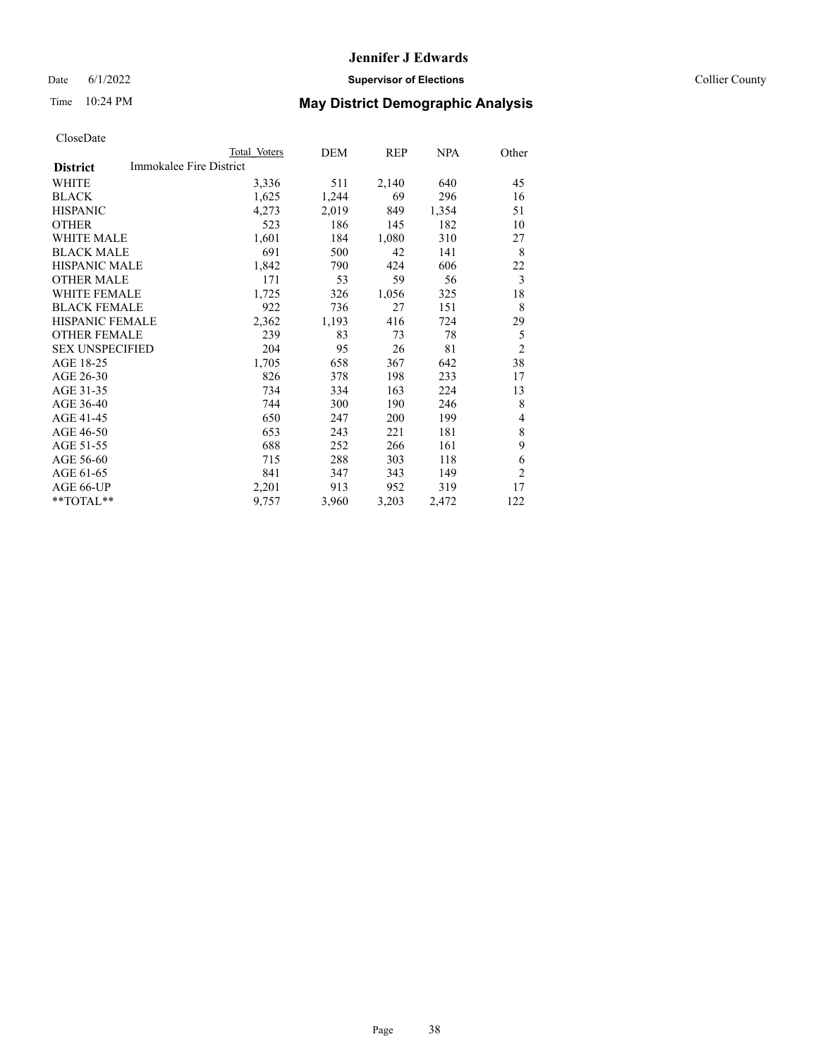## Date 6/1/2022 **Supervisor of Elections Supervisor of Elections** Collier County

# Time 10:24 PM **May District Demographic Analysis**

|                                            | Total Voters | DEM   | REP   | NPA   | Other          |
|--------------------------------------------|--------------|-------|-------|-------|----------------|
| Immokalee Fire District<br><b>District</b> |              |       |       |       |                |
| WHITE                                      | 3,336        | 511   | 2,140 | 640   | 45             |
| <b>BLACK</b>                               | 1,625        | 1,244 | 69    | 296   | 16             |
| <b>HISPANIC</b>                            | 4,273        | 2,019 | 849   | 1,354 | 51             |
| <b>OTHER</b>                               | 523          | 186   | 145   | 182   | 10             |
| <b>WHITE MALE</b>                          | 1,601        | 184   | 1,080 | 310   | 27             |
| <b>BLACK MALE</b>                          | 691          | 500   | 42    | 141   | 8              |
| <b>HISPANIC MALE</b>                       | 1,842        | 790   | 424   | 606   | 22             |
| <b>OTHER MALE</b>                          | 171          | 53    | 59    | 56    | 3              |
| WHITE FEMALE                               | 1,725        | 326   | 1,056 | 325   | 18             |
| <b>BLACK FEMALE</b>                        | 922          | 736   | 27    | 151   | 8              |
| <b>HISPANIC FEMALE</b>                     | 2,362        | 1,193 | 416   | 724   | 29             |
| <b>OTHER FEMALE</b>                        | 239          | 83    | 73    | 78    | 5              |
| <b>SEX UNSPECIFIED</b>                     | 204          | 95    | 26    | 81    | $\overline{2}$ |
| AGE 18-25                                  | 1,705        | 658   | 367   | 642   | 38             |
| AGE 26-30                                  | 826          | 378   | 198   | 233   | 17             |
| AGE 31-35                                  | 734          | 334   | 163   | 224   | 13             |
| AGE 36-40                                  | 744          | 300   | 190   | 246   | 8              |
| AGE 41-45                                  | 650          | 247   | 200   | 199   | 4              |
| AGE 46-50                                  | 653          | 243   | 221   | 181   | 8              |
| AGE 51-55                                  | 688          | 252   | 266   | 161   | 9              |
| AGE 56-60                                  | 715          | 288   | 303   | 118   | 6              |
| AGE 61-65                                  | 841          | 347   | 343   | 149   | $\overline{2}$ |
| AGE 66-UP                                  | 2,201        | 913   | 952   | 319   | 17             |
| **TOTAL**                                  | 9,757        | 3,960 | 3,203 | 2,472 | 122            |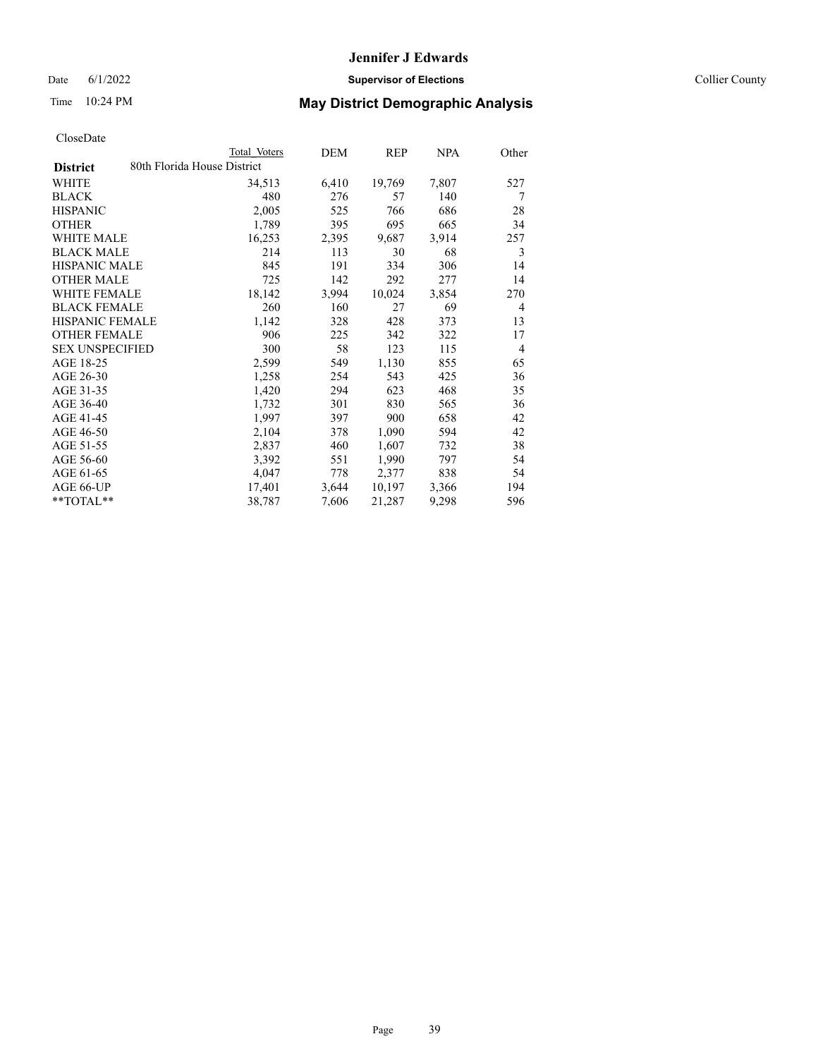Date 6/1/2022 **Supervisor of Elections** Collier County

|                                                | Total Voters | DEM   | REP    | <b>NPA</b> | Other          |
|------------------------------------------------|--------------|-------|--------|------------|----------------|
| 80th Florida House District<br><b>District</b> |              |       |        |            |                |
| WHITE                                          | 34,513       | 6,410 | 19,769 | 7,807      | 527            |
| <b>BLACK</b>                                   | 480          | 276   | 57     | 140        | 7              |
| <b>HISPANIC</b>                                | 2,005        | 525   | 766    | 686        | 28             |
| <b>OTHER</b>                                   | 1,789        | 395   | 695    | 665        | 34             |
| <b>WHITE MALE</b>                              | 16,253       | 2,395 | 9,687  | 3,914      | 257            |
| <b>BLACK MALE</b>                              | 214          | 113   | 30     | 68         | 3              |
| <b>HISPANIC MALE</b>                           | 845          | 191   | 334    | 306        | 14             |
| <b>OTHER MALE</b>                              | 725          | 142   | 292    | 277        | 14             |
| WHITE FEMALE                                   | 18,142       | 3,994 | 10,024 | 3,854      | 270            |
| <b>BLACK FEMALE</b>                            | 260          | 160   | 27     | 69         | 4              |
| <b>HISPANIC FEMALE</b>                         | 1,142        | 328   | 428    | 373        | 13             |
| <b>OTHER FEMALE</b>                            | 906          | 225   | 342    | 322        | 17             |
| <b>SEX UNSPECIFIED</b>                         | 300          | 58    | 123    | 115        | $\overline{4}$ |
| AGE 18-25                                      | 2,599        | 549   | 1,130  | 855        | 65             |
| AGE 26-30                                      | 1,258        | 254   | 543    | 425        | 36             |
| AGE 31-35                                      | 1,420        | 294   | 623    | 468        | 35             |
| AGE 36-40                                      | 1,732        | 301   | 830    | 565        | 36             |
| AGE 41-45                                      | 1,997        | 397   | 900    | 658        | 42             |
| AGE 46-50                                      | 2,104        | 378   | 1,090  | 594        | 42             |
| AGE 51-55                                      | 2,837        | 460   | 1,607  | 732        | 38             |
| AGE 56-60                                      | 3,392        | 551   | 1,990  | 797        | 54             |
| AGE 61-65                                      | 4,047        | 778   | 2,377  | 838        | 54             |
| AGE 66-UP                                      | 17,401       | 3,644 | 10,197 | 3,366      | 194            |
| $*$ $TOTAL**$                                  | 38,787       | 7,606 | 21,287 | 9,298      | 596            |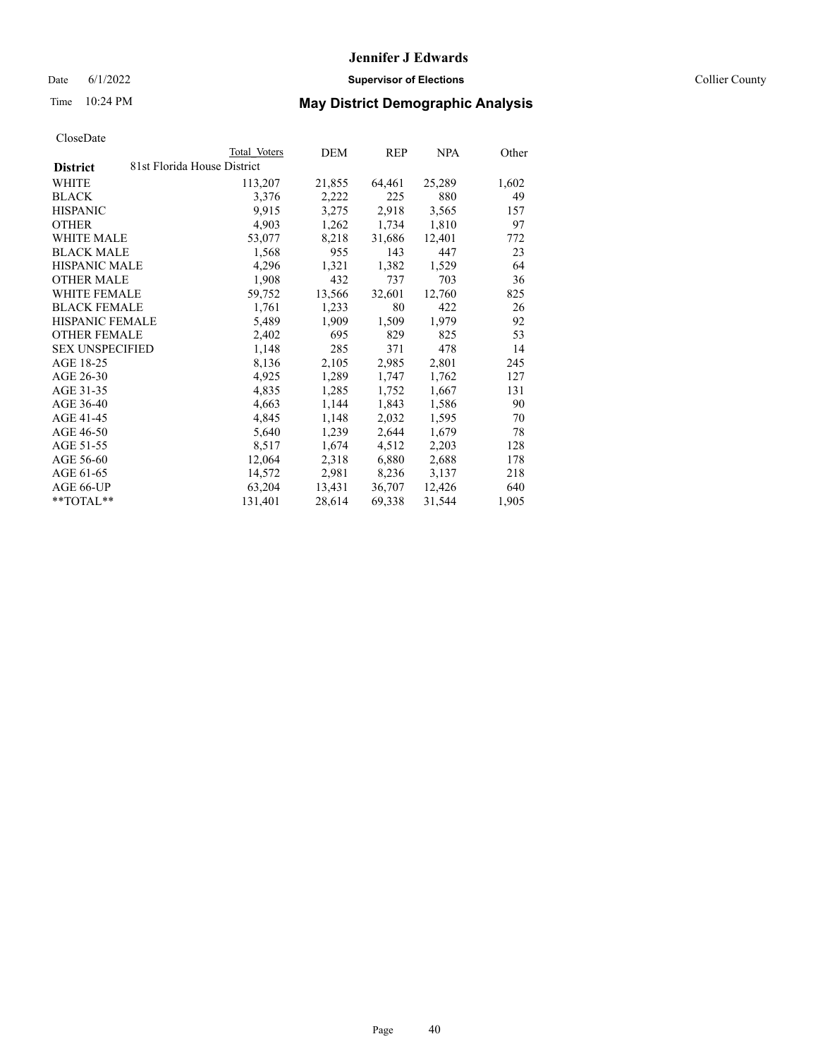Date 6/1/2022 **Supervisor of Elections** Collier County

## Time 10:24 PM **May District Demographic Analysis**

|                        | Total Voters                | DEM    | <b>REP</b> | <u>NPA</u> | Other |
|------------------------|-----------------------------|--------|------------|------------|-------|
| <b>District</b>        | 81st Florida House District |        |            |            |       |
| WHITE                  | 113,207                     | 21,855 | 64,461     | 25,289     | 1,602 |
| <b>BLACK</b>           | 3,376                       | 2,222  | 225        | 880        | 49    |
| <b>HISPANIC</b>        | 9,915                       | 3,275  | 2,918      | 3,565      | 157   |
| <b>OTHER</b>           | 4,903                       | 1,262  | 1,734      | 1,810      | 97    |
| WHITE MALE             | 53,077                      | 8,218  | 31,686     | 12,401     | 772   |
| <b>BLACK MALE</b>      | 1,568                       | 955    | 143        | 447        | 23    |
| <b>HISPANIC MALE</b>   | 4,296                       | 1,321  | 1,382      | 1,529      | 64    |
| <b>OTHER MALE</b>      | 1,908                       | 432    | 737        | 703        | 36    |
| <b>WHITE FEMALE</b>    | 59,752                      | 13,566 | 32,601     | 12,760     | 825   |
| <b>BLACK FEMALE</b>    | 1,761                       | 1,233  | 80         | 422        | 26    |
| HISPANIC FEMALE        | 5,489                       | 1,909  | 1,509      | 1,979      | 92    |
| <b>OTHER FEMALE</b>    | 2,402                       | 695    | 829        | 825        | 53    |
| <b>SEX UNSPECIFIED</b> | 1,148                       | 285    | 371        | 478        | 14    |
| AGE 18-25              | 8,136                       | 2,105  | 2,985      | 2,801      | 245   |
| AGE 26-30              | 4,925                       | 1,289  | 1,747      | 1,762      | 127   |
| AGE 31-35              | 4,835                       | 1,285  | 1,752      | 1,667      | 131   |
| AGE 36-40              | 4,663                       | 1,144  | 1,843      | 1,586      | 90    |
| AGE 41-45              | 4,845                       | 1,148  | 2,032      | 1,595      | 70    |
| AGE 46-50              | 5,640                       | 1,239  | 2,644      | 1,679      | 78    |
| AGE 51-55              | 8,517                       | 1,674  | 4,512      | 2,203      | 128   |
| AGE 56-60              | 12,064                      | 2,318  | 6,880      | 2,688      | 178   |
| AGE 61-65              | 14,572                      | 2,981  | 8,236      | 3,137      | 218   |
| AGE 66-UP              | 63,204                      | 13,431 | 36,707     | 12,426     | 640   |
| $*$ $TOTAL**$          | 131,401                     | 28,614 | 69,338     | 31,544     | 1,905 |
|                        |                             |        |            |            |       |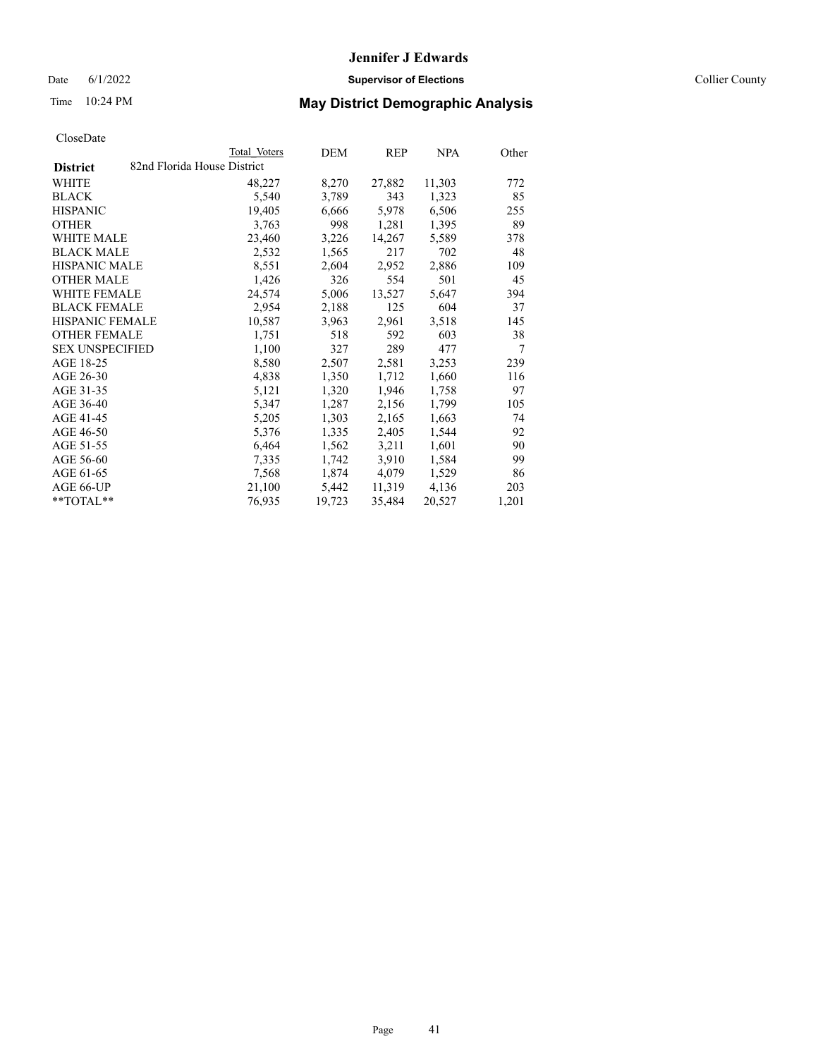Date 6/1/2022 **Supervisor of Elections** Collier County

## Time 10:24 PM **May District Demographic Analysis**

|                        |                             | Total Voters | DEM    | REP    | NPA    | Other |
|------------------------|-----------------------------|--------------|--------|--------|--------|-------|
| <b>District</b>        | 82nd Florida House District |              |        |        |        |       |
| WHITE                  |                             | 48,227       | 8,270  | 27,882 | 11,303 | 772   |
| <b>BLACK</b>           |                             | 5,540        | 3,789  | 343    | 1,323  | 85    |
| <b>HISPANIC</b>        |                             | 19,405       | 6,666  | 5,978  | 6,506  | 255   |
| <b>OTHER</b>           |                             | 3,763        | 998    | 1,281  | 1,395  | 89    |
| WHITE MALE             |                             | 23,460       | 3,226  | 14,267 | 5,589  | 378   |
| <b>BLACK MALE</b>      |                             | 2,532        | 1,565  | 217    | 702    | 48    |
| <b>HISPANIC MALE</b>   |                             | 8,551        | 2,604  | 2,952  | 2,886  | 109   |
| <b>OTHER MALE</b>      |                             | 1,426        | 326    | 554    | 501    | 45    |
| <b>WHITE FEMALE</b>    |                             | 24,574       | 5,006  | 13,527 | 5,647  | 394   |
| <b>BLACK FEMALE</b>    |                             | 2,954        | 2,188  | 125    | 604    | 37    |
| <b>HISPANIC FEMALE</b> |                             | 10,587       | 3,963  | 2,961  | 3,518  | 145   |
| <b>OTHER FEMALE</b>    |                             | 1,751        | 518    | 592    | 603    | 38    |
| <b>SEX UNSPECIFIED</b> |                             | 1,100        | 327    | 289    | 477    | 7     |
| AGE 18-25              |                             | 8,580        | 2,507  | 2,581  | 3,253  | 239   |
| AGE 26-30              |                             | 4,838        | 1,350  | 1,712  | 1,660  | 116   |
| AGE 31-35              |                             | 5,121        | 1,320  | 1,946  | 1,758  | 97    |
| AGE 36-40              |                             | 5,347        | 1,287  | 2,156  | 1,799  | 105   |
| AGE 41-45              |                             | 5,205        | 1,303  | 2,165  | 1,663  | 74    |
| AGE 46-50              |                             | 5,376        | 1,335  | 2,405  | 1,544  | 92    |
| AGE 51-55              |                             | 6,464        | 1,562  | 3,211  | 1,601  | 90    |
| AGE 56-60              |                             | 7,335        | 1,742  | 3,910  | 1,584  | 99    |
| AGE 61-65              |                             | 7,568        | 1,874  | 4,079  | 1,529  | 86    |
| AGE 66-UP              |                             | 21,100       | 5,442  | 11,319 | 4,136  | 203   |
| $*$ $TOTAL**$          |                             | 76,935       | 19,723 | 35,484 | 20,527 | 1,201 |
|                        |                             |              |        |        |        |       |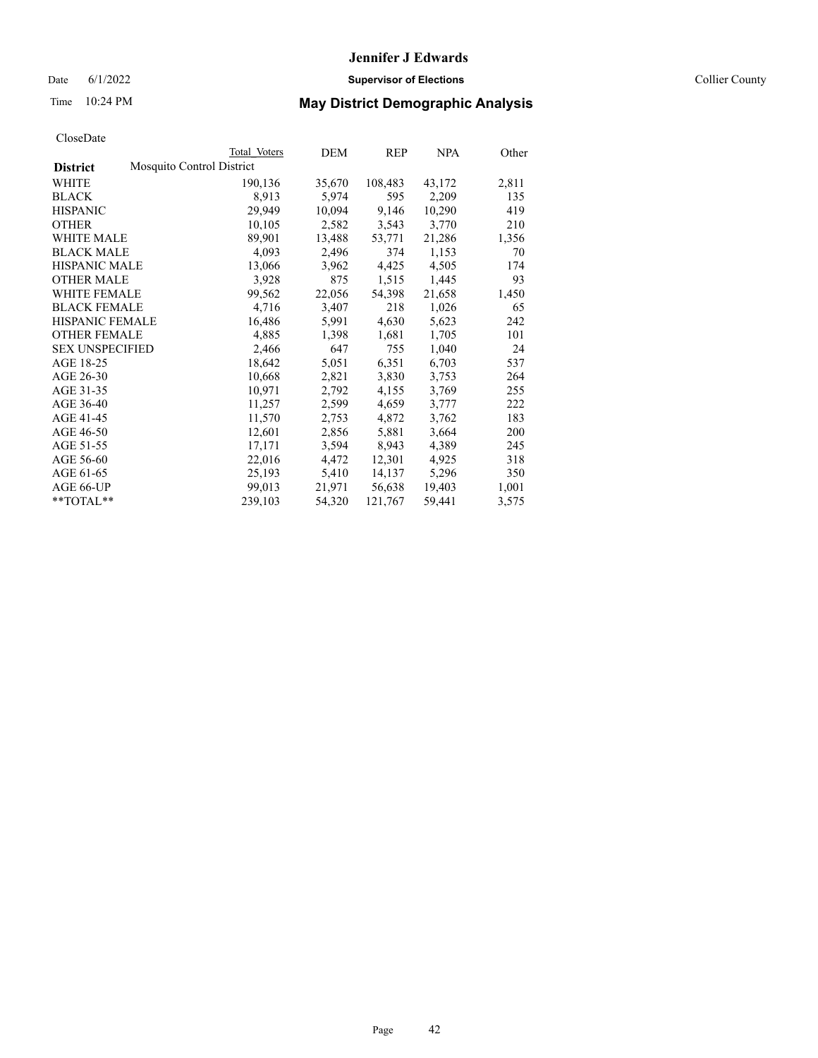Date 6/1/2022 **Supervisor of Elections** Collier County

| CloseDate |
|-----------|
|-----------|

|                        |                           | Total Voters | DEM    | <b>REP</b> | <b>NPA</b> | Other |
|------------------------|---------------------------|--------------|--------|------------|------------|-------|
| <b>District</b>        | Mosquito Control District |              |        |            |            |       |
| WHITE                  |                           | 190,136      | 35,670 | 108,483    | 43,172     | 2,811 |
| <b>BLACK</b>           |                           | 8,913        | 5,974  | 595        | 2,209      | 135   |
| <b>HISPANIC</b>        |                           | 29,949       | 10,094 | 9,146      | 10,290     | 419   |
| <b>OTHER</b>           |                           | 10,105       | 2,582  | 3,543      | 3,770      | 210   |
| WHITE MALE             |                           | 89,901       | 13,488 | 53,771     | 21,286     | 1,356 |
| <b>BLACK MALE</b>      |                           | 4,093        | 2,496  | 374        | 1,153      | 70    |
| <b>HISPANIC MALE</b>   |                           | 13,066       | 3,962  | 4,425      | 4,505      | 174   |
| <b>OTHER MALE</b>      |                           | 3,928        | 875    | 1,515      | 1,445      | 93    |
| <b>WHITE FEMALE</b>    |                           | 99,562       | 22,056 | 54,398     | 21,658     | 1,450 |
| <b>BLACK FEMALE</b>    |                           | 4,716        | 3,407  | 218        | 1,026      | 65    |
| <b>HISPANIC FEMALE</b> |                           | 16,486       | 5,991  | 4,630      | 5,623      | 242   |
| <b>OTHER FEMALE</b>    |                           | 4,885        | 1,398  | 1,681      | 1,705      | 101   |
| <b>SEX UNSPECIFIED</b> |                           | 2,466        | 647    | 755        | 1,040      | 24    |
| AGE 18-25              |                           | 18,642       | 5,051  | 6,351      | 6,703      | 537   |
| AGE 26-30              |                           | 10,668       | 2,821  | 3,830      | 3,753      | 264   |
| AGE 31-35              |                           | 10,971       | 2,792  | 4,155      | 3,769      | 255   |
| AGE 36-40              |                           | 11,257       | 2,599  | 4,659      | 3,777      | 222   |
| AGE 41-45              |                           | 11,570       | 2,753  | 4,872      | 3,762      | 183   |
| AGE 46-50              |                           | 12,601       | 2,856  | 5,881      | 3,664      | 200   |
| AGE 51-55              |                           | 17,171       | 3,594  | 8,943      | 4,389      | 245   |
| AGE 56-60              |                           | 22,016       | 4,472  | 12,301     | 4,925      | 318   |
| AGE 61-65              |                           | 25,193       | 5,410  | 14,137     | 5,296      | 350   |
| AGE 66-UP              |                           | 99,013       | 21,971 | 56,638     | 19,403     | 1,001 |
| $*$ $TOTAL**$          |                           | 239,103      | 54,320 | 121,767    | 59,441     | 3,575 |
|                        |                           |              |        |            |            |       |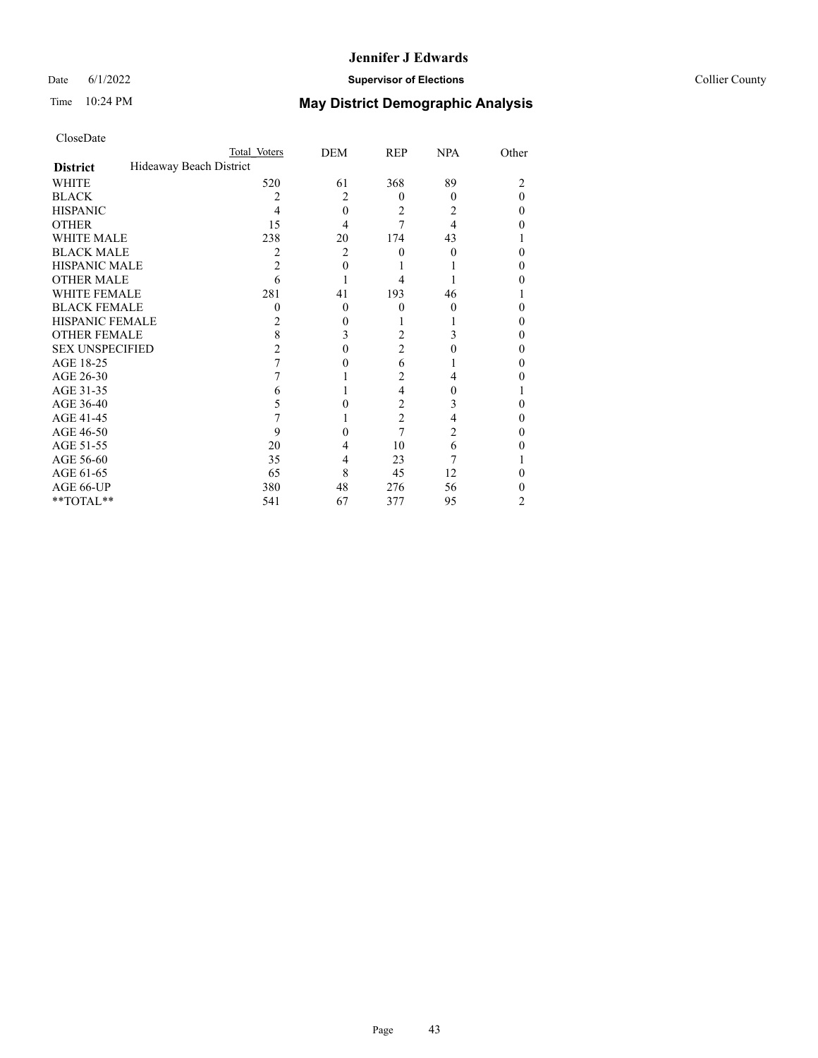## Date 6/1/2022 **Supervisor of Elections Supervisor of Elections** Collier County

| CloseDate              |                         |                |                |            |       |
|------------------------|-------------------------|----------------|----------------|------------|-------|
|                        | Total Voters            | DEM            | REP            | <b>NPA</b> | Other |
| <b>District</b>        | Hideaway Beach District |                |                |            |       |
| WHITE                  | 520                     | 61             | 368            | 89         | 2     |
| <b>BLACK</b>           | 2                       | 2              | $\Omega$       | $\theta$   | 0     |
| <b>HISPANIC</b>        | 4                       | $\theta$       | 2              | 2          | 0     |
| <b>OTHER</b>           | 15                      | 4              | 7              | 4          | 0     |
| <b>WHITE MALE</b>      | 238                     | 20             | 174            | 43         |       |
| <b>BLACK MALE</b>      | 2                       | $\overline{2}$ | 0              | 0          | 0     |
| <b>HISPANIC MALE</b>   | 2                       | 0              |                |            | 0     |
| <b>OTHER MALE</b>      | 6                       |                | 4              |            | 0     |
| <b>WHITE FEMALE</b>    | 281                     | 41             | 193            | 46         |       |
| <b>BLACK FEMALE</b>    | 0                       | $\theta$       | $\theta$       | $\theta$   | 0     |
| <b>HISPANIC FEMALE</b> | 2                       | 0              |                |            | 0     |
| <b>OTHER FEMALE</b>    | 8                       | 3              | 2              | 3          | 0     |
| <b>SEX UNSPECIFIED</b> | 2                       | 0              | 2              | 0          | 0     |
| AGE 18-25              | 7                       | 0              | 6              |            | 0     |
| AGE 26-30              |                         |                | 2              | 4          | 0     |
| AGE 31-35              | 6                       |                | $\overline{4}$ | 0          |       |
| AGE 36-40              | 5                       | 0              | 2              | 3          | 0     |
| AGE 41-45              |                         |                | $\overline{2}$ | 4          | 0     |
| AGE 46-50              | 9                       | 0              | 7              | 2          | 0     |
| AGE 51-55              | 20                      | 4              | 10             | 6          | 0     |
| AGE 56-60              | 35                      | 4              | 23             | 7          |       |
| AGE 61-65              | 65                      | 8              | 45             | 12         | 0     |
| AGE 66-UP              | 380                     | 48             | 276            | 56         | 0     |
| **TOTAL**              | 541                     | 67             | 377            | 95         | 2     |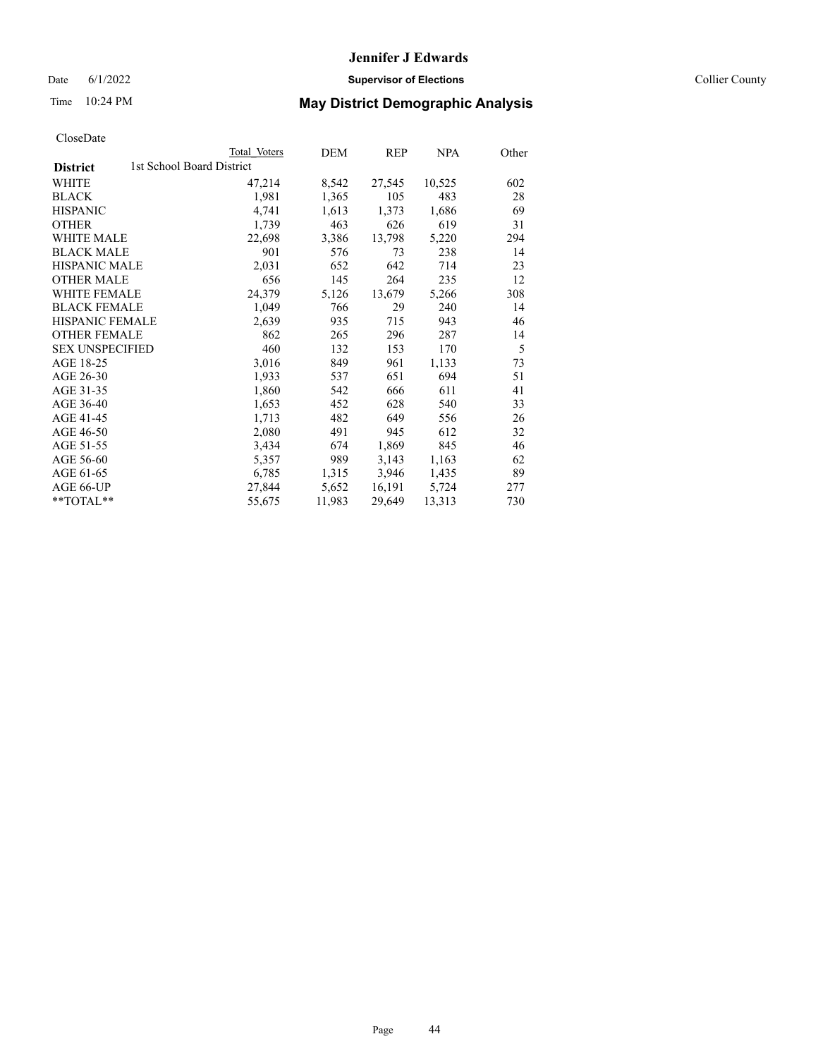Date 6/1/2022 **Supervisor of Elections** Collier County

| CloseDate |
|-----------|
|-----------|

|                                              | Total Voters | DEM    | REP    | <b>NPA</b> | Other |
|----------------------------------------------|--------------|--------|--------|------------|-------|
| 1st School Board District<br><b>District</b> |              |        |        |            |       |
| WHITE                                        | 47,214       | 8,542  | 27,545 | 10,525     | 602   |
| <b>BLACK</b>                                 | 1,981        | 1,365  | 105    | 483        | 28    |
| <b>HISPANIC</b>                              | 4,741        | 1,613  | 1,373  | 1,686      | 69    |
| <b>OTHER</b>                                 | 1,739        | 463    | 626    | 619        | 31    |
| <b>WHITE MALE</b>                            | 22,698       | 3,386  | 13,798 | 5,220      | 294   |
| <b>BLACK MALE</b>                            | 901          | 576    | 73     | 238        | 14    |
| <b>HISPANIC MALE</b>                         | 2,031        | 652    | 642    | 714        | 23    |
| <b>OTHER MALE</b>                            | 656          | 145    | 264    | 235        | 12    |
| <b>WHITE FEMALE</b>                          | 24,379       | 5,126  | 13,679 | 5,266      | 308   |
| <b>BLACK FEMALE</b>                          | 1,049        | 766    | 29     | 240        | 14    |
| HISPANIC FEMALE                              | 2,639        | 935    | 715    | 943        | 46    |
| <b>OTHER FEMALE</b>                          | 862          | 265    | 296    | 287        | 14    |
| <b>SEX UNSPECIFIED</b>                       | 460          | 132    | 153    | 170        | 5     |
| AGE 18-25                                    | 3,016        | 849    | 961    | 1,133      | 73    |
| AGE 26-30                                    | 1,933        | 537    | 651    | 694        | 51    |
| AGE 31-35                                    | 1,860        | 542    | 666    | 611        | 41    |
| AGE 36-40                                    | 1,653        | 452    | 628    | 540        | 33    |
| AGE 41-45                                    | 1,713        | 482    | 649    | 556        | 26    |
| AGE 46-50                                    | 2,080        | 491    | 945    | 612        | 32    |
| AGE 51-55                                    | 3,434        | 674    | 1,869  | 845        | 46    |
| AGE 56-60                                    | 5,357        | 989    | 3,143  | 1,163      | 62    |
| AGE 61-65                                    | 6,785        | 1,315  | 3,946  | 1,435      | 89    |
| AGE 66-UP                                    | 27,844       | 5,652  | 16,191 | 5,724      | 277   |
| $*$ TOTAL $*$                                | 55,675       | 11,983 | 29,649 | 13,313     | 730   |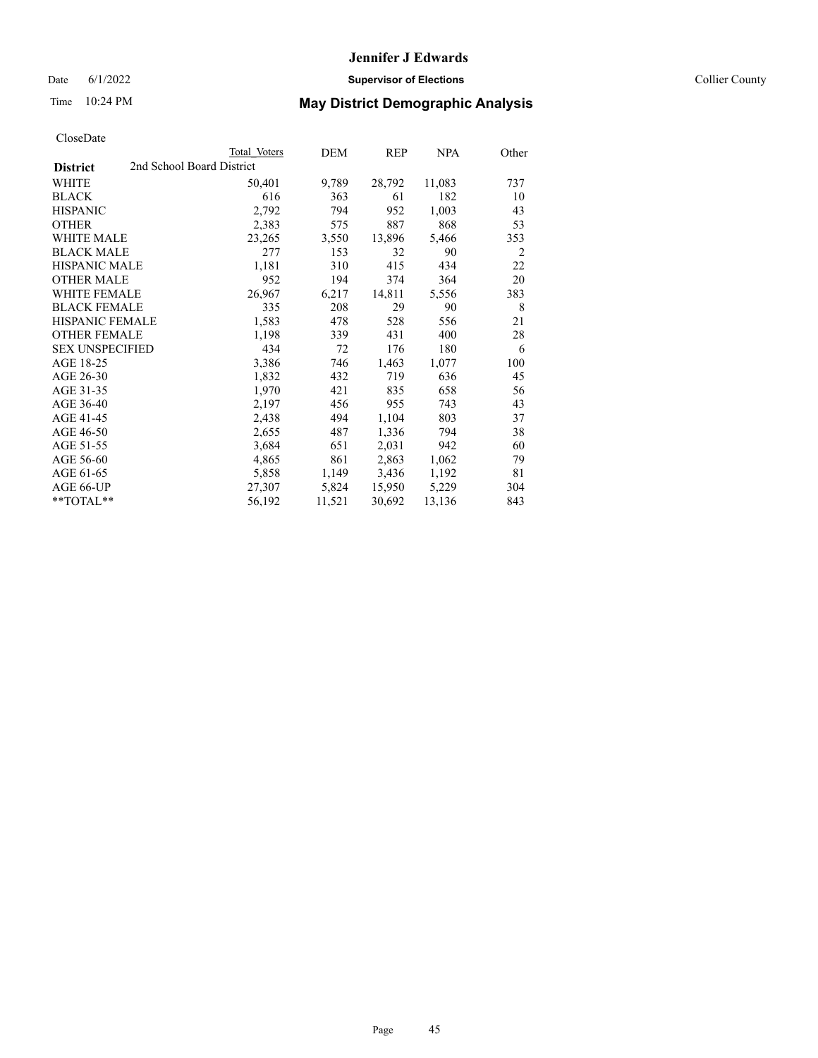Date 6/1/2022 **Supervisor of Elections** Collier County

| CloseDate |
|-----------|
|-----------|

|                                              | Total Voters | DEM    | <b>REP</b> | <b>NPA</b> | Other |
|----------------------------------------------|--------------|--------|------------|------------|-------|
| 2nd School Board District<br><b>District</b> |              |        |            |            |       |
| WHITE                                        | 50,401       | 9,789  | 28,792     | 11,083     | 737   |
| BLACK                                        | 616          | 363    | 61         | 182        | 10    |
| HISPANIC                                     | 2,792        | 794    | 952        | 1,003      | 43    |
| OTHER                                        | 2,383        | 575    | 887        | 868        | 53    |
| WHITE MALE                                   | 23,265       | 3,550  | 13,896     | 5,466      | 353   |
| BLACK MALE                                   | 277          | 153    | 32         | 90         | 2     |
| HISPANIC MALE                                | 1,181        | 310    | 415        | 434        | 22    |
| OTHER MALE                                   | 952          | 194    | 374        | 364        | 20    |
| WHITE FEMALE                                 | 26,967       | 6,217  | 14,811     | 5,556      | 383   |
| BLACK FEMALE                                 | 335          | 208    | 29         | 90         | 8     |
| HISPANIC FEMALE                              | 1,583        | 478    | 528        | 556        | 21    |
| <b>OTHER FEMALE</b>                          | 1,198        | 339    | 431        | 400        | 28    |
| SEX UNSPECIFIED                              | 434          | 72     | 176        | 180        | 6     |
| AGE 18-25                                    | 3,386        | 746    | 1,463      | 1,077      | 100   |
| AGE 26-30                                    | 1,832        | 432    | 719        | 636        | 45    |
| AGE 31-35                                    | 1,970        | 421    | 835        | 658        | 56    |
| AGE 36-40                                    | 2,197        | 456    | 955        | 743        | 43    |
| AGE 41-45                                    | 2,438        | 494    | 1,104      | 803        | 37    |
| AGE 46-50                                    | 2,655        | 487    | 1,336      | 794        | 38    |
| AGE 51-55                                    | 3,684        | 651    | 2,031      | 942        | 60    |
| AGE 56-60                                    | 4,865        | 861    | 2,863      | 1,062      | 79    |
| AGE 61-65                                    | 5,858        | 1,149  | 3,436      | 1,192      | 81    |
| AGE 66-UP                                    | 27,307       | 5,824  | 15,950     | 5,229      | 304   |
| $*$ $TOTAL**$                                | 56,192       | 11,521 | 30,692     | 13,136     | 843   |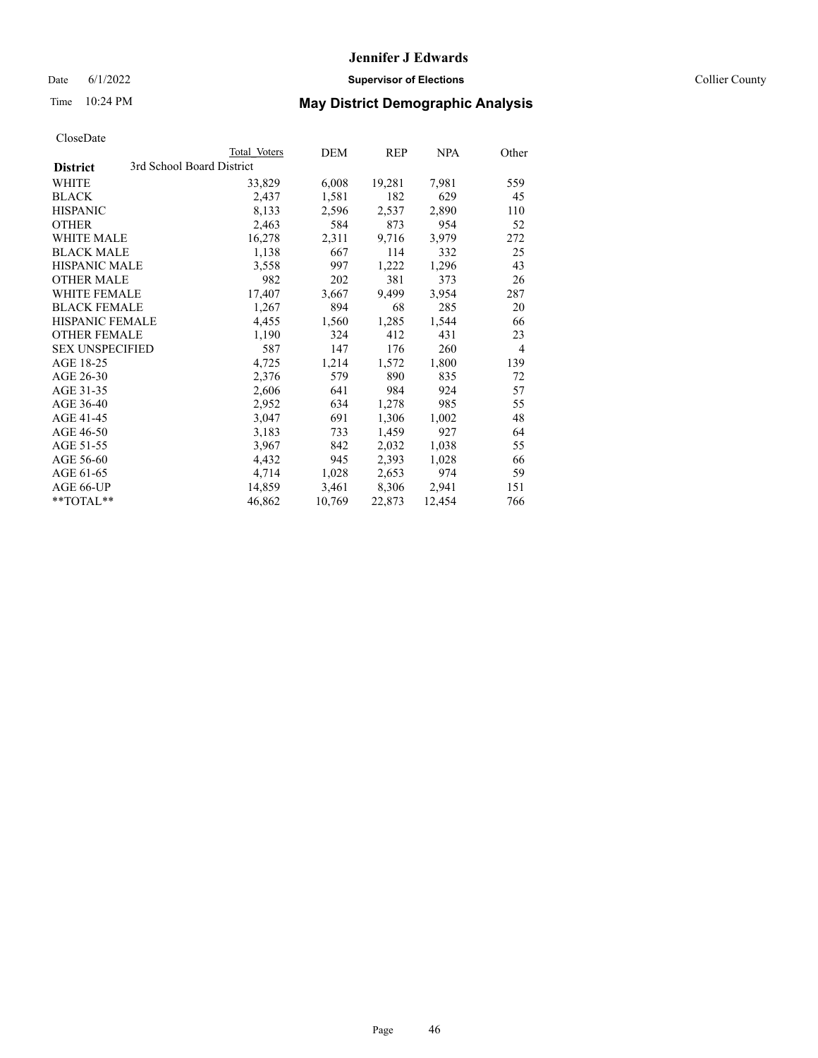Date 6/1/2022 **Supervisor of Elections** Collier County

| CloseDate |
|-----------|
|-----------|

|                   | Total Voters              | DEM    | <b>REP</b> | <b>NPA</b> | Other          |
|-------------------|---------------------------|--------|------------|------------|----------------|
| <b>District</b>   | 3rd School Board District |        |            |            |                |
| WHITE             | 33,829                    | 6,008  | 19,281     | 7,981      | 559            |
| BLACK             | 2,437                     | 1,581  | 182        | 629        | 45             |
| HISPANIC          | 8,133                     | 2,596  | 2,537      | 2,890      | 110            |
| OTHER             | 2,463                     | 584    | 873        | 954        | 52             |
| WHITE MALE        | 16,278                    | 2,311  | 9,716      | 3,979      | 272            |
| BLACK MALE        | 1,138                     | 667    | 114        | 332        | 25             |
| HISPANIC MALE     | 3,558                     | 997    | 1,222      | 1,296      | 43             |
| <b>OTHER MALE</b> | 982                       | 202    | 381        | 373        | 26             |
| WHITE FEMALE      | 17,407                    | 3,667  | 9,499      | 3,954      | 287            |
| BLACK FEMALE      | 1,267                     | 894    | 68         | 285        | 20             |
| HISPANIC FEMALE   | 4,455                     | 1,560  | 1,285      | 1,544      | 66             |
| OTHER FEMALE      | 1,190                     | 324    | 412        | 431        | 23             |
| SEX UNSPECIFIED   | 587                       | 147    | 176        | 260        | $\overline{4}$ |
| AGE 18-25         | 4,725                     | 1,214  | 1,572      | 1,800      | 139            |
| AGE 26-30         | 2,376                     | 579    | 890        | 835        | 72             |
| AGE 31-35         | 2,606                     | 641    | 984        | 924        | 57             |
| AGE 36-40         | 2,952                     | 634    | 1,278      | 985        | 55             |
| AGE 41-45         | 3,047                     | 691    | 1,306      | 1,002      | 48             |
| AGE 46-50         | 3,183                     | 733    | 1,459      | 927        | 64             |
| AGE 51-55         | 3,967                     | 842    | 2,032      | 1,038      | 55             |
| AGE 56-60         | 4,432                     | 945    | 2,393      | 1,028      | 66             |
| AGE 61-65         | 4,714                     | 1,028  | 2,653      | 974        | 59             |
| AGE 66-UP         | 14,859                    | 3,461  | 8,306      | 2,941      | 151            |
| $*$ $TOTAL**$     | 46,862                    | 10,769 | 22,873     | 12.454     | 766            |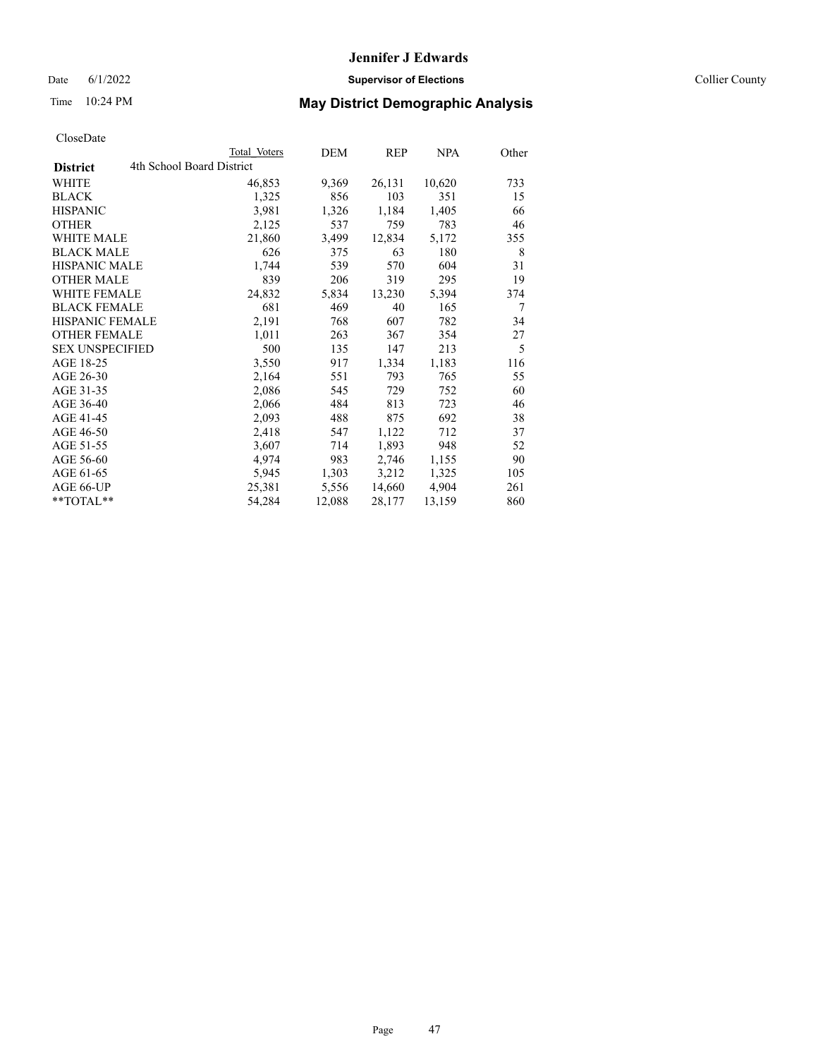Date 6/1/2022 **Supervisor of Elections** Collier County

| CloseDate |
|-----------|
|-----------|

|                                              | Total Voters | DEM    | REP    | <b>NPA</b> | Other |
|----------------------------------------------|--------------|--------|--------|------------|-------|
| 4th School Board District<br><b>District</b> |              |        |        |            |       |
| <b>WHITE</b>                                 | 46,853       | 9,369  | 26,131 | 10,620     | 733   |
| <b>BLACK</b>                                 | 1,325        | 856    | 103    | 351        | 15    |
| <b>HISPANIC</b>                              | 3,981        | 1,326  | 1,184  | 1,405      | 66    |
| <b>OTHER</b>                                 | 2,125        | 537    | 759    | 783        | 46    |
| <b>WHITE MALE</b>                            | 21,860       | 3,499  | 12,834 | 5,172      | 355   |
| <b>BLACK MALE</b>                            | 626          | 375    | 63     | 180        | 8     |
| <b>HISPANIC MALE</b>                         | 1,744        | 539    | 570    | 604        | 31    |
| <b>OTHER MALE</b>                            | 839          | 206    | 319    | 295        | 19    |
| <b>WHITE FEMALE</b>                          | 24,832       | 5,834  | 13,230 | 5,394      | 374   |
| <b>BLACK FEMALE</b>                          | 681          | 469    | 40     | 165        | 7     |
| HISPANIC FEMALE                              | 2,191        | 768    | 607    | 782        | 34    |
| <b>OTHER FEMALE</b>                          | 1,011        | 263    | 367    | 354        | 27    |
| <b>SEX UNSPECIFIED</b>                       | 500          | 135    | 147    | 213        | 5     |
| AGE 18-25                                    | 3,550        | 917    | 1,334  | 1,183      | 116   |
| AGE 26-30                                    | 2,164        | 551    | 793    | 765        | 55    |
| AGE 31-35                                    | 2,086        | 545    | 729    | 752        | 60    |
| AGE 36-40                                    | 2,066        | 484    | 813    | 723        | 46    |
| AGE 41-45                                    | 2,093        | 488    | 875    | 692        | 38    |
| AGE 46-50                                    | 2,418        | 547    | 1,122  | 712        | 37    |
| AGE 51-55                                    | 3,607        | 714    | 1,893  | 948        | 52    |
| AGE 56-60                                    | 4,974        | 983    | 2,746  | 1,155      | 90    |
| AGE 61-65                                    | 5,945        | 1,303  | 3,212  | 1,325      | 105   |
| AGE 66-UP                                    | 25,381       | 5,556  | 14,660 | 4,904      | 261   |
| $*$ $TOTAL**$                                | 54,284       | 12,088 | 28,177 | 13,159     | 860   |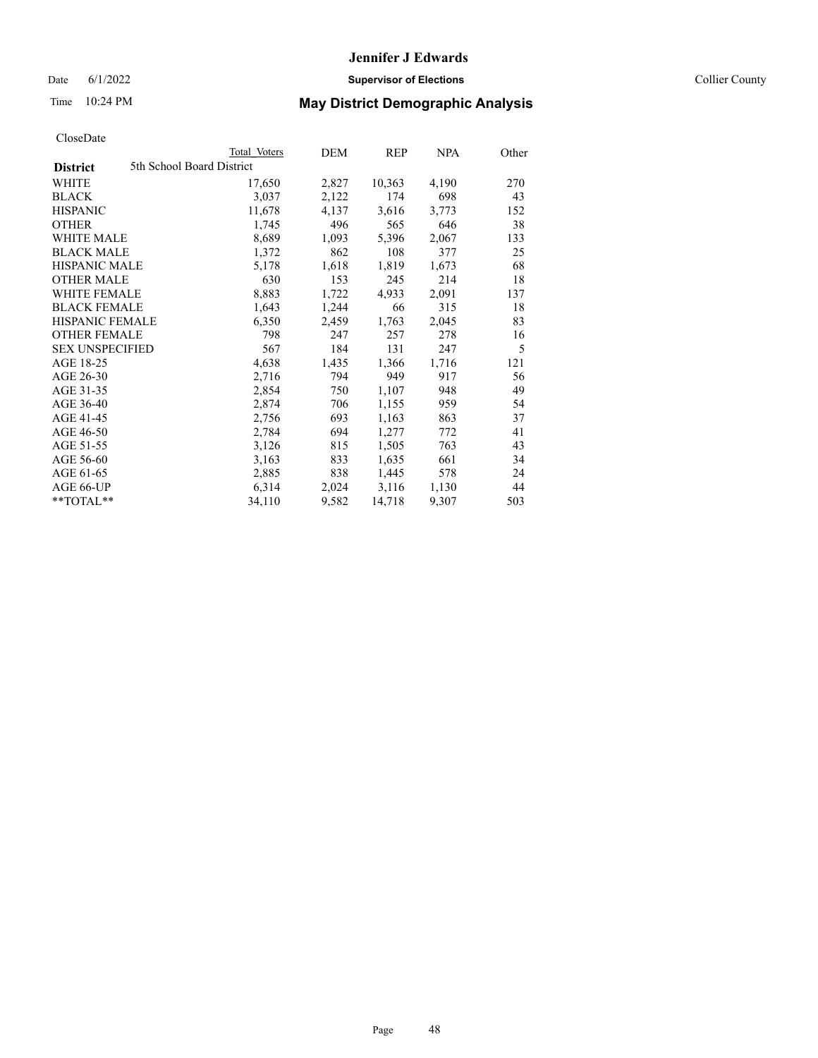## Date 6/1/2022 **Supervisor of Elections Supervisor of Elections** Collier County

## Time 10:24 PM **May District Demographic Analysis**

|                                              | Total Voters | DEM   | REP    | NPA   | Other |
|----------------------------------------------|--------------|-------|--------|-------|-------|
| 5th School Board District<br><b>District</b> |              |       |        |       |       |
| WHITE                                        | 17,650       | 2,827 | 10,363 | 4,190 | 270   |
| <b>BLACK</b>                                 | 3,037        | 2,122 | 174    | 698   | 43    |
| <b>HISPANIC</b>                              | 11,678       | 4,137 | 3,616  | 3,773 | 152   |
| <b>OTHER</b>                                 | 1,745        | 496   | 565    | 646   | 38    |
| <b>WHITE MALE</b>                            | 8,689        | 1,093 | 5,396  | 2,067 | 133   |
| <b>BLACK MALE</b>                            | 1,372        | 862   | 108    | 377   | 25    |
| <b>HISPANIC MALE</b>                         | 5,178        | 1,618 | 1,819  | 1,673 | 68    |
| <b>OTHER MALE</b>                            | 630          | 153   | 245    | 214   | 18    |
| <b>WHITE FEMALE</b>                          | 8,883        | 1,722 | 4,933  | 2,091 | 137   |
| <b>BLACK FEMALE</b>                          | 1,643        | 1,244 | 66     | 315   | 18    |
| <b>HISPANIC FEMALE</b>                       | 6,350        | 2,459 | 1,763  | 2,045 | 83    |
| <b>OTHER FEMALE</b>                          | 798          | 247   | 257    | 278   | 16    |
| <b>SEX UNSPECIFIED</b>                       | 567          | 184   | 131    | 247   | 5     |
| AGE 18-25                                    | 4,638        | 1,435 | 1,366  | 1,716 | 121   |
| AGE 26-30                                    | 2,716        | 794   | 949    | 917   | 56    |
| AGE 31-35                                    | 2,854        | 750   | 1,107  | 948   | 49    |
| AGE 36-40                                    | 2,874        | 706   | 1,155  | 959   | 54    |
| AGE 41-45                                    | 2,756        | 693   | 1,163  | 863   | 37    |
| AGE 46-50                                    | 2,784        | 694   | 1,277  | 772   | 41    |
| AGE 51-55                                    | 3,126        | 815   | 1,505  | 763   | 43    |
| AGE 56-60                                    | 3,163        | 833   | 1,635  | 661   | 34    |
| AGE 61-65                                    | 2,885        | 838   | 1,445  | 578   | 24    |
| AGE 66-UP                                    | 6,314        | 2,024 | 3,116  | 1,130 | 44    |
| **TOTAL**                                    | 34,110       | 9,582 | 14,718 | 9,307 | 503   |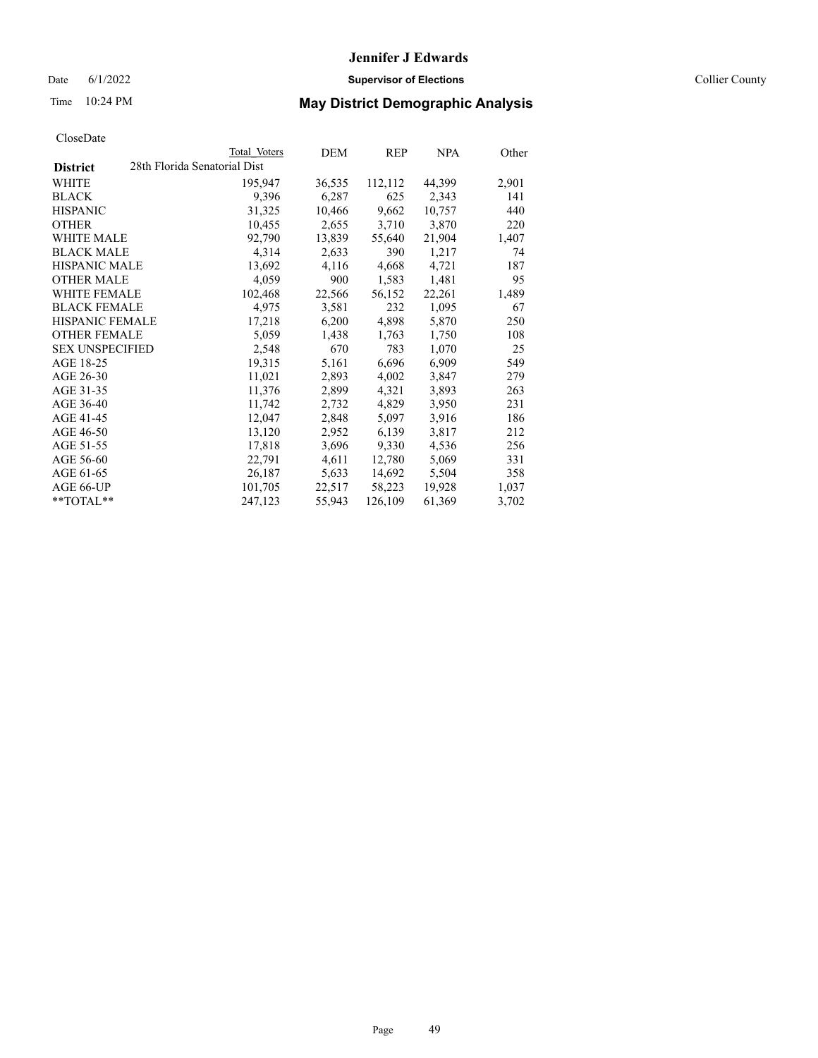Date 6/1/2022 **Supervisor of Elections** Collier County

| CloseDate |
|-----------|
|-----------|

|                        | Total Voters                 | DEM    | REP     | <b>NPA</b> | Other |
|------------------------|------------------------------|--------|---------|------------|-------|
| <b>District</b>        | 28th Florida Senatorial Dist |        |         |            |       |
| WHITE                  | 195,947                      | 36,535 | 112,112 | 44,399     | 2,901 |
| <b>BLACK</b>           | 9,396                        | 6,287  | 625     | 2,343      | 141   |
| <b>HISPANIC</b>        | 31,325                       | 10,466 | 9,662   | 10,757     | 440   |
| <b>OTHER</b>           | 10,455                       | 2,655  | 3,710   | 3,870      | 220   |
| <b>WHITE MALE</b>      | 92,790                       | 13,839 | 55,640  | 21,904     | 1,407 |
| <b>BLACK MALE</b>      | 4,314                        | 2,633  | 390     | 1,217      | 74    |
| <b>HISPANIC MALE</b>   | 13,692                       | 4,116  | 4,668   | 4,721      | 187   |
| <b>OTHER MALE</b>      | 4,059                        | 900    | 1,583   | 1,481      | 95    |
| WHITE FEMALE           | 102,468                      | 22,566 | 56,152  | 22,261     | 1,489 |
| <b>BLACK FEMALE</b>    | 4,975                        | 3,581  | 232     | 1,095      | 67    |
| <b>HISPANIC FEMALE</b> | 17,218                       | 6,200  | 4,898   | 5,870      | 250   |
| <b>OTHER FEMALE</b>    | 5,059                        | 1,438  | 1,763   | 1,750      | 108   |
| <b>SEX UNSPECIFIED</b> | 2,548                        | 670    | 783     | 1,070      | 25    |
| AGE 18-25              | 19,315                       | 5,161  | 6,696   | 6,909      | 549   |
| AGE 26-30              | 11,021                       | 2,893  | 4,002   | 3,847      | 279   |
| AGE 31-35              | 11,376                       | 2,899  | 4,321   | 3,893      | 263   |
| AGE 36-40              | 11,742                       | 2,732  | 4,829   | 3,950      | 231   |
| AGE 41-45              | 12,047                       | 2,848  | 5,097   | 3,916      | 186   |
| AGE 46-50              | 13,120                       | 2,952  | 6,139   | 3,817      | 212   |
| AGE 51-55              | 17,818                       | 3,696  | 9,330   | 4,536      | 256   |
| AGE 56-60              | 22,791                       | 4,611  | 12,780  | 5,069      | 331   |
| AGE 61-65              | 26,187                       | 5,633  | 14,692  | 5,504      | 358   |
| AGE 66-UP              | 101,705                      | 22,517 | 58,223  | 19,928     | 1,037 |
| $*$ $TOTAL**$          | 247,123                      | 55,943 | 126,109 | 61,369     | 3,702 |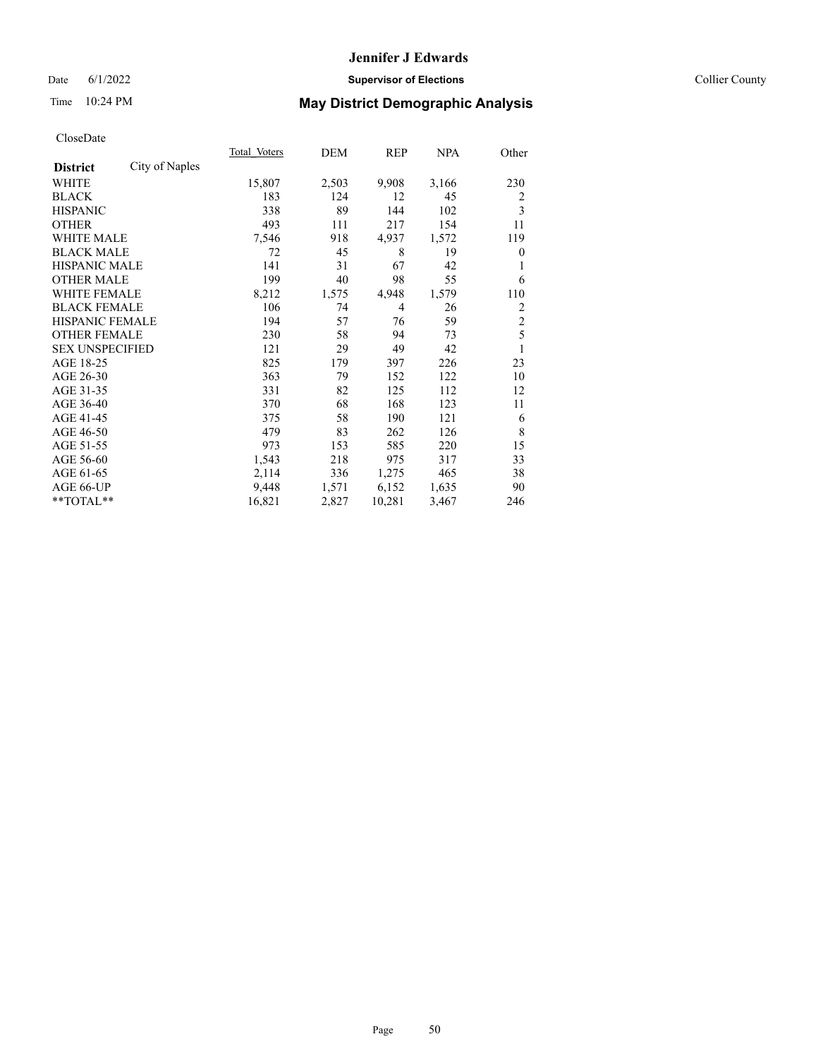## Date 6/1/2022 **Supervisor of Elections** Collier County

## Time 10:24 PM **May District Demographic Analysis**

|                        |                | Total Voters | DEM   | REP            | <u>NPA</u> | Other          |
|------------------------|----------------|--------------|-------|----------------|------------|----------------|
| <b>District</b>        | City of Naples |              |       |                |            |                |
| WHITE                  |                | 15,807       | 2,503 | 9,908          | 3,166      | 230            |
| <b>BLACK</b>           |                | 183          | 124   | 12             | 45         | 2              |
| <b>HISPANIC</b>        |                | 338          | 89    | 144            | 102        | 3              |
| <b>OTHER</b>           |                | 493          | 111   | 217            | 154        | 11             |
| <b>WHITE MALE</b>      |                | 7,546        | 918   | 4,937          | 1,572      | 119            |
| <b>BLACK MALE</b>      |                | 72           | 45    | 8              | 19         | $\theta$       |
| <b>HISPANIC MALE</b>   |                | 141          | 31    | 67             | 42         | 1              |
| <b>OTHER MALE</b>      |                | 199          | 40    | 98             | 55         | 6              |
| WHITE FEMALE           |                | 8,212        | 1,575 | 4,948          | 1,579      | 110            |
| <b>BLACK FEMALE</b>    |                | 106          | 74    | $\overline{4}$ | 26         | 2              |
| <b>HISPANIC FEMALE</b> |                | 194          | 57    | 76             | 59         | $\overline{c}$ |
| <b>OTHER FEMALE</b>    |                | 230          | 58    | 94             | 73         | 5              |
| <b>SEX UNSPECIFIED</b> |                | 121          | 29    | 49             | 42         | 1              |
| AGE 18-25              |                | 825          | 179   | 397            | 226        | 23             |
| AGE 26-30              |                | 363          | 79    | 152            | 122        | 10             |
| AGE 31-35              |                | 331          | 82    | 125            | 112        | 12             |
| AGE 36-40              |                | 370          | 68    | 168            | 123        | 11             |
| AGE 41-45              |                | 375          | 58    | 190            | 121        | 6              |
| AGE 46-50              |                | 479          | 83    | 262            | 126        | 8              |
| AGE 51-55              |                | 973          | 153   | 585            | 220        | 15             |
| AGE 56-60              |                | 1,543        | 218   | 975            | 317        | 33             |
| AGE 61-65              |                | 2,114        | 336   | 1,275          | 465        | 38             |
| AGE 66-UP              |                | 9,448        | 1,571 | 6,152          | 1,635      | 90             |
| $*$ $*$ TOTAL $*$ $*$  |                | 16,821       | 2,827 | 10,281         | 3,467      | 246            |
|                        |                |              |       |                |            |                |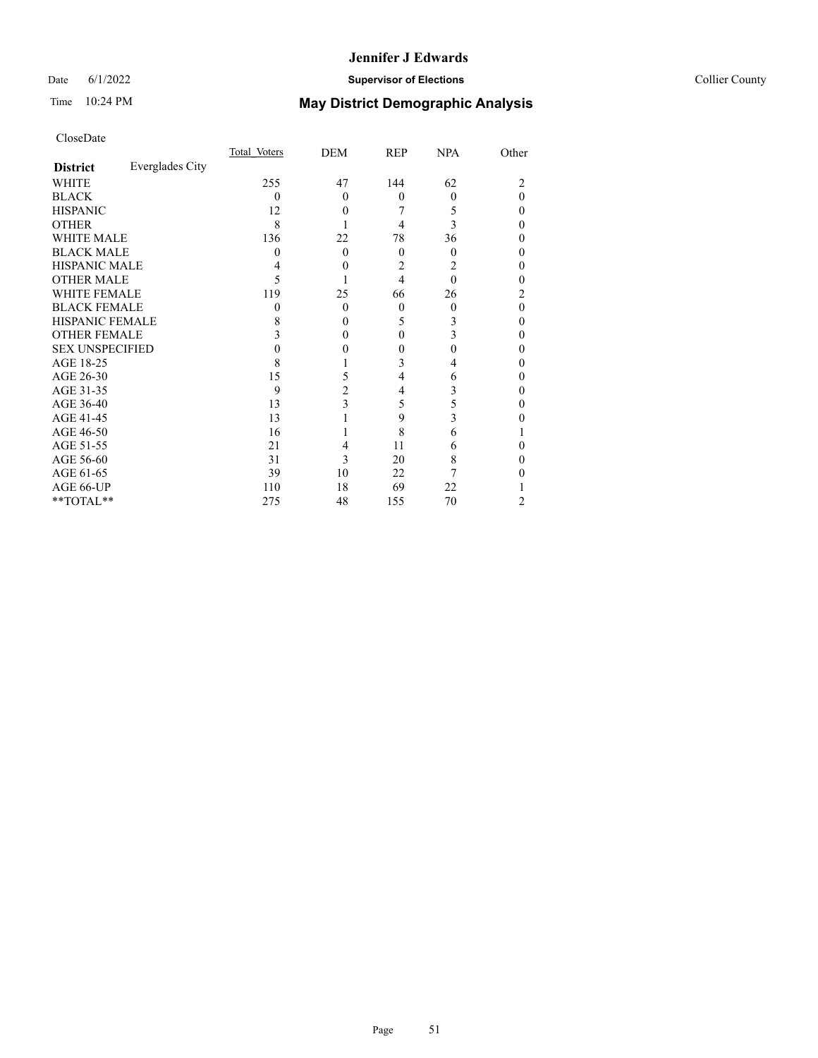## Date 6/1/2022 **Supervisor of Elections Supervisor of Elections** Collier County

# Time 10:24 PM **May District Demographic Analysis**

|                        |                 | Total Voters | DEM            | <b>REP</b> | <b>NPA</b> | Other    |
|------------------------|-----------------|--------------|----------------|------------|------------|----------|
| <b>District</b>        | Everglades City |              |                |            |            |          |
| WHITE                  |                 | 255          | 47             | 144        | 62         | 2        |
| <b>BLACK</b>           |                 | $\theta$     | $\theta$       | $\theta$   | $\theta$   | $\Omega$ |
| <b>HISPANIC</b>        |                 | 12           | $\theta$       |            | 5          | $\Omega$ |
| <b>OTHER</b>           |                 | 8            |                | 4          | 3          | $\Omega$ |
| WHITE MALE             |                 | 136          | 22             | 78         | 36         | $\Omega$ |
| <b>BLACK MALE</b>      |                 | 0            | $\Omega$       | $\Omega$   | $\theta$   | $\theta$ |
| <b>HISPANIC MALE</b>   |                 |              | $\theta$       | 2          | 2          | 0        |
| <b>OTHER MALE</b>      |                 | 5            |                | 4          | $\theta$   | 0        |
| <b>WHITE FEMALE</b>    |                 | 119          | 25             | 66         | 26         | 2        |
| <b>BLACK FEMALE</b>    |                 | $\theta$     | $\theta$       | $\theta$   | $\theta$   | $\theta$ |
| <b>HISPANIC FEMALE</b> |                 | 8            | $\theta$       | 5          | 3          | $\theta$ |
| <b>OTHER FEMALE</b>    |                 | 3            | $\theta$       | $\Omega$   | 3          | $\Omega$ |
| <b>SEX UNSPECIFIED</b> |                 | 0            | 0              | 0          | 0          | $\Omega$ |
| AGE 18-25              |                 | 8            |                | 3          | 4          | $\theta$ |
| AGE 26-30              |                 | 15           | 5              | 4          | 6          | $\theta$ |
| AGE 31-35              |                 | 9            | $\overline{c}$ | 4          | 3          | 0        |
| AGE 36-40              |                 | 13           | 3              | 5          | 5          | $\theta$ |
| AGE 41-45              |                 | 13           |                | 9          | 3          | 0        |
| AGE 46-50              |                 | 16           |                | 8          | 6          |          |
| AGE 51-55              |                 | 21           | 4              | 11         | 6          | 0        |
| AGE 56-60              |                 | 31           | 3              | 20         | 8          | 0        |
| AGE 61-65              |                 | 39           | 10             | 22         |            | 0        |
| AGE 66-UP              |                 | 110          | 18             | 69         | 22         |          |
| **TOTAL**              |                 | 275          | 48             | 155        | 70         | 2        |